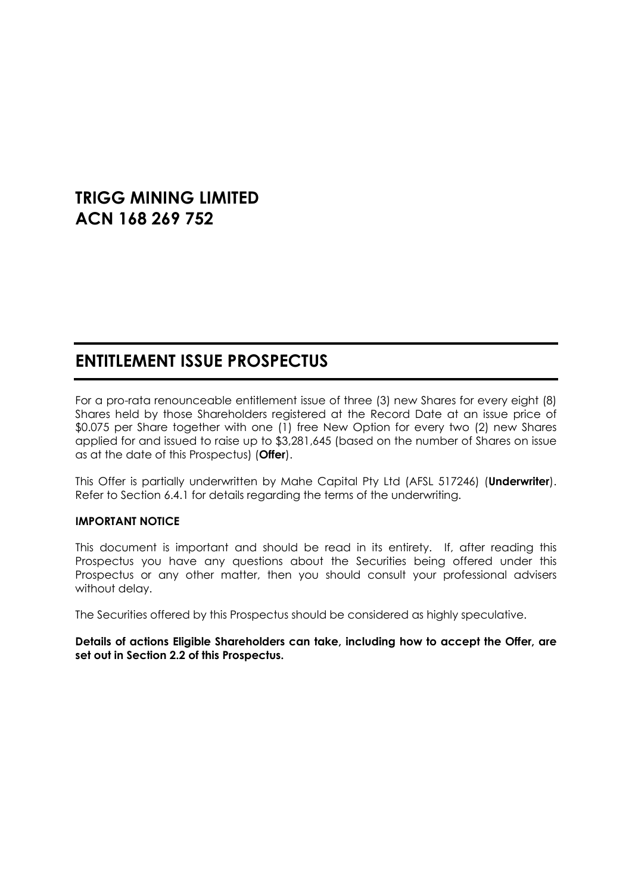# **TRIGG MINING LIMITED ACN 168 269 752**

# **ENTITLEMENT ISSUE PROSPECTUS**

For a pro-rata renounceable entitlement issue of three (3) new Shares for every eight (8) Shares held by those Shareholders registered at the Record Date at an issue price of \$0.075 per Share together with one (1) free New Option for every two (2) new Shares applied for and issued to raise up to \$3,281,645 (based on the number of Shares on issue as at the date of this Prospectus) (**Offer**).

This Offer is partially underwritten by Mahe Capital Pty Ltd (AFSL 517246) (**Underwriter**). Refer to Section [6.4.1](#page-43-0) for details regarding the terms of the underwriting.

#### **IMPORTANT NOTICE**

This document is important and should be read in its entirety. If, after reading this Prospectus you have any questions about the Securities being offered under this Prospectus or any other matter, then you should consult your professional advisers without delay.

The Securities offered by this Prospectus should be considered as highly speculative.

**Details of actions Eligible Shareholders can take, including how to accept the Offer, are set out in Section 2.2 of this Prospectus.**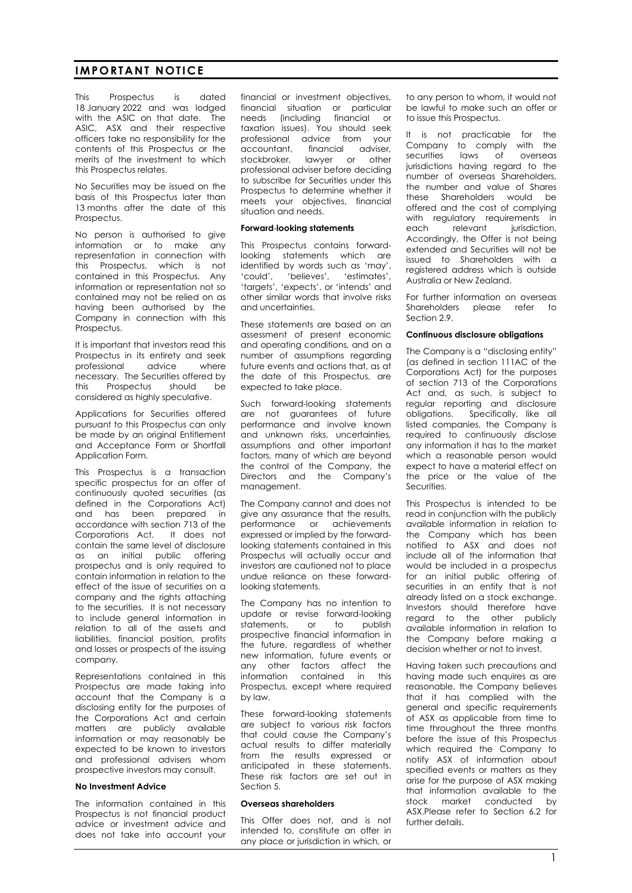#### **IMPORTANT NOTICE**

This Prospectus is dated 18 January 2022 and was lodged with the ASIC on that date. The ASIC, ASX and their respective officers take no responsibility for the contents of this Prospectus or the merits of the investment to which this Prospectus relates.

No Securities may be issued on the basis of this Prospectus later than 13 months after the date of this Prospectus.

No person is authorised to give information or to make any representation in connection with this Prospectus, which is not contained in this Prospectus. Any information or representation not so contained may not be relied on as having been authorised by the Company in connection with this Prospectus.

It is important that investors read this Prospectus in its entirety and seek<br>professional advice where professional advice where necessary. The Securities offered by this Prospectus should be considered as highly speculative.

Applications for Securities offered pursuant to this Prospectus can only be made by an original Entitlement and Acceptance Form or Shortfall Application Form.

This Prospectus is a transaction specific prospectus for an offer of continuously quoted securities (as defined in the Corporations Act) and has been prepared in accordance with section 713 of the Corporations Act. It does not contain the same level of disclosure as an initial public offering prospectus and is only required to contain information in relation to the effect of the issue of securities on a company and the rights attaching to the securities. It is not necessary to include general information in relation to all of the assets and liabilities, financial position, profits and losses or prospects of the issuing company.

Representations contained in this Prospectus are made taking into account that the Company is a disclosing entity for the purposes of the Corporations Act and certain matters are publicly available information or may reasonably be expected to be known to investors and professional advisers whom prospective investors may consult.

#### **No Investment Advice**

The information contained in this Prospectus is not financial product advice or investment advice and does not take into account your financial or investment objectives, financial situation or particular needs (including financial or taxation issues). You should seek professional advice from your accountant, financial adviser, stockbroker, lawyer or other professional adviser before deciding to subscribe for Securities under this Prospectus to determine whether it meets your objectives, financial situation and needs.

#### **Forward**-**looking statements**

This Prospectus contains forwardlooking statements which are identified by words such as 'may', 'could', 'believes', 'estimates', 'targets', 'expects', or 'intends' and other similar words that involve risks and uncertainties.

These statements are based on an assessment of present economic and operating conditions, and on a number of assumptions regarding future events and actions that, as at the date of this Prospectus, are expected to take place.

Such forward-looking statements are not guarantees of future performance and involve known and unknown risks, uncertainties, assumptions and other important factors, many of which are beyond the control of the Company, the Directors and the Company's management.

The Company cannot and does not give any assurance that the results, performance or achievements expressed or implied by the forwardlooking statements contained in this Prospectus will actually occur and investors are cautioned not to place undue reliance on these forwardlooking statements.

The Company has no intention to update or revise forward-looking statements, or to publish prospective financial information in the future, regardless of whether new information, future events or any other factors affect the information contained in this Prospectus, except where required by law.

These forward-looking statements are subject to various risk factors that could cause the Company's actual results to differ materially from the results expressed or anticipated in these statements. These risk factors are set out in Section [5.](#page-30-0)

#### **Overseas shareholders**

This Offer does not, and is not intended to, constitute an offer in any place or jurisdiction in which, or to any person to whom, it would not be lawful to make such an offer or to issue this Prospectus.

It is not practicable for the Company to comply with the securities laws of overseas jurisdictions having regard to the number of overseas Shareholders, the number and value of Shares these Shareholders would be offered and the cost of complying with regulatory requirements in each relevant jurisdiction. Accordingly, the Offer is not being extended and Securities will not be issued to Shareholders with a registered address which is outside Australia or New Zealand.

For further information on overseas Shareholders please refer to Section [2.9.](#page-19-0)

#### **Continuous disclosure obligations**

The Company is a "disclosing entity" (as defined in section 111AC of the Corporations Act) for the purposes of section 713 of the Corporations Act and, as such, is subject to regular reporting and disclosure obligations. Specifically, like all listed companies, the Company is required to continuously disclose any information it has to the market which a reasonable person would expect to have a material effect on the price or the value of the Securities.

This Prospectus is intended to be read in conjunction with the publicly available information in relation to the Company which has been notified to ASX and does not include all of the information that would be included in a prospectus for an initial public offering of securities in an entity that is not already listed on a stock exchange. Investors should therefore have regard to the other publicly available information in relation to the Company before making a decision whether or not to invest.

Having taken such precautions and having made such enquires as are reasonable, the Company believes that it has complied with the general and specific requirements of ASX as applicable from time to time throughout the three months before the issue of this Prospectus which required the Company to notify ASX of information about specified events or matters as they arise for the purpose of ASX making that information available to the stock market conducted by ASX.Please refer to Section [6.2](#page-41-0) for further details.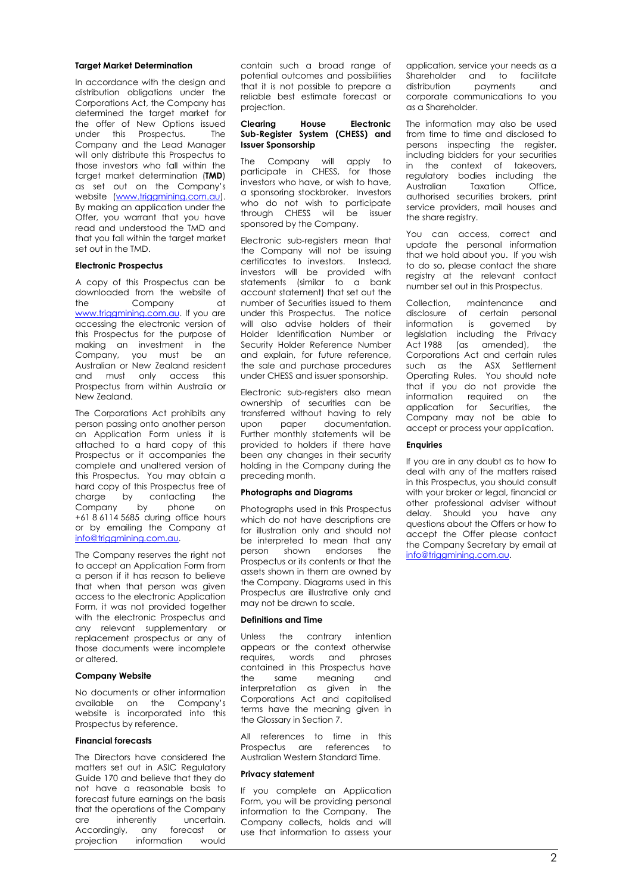#### **Target Market Determination**

In accordance with the design and distribution obligations under the Corporations Act, the Company has determined the target market for the offer of New Options issued under this Prospectus. The Company and the Lead Manager will only distribute this Prospectus to those investors who fall within the target market determination (**TMD**) as set out on the Company's website (www.trigamining.com.au). By making an application under the Offer, you warrant that you have read and understood the TMD and that you fall within the target market set out in the TMD.

#### **Electronic Prospectus**

A copy of this Prospectus can be downloaded from the website of the Company at www.triggmining.com.au. If you are accessing the electronic version of this Prospectus for the purpose of making an investment in the Company, you must be an Australian or New Zealand resident and must only access this Prospectus from within Australia or New Zealand.

The Corporations Act prohibits any person passing onto another person an Application Form unless it is attached to a hard copy of this Prospectus or it accompanies the complete and unaltered version of this Prospectus. You may obtain a hard copy of this Prospectus free of charge by contacting the<br>Company by phone on Company by phone on +61 8 6114 5685 during office hours or by emailing the Company at info@triggmining.com.au.

The Company reserves the right not to accept an Application Form from a person if it has reason to believe that when that person was given access to the electronic Application Form, it was not provided together with the electronic Prospectus and any relevant supplementary or replacement prospectus or any of those documents were incomplete or altered.

#### **Company Website**

No documents or other information available on the Company's website is incorporated into this Prospectus by reference.

#### **Financial forecasts**

The Directors have considered the matters set out in ASIC Regulatory Guide 170 and believe that they do not have a reasonable basis to forecast future earnings on the basis that the operations of the Company are inherently uncertain.<br>Accordingly, any forecast or Accordingly, any forecast or<br>projection information would information

contain such a broad range of potential outcomes and possibilities that it is not possible to prepare a reliable best estimate forecast or projection.

#### **Clearing House Electronic Sub-Register System (CHESS) and Issuer Sponsorship**

The Company will apply to participate in CHESS, for those investors who have, or wish to have, a sponsoring stockbroker. Investors who do not wish to participate through CHESS will be issuer sponsored by the Company.

Electronic sub-registers mean that the Company will not be issuing certificates to investors. Instead, investors will be provided with statements (similar to a bank account statement) that set out the number of Securities issued to them under this Prospectus. The notice will also advise holders of their Holder Identification Number or Security Holder Reference Number and explain, for future reference, the sale and purchase procedures under CHESS and issuer sponsorship.

Electronic sub-registers also mean ownership of securities can be transferred without having to rely<br>upon paper documentation. documentation Further monthly statements will be provided to holders if there have been any changes in their security holding in the Company during the preceding month.

#### **Photographs and Diagrams**

Photographs used in this Prospectus which do not have descriptions are for illustration only and should not be interpreted to mean that any person shown endorses the Prospectus or its contents or that the assets shown in them are owned by the Company. Diagrams used in this Prospectus are illustrative only and may not be drawn to scale.

#### **Definitions and Time**

Unless the contrary intention appears or the context otherwise requires, words and phrases contained in this Prospectus have the same meaning and interpretation as given in the Corporations Act and capitalised terms have the meaning given in the Glossary in Section [7.](#page-53-0)

All references to time in this Prospectus are references to Australian Western Standard Time.

#### **Privacy statement**

If you complete an Application Form, you will be providing personal information to the Company. The Company collects, holds and will use that information to assess your

application, service your needs as a Shareholder and to facilitate distribution payments and corporate communications to you as a Shareholder.

The information may also be used from time to time and disclosed to persons inspecting the register, including bidders for your securities in the context of takeovers, regulatory bodies including the<br>Australian Taxation Office. **Taxation** authorised securities brokers, print service providers, mail houses and the share reaistry.

You can access, correct and update the personal information that we hold about you. If you wish to do so, please contact the share registry at the relevant contact number set out in this Prospectus.

Collection, maintenance and disclosure of certain personal<br>information is governed by information is governed legislation including the Privacy Act 1988 (as amended), the Corporations Act and certain rules such as the ASX Settlement Operating Rules. You should note that if you do not provide the information required on the application for Securities, the Company may not be able to accept or process your application.

#### **Enquiries**

If you are in any doubt as to how to deal with any of the matters raised in this Prospectus, you should consult with your broker or legal, financial or other professional adviser without delay. Should you have any questions about the Offers or how to accept the Offer please contact the Company Secretary by email at info@triggmining.com.au.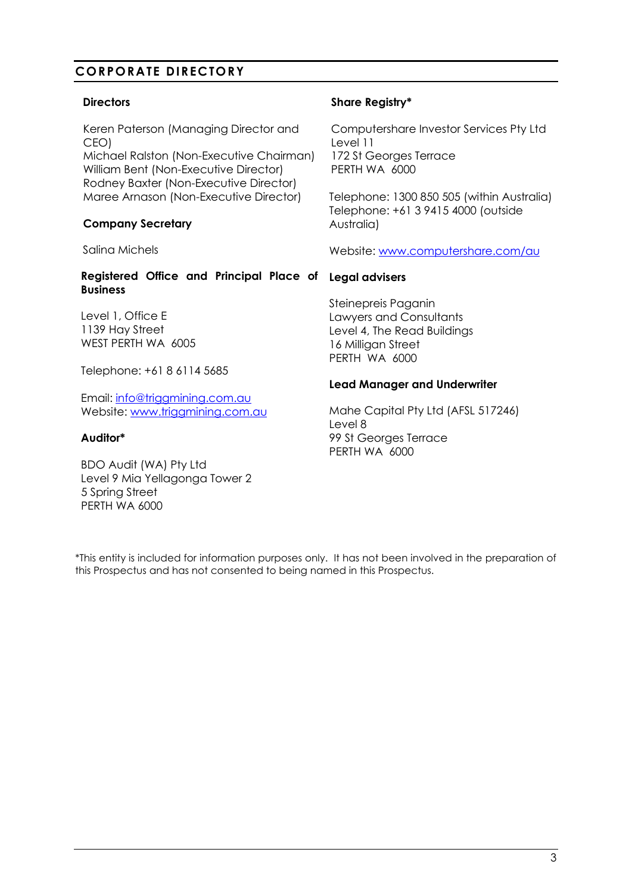## **CORPORATE DIRECTORY**

#### **Directors**

Keren Paterson (Managing Director and CEO)

Michael Ralston (Non-Executive Chairman) William Bent (Non-Executive Director) Rodney Baxter (Non-Executive Director) Maree Arnason (Non-Executive Director)

#### **Company Secretary**

Salina Michels

#### **Registered Office and Principal Place of Legal advisers Business**

Level 1, Office E 1139 Hay Street WEST PERTH WA 6005

Telephone: +61 8 6114 5685

Email: info@triggmining.com.au Website: www.triggmining.com.au

#### **Auditor\***

BDO Audit (WA) Pty Ltd Level 9 Mia Yellagonga Tower 2 5 Spring Street PERTH WA 6000

#### **Share Registry\***

Computershare Investor Services Pty Ltd Level 11 172 St Georges Terrace PERTH WA 6000

Telephone: 1300 850 505 (within Australia) Telephone: +61 3 9415 4000 (outside Australia)

Website: [www.computershare.com/au](http://www.computershare.com/au)

Steinepreis Paganin Lawyers and Consultants Level 4, The Read Buildings 16 Milligan Street PERTH WA 6000

#### **Lead Manager and Underwriter**

Mahe Capital Pty Ltd (AFSL 517246) Level 8 99 St Georges Terrace PERTH WA 6000

\*This entity is included for information purposes only. It has not been involved in the preparation of this Prospectus and has not consented to being named in this Prospectus.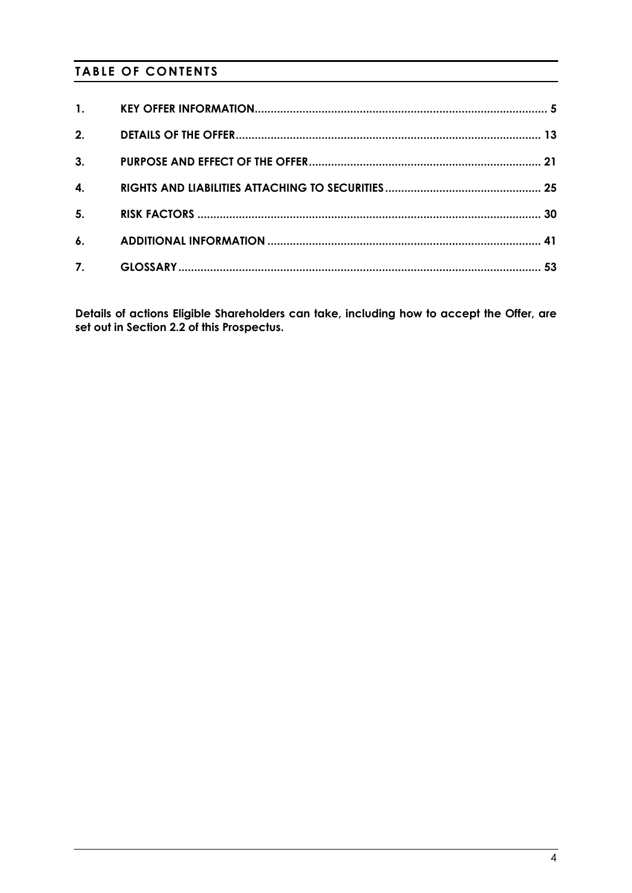# **TABLE OF CONTENTS**

| 1. |  |
|----|--|
| 2. |  |
| 3. |  |
| 4. |  |
| 5. |  |
| 6. |  |
| 7. |  |

**Details of actions Eligible Shareholders can take, including how to accept the Offer, are set out in Section 2.2 of this Prospectus.**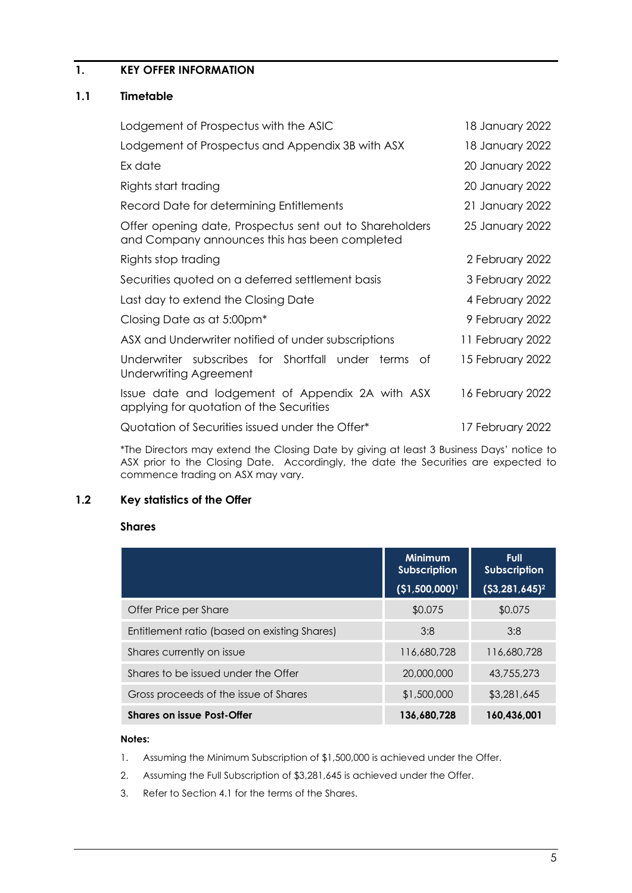## <span id="page-5-0"></span>**1. KEY OFFER INFORMATION**

#### **1.1 Timetable**

| Lodgement of Prospectus with the ASIC                                                                    | 18 January 2022  |
|----------------------------------------------------------------------------------------------------------|------------------|
| Lodgement of Prospectus and Appendix 3B with ASX                                                         | 18 January 2022  |
| Ex date                                                                                                  | 20 January 2022  |
| Rights start trading                                                                                     | 20 January 2022  |
| Record Date for determining Entitlements                                                                 | 21 January 2022  |
| Offer opening date, Prospectus sent out to Shareholders<br>and Company announces this has been completed | 25 January 2022  |
| Rights stop trading                                                                                      | 2 February 2022  |
| Securities quoted on a deferred settlement basis                                                         | 3 February 2022  |
| Last day to extend the Closing Date                                                                      | 4 February 2022  |
| Closing Date as at 5:00pm <sup>*</sup>                                                                   | 9 February 2022  |
| ASX and Underwriter notified of under subscriptions                                                      | 11 February 2022 |
| Underwriter subscribes for Shortfall under terms of<br>Underwriting Agreement                            | 15 February 2022 |
| Issue date and lodgement of Appendix 2A with ASX<br>applying for quotation of the Securities             | 16 February 2022 |
| Quotation of Securities issued under the Offer*                                                          | 17 February 2022 |

\*The Directors may extend the Closing Date by giving at least 3 Business Days' notice to ASX prior to the Closing Date. Accordingly, the date the Securities are expected to commence trading on ASX may vary.

#### **1.2 Key statistics of the Offer**

#### **Shares**

|                                              | <b>Minimum</b><br><b>Subscription</b> | <b>Full</b><br><b>Subscription</b> |
|----------------------------------------------|---------------------------------------|------------------------------------|
|                                              | (\$1,500,000) <sup>1</sup>            | $(53, 281, 645)^2$                 |
| Offer Price per Share                        | \$0.075                               | \$0.075                            |
| Entitlement ratio (based on existing Shares) | 3:8                                   | 3:8                                |
| Shares currently on issue                    | 116,680,728                           | 116,680,728                        |
| Shares to be issued under the Offer          | 20,000,000                            | 43,755,273                         |
| Gross proceeds of the issue of Shares        | \$1,500,000                           | \$3,281,645                        |
| <b>Shares on issue Post-Offer</b>            | 136.680.728                           | 160,436,001                        |

#### **Notes:**

- 1. Assuming the Minimum Subscription of \$1,500,000 is achieved under the Offer.
- 2. Assuming the Full Subscription of \$3,281,645 is achieved under the Offer.
- 3. Refer to Section [4.1](#page-25-1) for the terms of the Shares.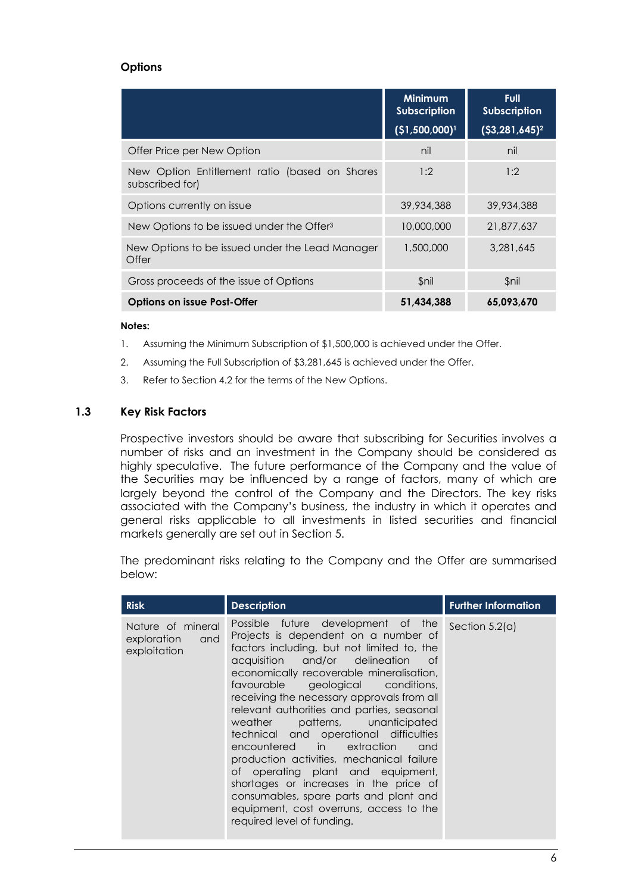#### **Options**

|                                                                  | <b>Minimum</b><br><b>Subscription</b><br>(\$1,500,000) <sup>1</sup> | <b>Full</b><br><b>Subscription</b><br>$(53, 281, 645)^2$ |
|------------------------------------------------------------------|---------------------------------------------------------------------|----------------------------------------------------------|
| Offer Price per New Option                                       | nil                                                                 | nil                                                      |
| New Option Entitlement ratio (based on Shares<br>subscribed for) | 1:2                                                                 | 1:2                                                      |
| Options currently on issue                                       | 39,934,388                                                          | 39,934,388                                               |
| New Options to be issued under the Offer <sup>3</sup>            | 10,000,000                                                          | 21,877,637                                               |
| New Options to be issued under the Lead Manager<br>Offer         | 1,500,000                                                           | 3.281.645                                                |
| Gross proceeds of the issue of Options                           | \$nil                                                               | $$$ nil                                                  |
| <b>Options on issue Post-Offer</b>                               | 51.434.388                                                          | 65.093.670                                               |

#### **Notes:**

- 1. Assuming the Minimum Subscription of \$1,500,000 is achieved under the Offer.
- 2. Assuming the Full Subscription of \$3,281,645 is achieved under the Offer.
- 3. Refer to Section [4.2](#page-27-0) for the terms of the New Options.

#### **1.3 Key Risk Factors**

Prospective investors should be aware that subscribing for Securities involves a number of risks and an investment in the Company should be considered as highly speculative. The future performance of the Company and the value of the Securities may be influenced by a range of factors, many of which are largely beyond the control of the Company and the Directors. The key risks associated with the Company's business, the industry in which it operates and general risks applicable to all investments in listed securities and financial markets generally are set out in Section 5.

The predominant risks relating to the Company and the Offer are summarised below:

| <b>Risk</b>                                             | <b>Further Information</b><br><b>Description</b>                                                                                                                                                                                                                                                                                                                                                                                                                                                                                                                                                                                                                                                                   |                  |  |  |
|---------------------------------------------------------|--------------------------------------------------------------------------------------------------------------------------------------------------------------------------------------------------------------------------------------------------------------------------------------------------------------------------------------------------------------------------------------------------------------------------------------------------------------------------------------------------------------------------------------------------------------------------------------------------------------------------------------------------------------------------------------------------------------------|------------------|--|--|
| Nature of mineral<br>exploration<br>and<br>exploitation | Possible future development of the<br>Projects is dependent on a number of<br>factors including, but not limited to, the<br>acquisition and/or delineation<br>- of<br>economically recoverable mineralisation,<br>favourable geological conditions,<br>receiving the necessary approvals from all<br>relevant authorities and parties, seasonal<br>patterns, unanticipated<br>weather<br>technical and operational difficulties<br>encountered in extraction<br>and<br>production activities, mechanical failure<br>of operating plant and equipment,<br>shortages or increases in the price of<br>consumables, spare parts and plant and<br>equipment, cost overruns, access to the<br>required level of funding. | Section $5.2(a)$ |  |  |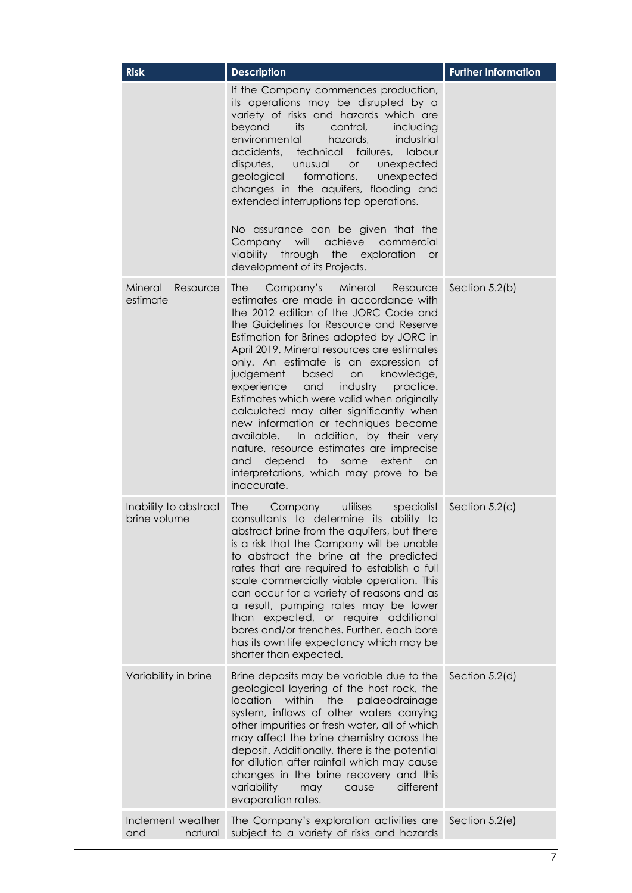| <b>Risk</b>                           | <b>Description</b>                                                                                                                                                                                                                                                                                                                                                                                                                                                                                                                                                                                                                                                                                                                    | <b>Further Information</b> |
|---------------------------------------|---------------------------------------------------------------------------------------------------------------------------------------------------------------------------------------------------------------------------------------------------------------------------------------------------------------------------------------------------------------------------------------------------------------------------------------------------------------------------------------------------------------------------------------------------------------------------------------------------------------------------------------------------------------------------------------------------------------------------------------|----------------------------|
|                                       | If the Company commences production,<br>its operations may be disrupted by a<br>variety of risks and hazards which are<br>beyond<br>control,<br>its<br>including<br>environmental<br>industrial<br>hazards,<br>accidents, technical<br>failures,<br>labour<br>disputes,<br>unusual<br>unexpected<br><b>or</b><br>geological<br>formations,<br>unexpected<br>changes in the aquifers, flooding and<br>extended interruptions top operations.<br>No assurance can be given that the<br>Company will<br>achieve<br>commercial<br>viability through the<br>exploration<br><b>or</b><br>development of its Projects.                                                                                                                       |                            |
| Mineral<br>Resource<br>estimate       | <b>The</b><br>Company's<br>Mineral<br>Resource<br>estimates are made in accordance with<br>the 2012 edition of the JORC Code and<br>the Guidelines for Resource and Reserve<br>Estimation for Brines adopted by JORC in<br>April 2019. Mineral resources are estimates<br>only. An estimate is an expression of<br>judgement<br>based<br>knowledge,<br>on<br>experience<br>and<br>industry<br>practice.<br>Estimates which were valid when originally<br>calculated may alter significantly when<br>new information or techniques become<br>In addition, by their very<br>available.<br>nature, resource estimates are imprecise<br>depend to<br>some<br>extent<br>and<br>on<br>interpretations, which may prove to be<br>inaccurate. | Section 5.2(b)             |
| Inability to abstract<br>brine volume | utilises<br>specialist<br><b>The</b><br>Company<br>consultants to determine its ability to<br>abstract brine from the aquifers, but there<br>is a risk that the Company will be unable<br>to abstract the brine at the predicted<br>rates that are required to establish a full<br>scale commercially viable operation. This<br>can occur for a variety of reasons and as<br>a result, pumping rates may be lower<br>than expected, or require additional<br>bores and/or trenches. Further, each bore<br>has its own life expectancy which may be<br>shorter than expected.                                                                                                                                                          | Section 5.2(c)             |
| Variability in brine                  | Brine deposits may be variable due to the<br>geological layering of the host rock, the<br>within<br>location<br>the<br>palaeodrainage<br>system, inflows of other waters carrying<br>other impurities or fresh water, all of which<br>may affect the brine chemistry across the<br>deposit. Additionally, there is the potential<br>for dilution after rainfall which may cause<br>changes in the brine recovery and this<br>variability<br>different<br>may<br>cause<br>evaporation rates.                                                                                                                                                                                                                                           | Section 5.2(d)             |
| Inclement weather<br>natural<br>and   | The Company's exploration activities are<br>subject to a variety of risks and hazards                                                                                                                                                                                                                                                                                                                                                                                                                                                                                                                                                                                                                                                 | Section 5.2(e)             |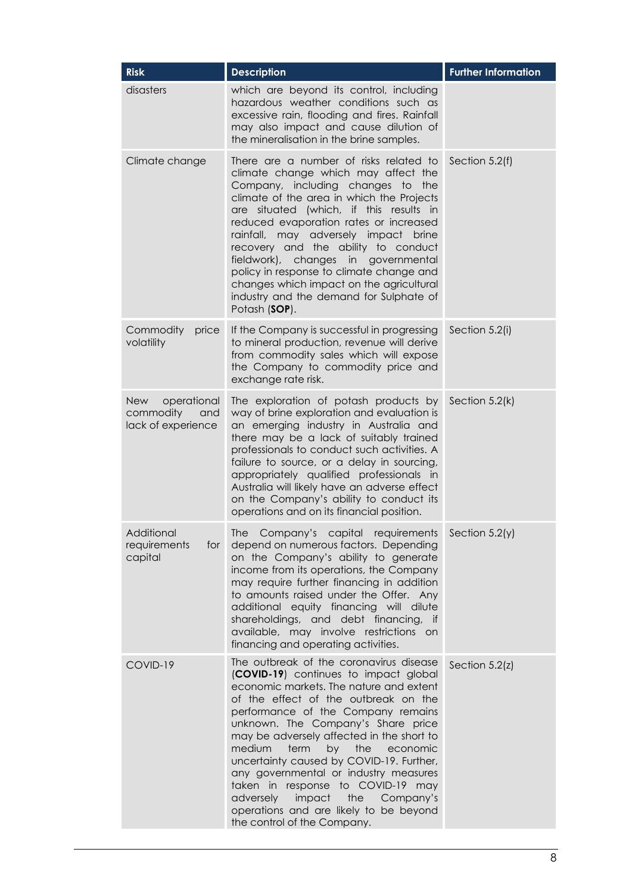| <b>Risk</b>                                                         | <b>Description</b>                                                                                                                                                                                                                                                                                                                                                                                                                                                                                                                                                              | <b>Further Information</b> |
|---------------------------------------------------------------------|---------------------------------------------------------------------------------------------------------------------------------------------------------------------------------------------------------------------------------------------------------------------------------------------------------------------------------------------------------------------------------------------------------------------------------------------------------------------------------------------------------------------------------------------------------------------------------|----------------------------|
| disasters                                                           | which are beyond its control, including<br>hazardous weather conditions such as<br>excessive rain, flooding and fires. Rainfall<br>may also impact and cause dilution of<br>the mineralisation in the brine samples.                                                                                                                                                                                                                                                                                                                                                            |                            |
| Climate change                                                      | There are a number of risks related to<br>climate change which may affect the<br>Company, including changes to the<br>climate of the area in which the Projects<br>are situated (which, if this results in<br>reduced evaporation rates or increased<br>rainfall, may adversely impact brine<br>recovery and the ability to conduct<br>fieldwork), changes in governmental<br>policy in response to climate change and<br>changes which impact on the agricultural<br>industry and the demand for Sulphate of<br>Potash (SOP).                                                  | Section 5.2(f)             |
| Commodity<br>price<br>volatility                                    | If the Company is successful in progressing<br>to mineral production, revenue will derive<br>from commodity sales which will expose<br>the Company to commodity price and<br>exchange rate risk.                                                                                                                                                                                                                                                                                                                                                                                | Section 5.2(i)             |
| operational<br><b>New</b><br>commodity<br>and<br>lack of experience | The exploration of potash products by<br>way of brine exploration and evaluation is<br>an emerging industry in Australia and<br>there may be a lack of suitably trained<br>professionals to conduct such activities. A<br>failure to source, or a delay in sourcing,<br>appropriately qualified professionals in<br>Australia will likely have an adverse effect<br>on the Company's ability to conduct its<br>operations and on its financial position.                                                                                                                        | Section 5.2(k)             |
| Additional<br>requirements<br>for<br>capital                        | Company's capital requirements Section 5.2(y)<br>The<br>depend on numerous factors. Depending<br>on the Company's ability to generate<br>income from its operations, the Company<br>may require further financing in addition<br>to amounts raised under the Offer. Any<br>additional equity financing will dilute<br>shareholdings, and debt financing, if<br>available, may involve restrictions on<br>financing and operating activities.                                                                                                                                    |                            |
| COVID-19                                                            | The outbreak of the coronavirus disease<br>(COVID-19) continues to impact global<br>economic markets. The nature and extent<br>of the effect of the outbreak on the<br>performance of the Company remains<br>unknown. The Company's Share price<br>may be adversely affected in the short to<br>medium<br>term<br>by<br>the<br>economic<br>uncertainty caused by COVID-19. Further,<br>any governmental or industry measures<br>taken in response to COVID-19 may<br>impact the Company's<br>adversely<br>operations and are likely to be beyond<br>the control of the Company. | Section 5.2(z)             |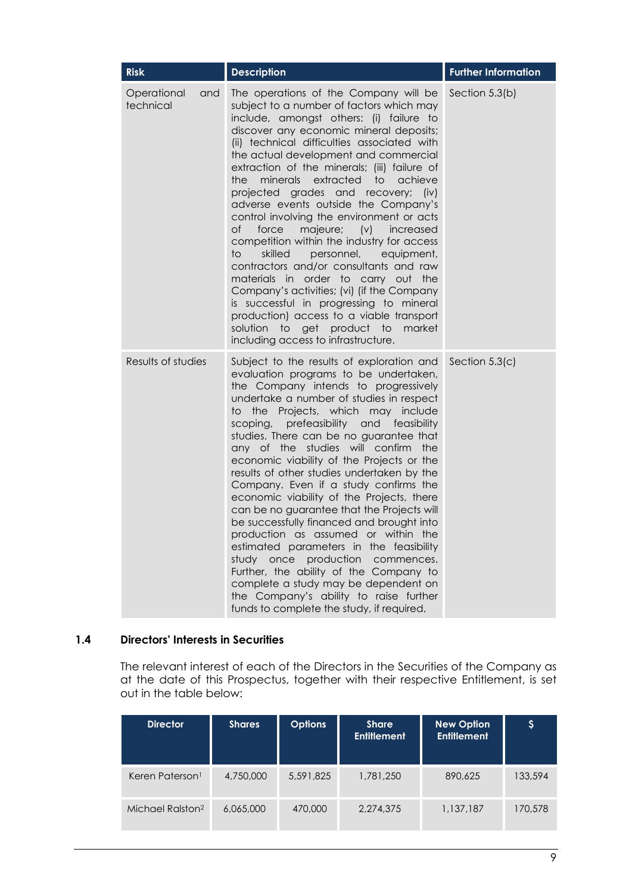| <b>Risk</b>                     | <b>Description</b>                                                                                                                                                                                                                                                                                                                                                                                                                                                                                                                                                                                                                                                                                                                                                                                                                                                                                                                          | <b>Further Information</b> |
|---------------------------------|---------------------------------------------------------------------------------------------------------------------------------------------------------------------------------------------------------------------------------------------------------------------------------------------------------------------------------------------------------------------------------------------------------------------------------------------------------------------------------------------------------------------------------------------------------------------------------------------------------------------------------------------------------------------------------------------------------------------------------------------------------------------------------------------------------------------------------------------------------------------------------------------------------------------------------------------|----------------------------|
| Operational<br>and<br>technical | The operations of the Company will be<br>subject to a number of factors which may<br>include, amongst others: (i) failure to<br>discover any economic mineral deposits;<br>(ii) technical difficulties associated with<br>the actual development and commercial<br>extraction of the minerals; (iii) failure of<br>minerals extracted<br>achieve<br>the<br>to<br>projected grades and recovery;<br>$(i \vee)$<br>adverse events outside the Company's<br>control involving the environment or acts<br>of<br>force<br>majeure; (v) increased<br>competition within the industry for access<br>skilled<br>personnel,<br>to<br>equipment,<br>contractors and/or consultants and raw<br>materials in order to carry out the<br>Company's activities; (vi) (if the Company<br>is successful in progressing to mineral<br>production) access to a viable transport<br>solution to get product to<br>market<br>including access to infrastructure. | Section 5.3(b)             |
| Results of studies              | Subject to the results of exploration and<br>evaluation programs to be undertaken,<br>the Company intends to progressively<br>undertake a number of studies in respect<br>to the Projects, which may include<br>scoping,<br>prefeasibility and feasibility<br>studies. There can be no guarantee that<br>any of the studies will confirm<br>the<br>economic viability of the Projects or the<br>results of other studies undertaken by the<br>Company. Even if a study confirms the<br>economic viability of the Projects, there<br>can be no guarantee that the Projects will<br>be successfully financed and brought into<br>production as assumed or within the<br>estimated parameters in the feasibility<br>study once production commences.<br>Further, the ability of the Company to<br>complete a study may be dependent on<br>the Company's ability to raise further<br>funds to complete the study, if required.                  | Section 5.3(c)             |

#### <span id="page-9-0"></span>**1.4 Directors' Interests in Securities**

The relevant interest of each of the Directors in the Securities of the Company as at the date of this Prospectus, together with their respective Entitlement, is set out in the table below:

| <b>Director</b>              | <b>Shares</b> | <b>Options</b> | <b>Share</b><br><b>Entitlement</b> | <b>New Option</b><br><b>Entitlement</b> | \$      |
|------------------------------|---------------|----------------|------------------------------------|-----------------------------------------|---------|
| Keren Paterson <sup>1</sup>  | 4,750,000     | 5,591,825      | 1,781,250                          | 890,625                                 | 133,594 |
| Michael Ralston <sup>2</sup> | 6,065,000     | 470,000        | 2,274,375                          | 1,137,187                               | 170,578 |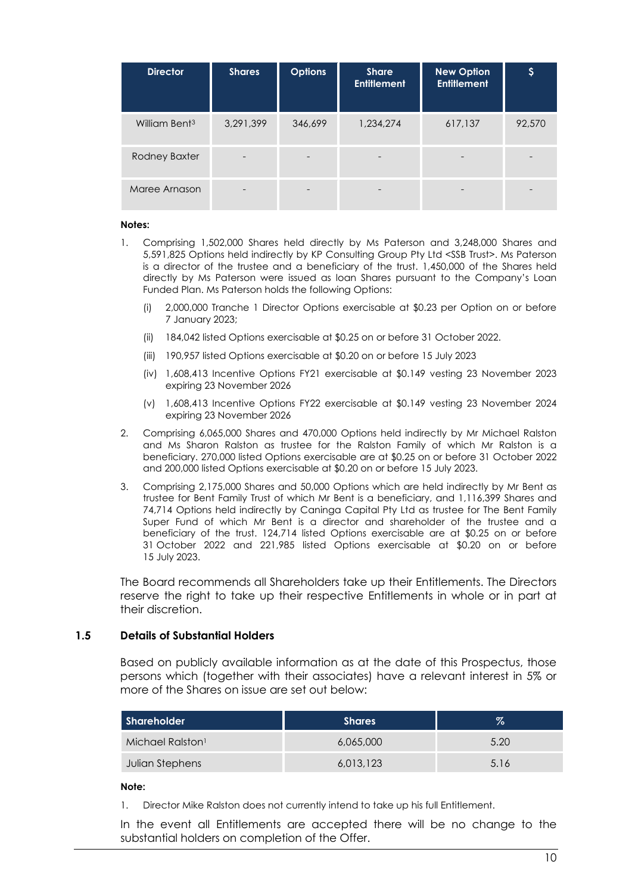| <b>Director</b>           | <b>Shares</b> | <b>Options</b> | <b>Share</b><br><b>Entitlement</b> | <b>New Option</b><br><b>Entitlement</b> | \$     |
|---------------------------|---------------|----------------|------------------------------------|-----------------------------------------|--------|
| William Bent <sup>3</sup> | 3,291,399     | 346,699        | 1,234,274                          | 617,137                                 | 92,570 |
| Rodney Baxter             |               |                |                                    |                                         |        |
| Maree Arnason             |               |                |                                    |                                         |        |

#### **Notes:**

- 1. Comprising 1,502,000 Shares held directly by Ms Paterson and 3,248,000 Shares and 5,591,825 Options held indirectly by KP Consulting Group Pty Ltd <SSB Trust>. Ms Paterson is a director of the trustee and a beneficiary of the trust. 1,450,000 of the Shares held directly by Ms Paterson were issued as loan Shares pursuant to the Company's Loan Funded Plan. Ms Paterson holds the following Options:
	- (i) 2,000,000 Tranche 1 Director Options exercisable at \$0.23 per Option on or before 7 January 2023;
	- (ii) 184,042 listed Options exercisable at \$0.25 on or before 31 October 2022.
	- (iii) 190,957 listed Options exercisable at \$0.20 on or before 15 July 2023
	- (iv) 1,608,413 Incentive Options FY21 exercisable at \$0.149 vesting 23 November 2023 expiring 23 November 2026
	- (v) 1,608,413 Incentive Options FY22 exercisable at \$0.149 vesting 23 November 2024 expiring 23 November 2026
- 2. Comprising 6,065,000 Shares and 470,000 Options held indirectly by Mr Michael Ralston and Ms Sharon Ralston as trustee for the Ralston Family of which Mr Ralston is a beneficiary. 270,000 listed Options exercisable are at \$0.25 on or before 31 October 2022 and 200,000 listed Options exercisable at \$0.20 on or before 15 July 2023.
- 3. Comprising 2,175,000 Shares and 50,000 Options which are held indirectly by Mr Bent as trustee for Bent Family Trust of which Mr Bent is a beneficiary, and 1,116,399 Shares and 74,714 Options held indirectly by Caninga Capital Pty Ltd as trustee for The Bent Family Super Fund of which Mr Bent is a director and shareholder of the trustee and a beneficiary of the trust. 124,714 listed Options exercisable are at \$0.25 on or before 31 October 2022 and 221,985 listed Options exercisable at \$0.20 on or before 15 July 2023.

The Board recommends all Shareholders take up their Entitlements. The Directors reserve the right to take up their respective Entitlements in whole or in part at their discretion.

#### **1.5 Details of Substantial Holders**

Based on publicly available information as at the date of this Prospectus, those persons which (together with their associates) have a relevant interest in 5% or more of the Shares on issue are set out below:

| Shareholder                  | <b>Shares</b> | $\%$ |
|------------------------------|---------------|------|
| Michael Ralston <sup>1</sup> | 6,065,000     | 5.20 |
| Julian Stephens              | 6,013,123     | 5.16 |

#### **Note:**

1. Director Mike Ralston does not currently intend to take up his full Entitlement.

In the event all Entitlements are accepted there will be no change to the substantial holders on completion of the Offer.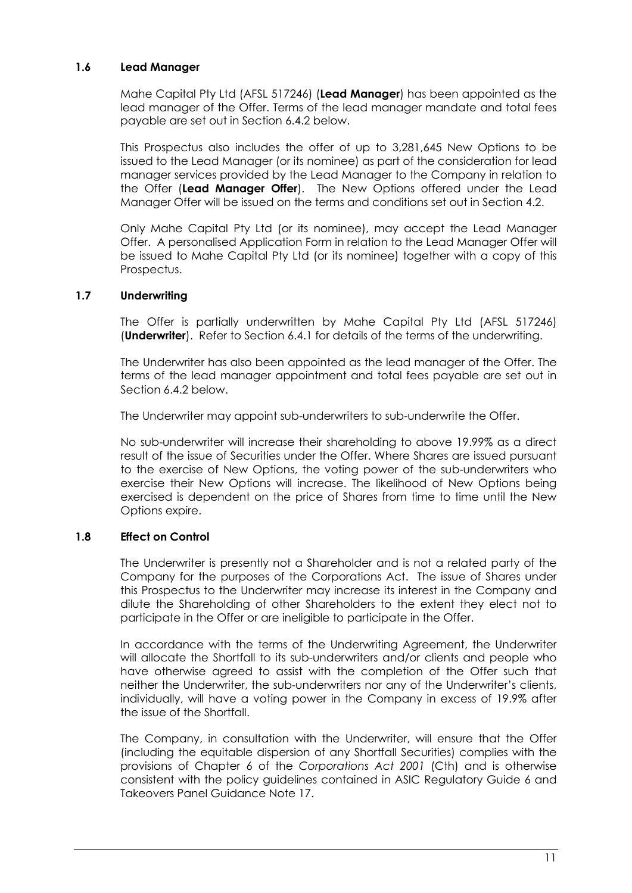#### **1.6 Lead Manager**

Mahe Capital Pty Ltd (AFSL 517246) (**Lead Manager**) has been appointed as the lead manager of the Offer. Terms of the lead manager mandate and total fees payable are set out in Section [6.4.2](#page-48-0) below.

This Prospectus also includes the offer of up to 3,281,645 New Options to be issued to the Lead Manager (or its nominee) as part of the consideration for lead manager services provided by the Lead Manager to the Company in relation to the Offer (**Lead Manager Offer**). The New Options offered under the Lead Manager Offer will be issued on the terms and conditions set out in Section 4.2.

Only Mahe Capital Pty Ltd (or its nominee), may accept the Lead Manager Offer. A personalised Application Form in relation to the Lead Manager Offer will be issued to Mahe Capital Pty Ltd (or its nominee) together with a copy of this Prospectus.

#### **1.7 Underwriting**

The Offer is partially underwritten by Mahe Capital Pty Ltd (AFSL 517246) (**Underwriter**). Refer to Section [6.4.1](#page-43-0) for details of the terms of the underwriting.

The Underwriter has also been appointed as the lead manager of the Offer. The terms of the lead manager appointment and total fees payable are set out in Section [6.4.2](#page-48-0) below.

The Underwriter may appoint sub-underwriters to sub-underwrite the Offer.

No sub-underwriter will increase their shareholding to above 19.99% as a direct result of the issue of Securities under the Offer. Where Shares are issued pursuant to the exercise of New Options, the voting power of the sub-underwriters who exercise their New Options will increase. The likelihood of New Options being exercised is dependent on the price of Shares from time to time until the New Options expire.

## **1.8 Effect on Control**

The Underwriter is presently not a Shareholder and is not a related party of the Company for the purposes of the Corporations Act. The issue of Shares under this Prospectus to the Underwriter may increase its interest in the Company and dilute the Shareholding of other Shareholders to the extent they elect not to participate in the Offer or are ineligible to participate in the Offer.

In accordance with the terms of the Underwriting Agreement, the Underwriter will allocate the Shortfall to its sub-underwriters and/or clients and people who have otherwise agreed to assist with the completion of the Offer such that neither the Underwriter, the sub-underwriters nor any of the Underwriter's clients, individually, will have a voting power in the Company in excess of 19.9% after the issue of the Shortfall.

The Company, in consultation with the Underwriter, will ensure that the Offer (including the equitable dispersion of any Shortfall Securities) complies with the provisions of Chapter 6 of the *Corporations Act 2001* (Cth) and is otherwise consistent with the policy guidelines contained in ASIC Regulatory Guide 6 and Takeovers Panel Guidance Note 17.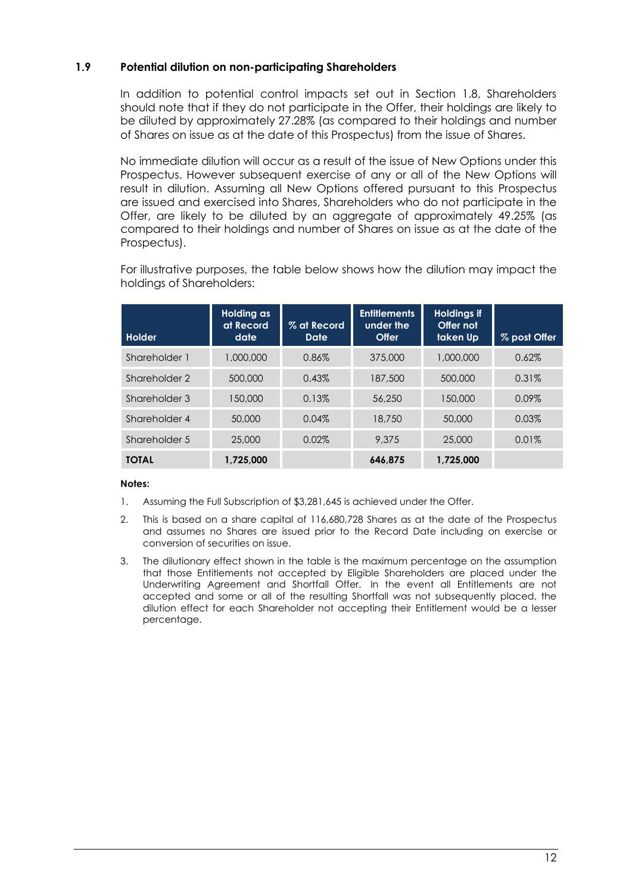#### **1.9 Potential dilution on non-participating Shareholders**

In addition to potential control impacts set out in Section 1.8, Shareholders should note that if they do not participate in the Offer, their holdings are likely to be diluted by approximately 27.28% (as compared to their holdings and number of Shares on issue as at the date of this Prospectus) from the issue of Shares.

No immediate dilution will occur as a result of the issue of New Options under this Prospectus. However subsequent exercise of any or all of the New Options will result in dilution. Assuming all New Options offered pursuant to this Prospectus are issued and exercised into Shares, Shareholders who do not participate in the Offer, are likely to be diluted by an aggregate of approximately 49.25% (as compared to their holdings and number of Shares on issue as at the date of the Prospectus).

For illustrative purposes, the table below shows how the dilution may impact the holdings of Shareholders:

| Holder        | Holding as<br>at Record<br>date | % at Record<br>Date | <b>Entitlements</b><br>under the<br>Offer | <b>Holdings if</b><br>Offer not<br>taken Up | % post Offer |
|---------------|---------------------------------|---------------------|-------------------------------------------|---------------------------------------------|--------------|
| Shareholder 1 | 1,000,000                       | 0.86%               | 375,000                                   | 1,000,000                                   | 0.62%        |
| Shareholder 2 | 500,000                         | 0.43%               | 187,500                                   | 500,000                                     | 0.31%        |
| Shareholder 3 | 150,000                         | 0.13%               | 56,250                                    | 150,000                                     | $0.09\%$     |
| Shareholder 4 | 50,000                          | 0.04%               | 18,750                                    | 50,000                                      | 0.03%        |
| Shareholder 5 | 25,000                          | 0.02%               | 9.375                                     | 25,000                                      | 0.01%        |
| <b>TOTAL</b>  | 1.725.000                       |                     | 646.875                                   | 1.725.000                                   |              |

#### **Notes:**

- 1. Assuming the Full Subscription of \$3,281,645 is achieved under the Offer.
- 2. This is based on a share capital of 116,680,728 Shares as at the date of the Prospectus and assumes no Shares are issued prior to the Record Date including on exercise or conversion of securities on issue.
- 3. The dilutionary effect shown in the table is the maximum percentage on the assumption that those Entitlements not accepted by Eligible Shareholders are placed under the Underwriting Agreement and Shortfall Offer. In the event all Entitlements are not accepted and some or all of the resulting Shortfall was not subsequently placed, the dilution effect for each Shareholder not accepting their Entitlement would be a lesser percentage.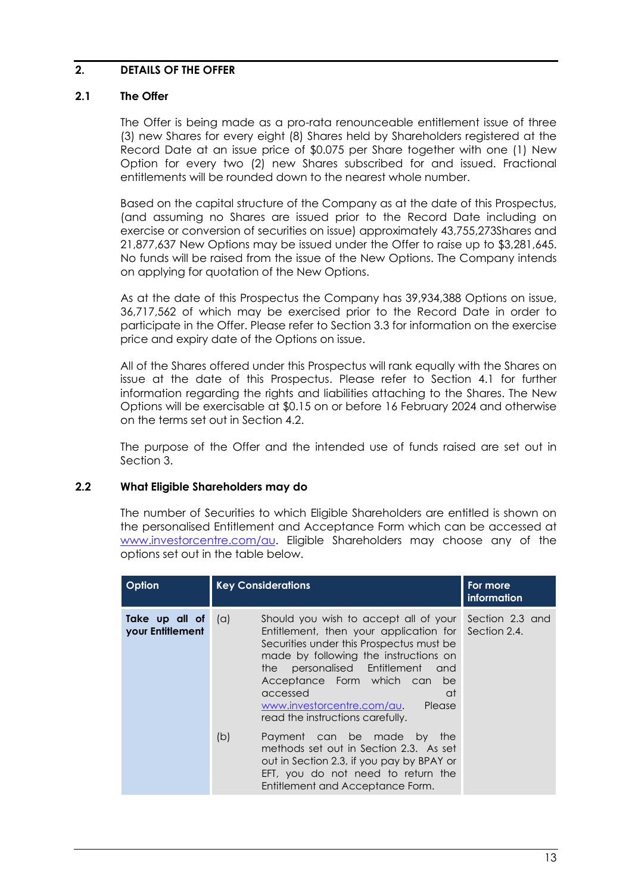#### <span id="page-13-0"></span>**2. DETAILS OF THE OFFER**

#### **2.1 The Offer**

The Offer is being made as a pro-rata renounceable entitlement issue of three (3) new Shares for every eight (8) Shares held by Shareholders registered at the Record Date at an issue price of \$0.075 per Share together with one (1) New Option for every two (2) new Shares subscribed for and issued. Fractional entitlements will be rounded down to the nearest whole number.

Based on the capital structure of the Company as at the date of this Prospectus, (and assuming no Shares are issued prior to the Record Date including on exercise or conversion of securities on issue) approximately 43,755,273Shares and 21,877,637 New Options may be issued under the Offer to raise up to \$3,281,645. No funds will be raised from the issue of the New Options. The Company intends on applying for quotation of the New Options.

As at the date of this Prospectus the Company has 39,934,388 Options on issue, 36,717,562 of which may be exercised prior to the Record Date in order to participate in the Offer. Please refer to Section [3.3](#page-22-0) for information on the exercise price and expiry date of the Options on issue.

All of the Shares offered under this Prospectus will rank equally with the Shares on issue at the date of this Prospectus. Please refer to Section [4.1](#page-25-1) for further information regarding the rights and liabilities attaching to the Shares. The New Options will be exercisable at \$0.15 on or before 16 February 2024 and otherwise on the terms set out in Section [4.2.](#page-27-0)

The purpose of the Offer and the intended use of funds raised are set out in Section [3.](#page-21-0)

#### **2.2 What Eligible Shareholders may do**

The number of Securities to which Eligible Shareholders are entitled is shown on the personalised Entitlement and Acceptance Form which can be accessed at [www.investorcentre.com/au.](http://www.investorcentre.com/au) Eligible Shareholders may choose any of the options set out in the table below.

| Option                                   |     | <b>Key Considerations</b>                                                                                                                                                                                                                                                                                                                                                      | For more<br><i>information</i>  |
|------------------------------------------|-----|--------------------------------------------------------------------------------------------------------------------------------------------------------------------------------------------------------------------------------------------------------------------------------------------------------------------------------------------------------------------------------|---------------------------------|
| Take up all of $(a)$<br>your Entitlement | (b) | Should you wish to accept all of your<br>Entitlement, then your application for<br>Securities under this Prospectus must be<br>made by following the instructions on<br>the personalised Entitlement<br>and and<br>Acceptance Form which can<br>be<br>at<br>accessed<br>www.investorcentre.com/au.<br>Please<br>read the instructions carefully.<br>Payment can be made by the | Section 2.3 and<br>Section 2.4. |
|                                          |     | methods set out in Section 2.3. As set<br>out in Section 2.3, if you pay by BPAY or<br>EFT, you do not need to return the<br>Entitlement and Acceptance Form.                                                                                                                                                                                                                  |                                 |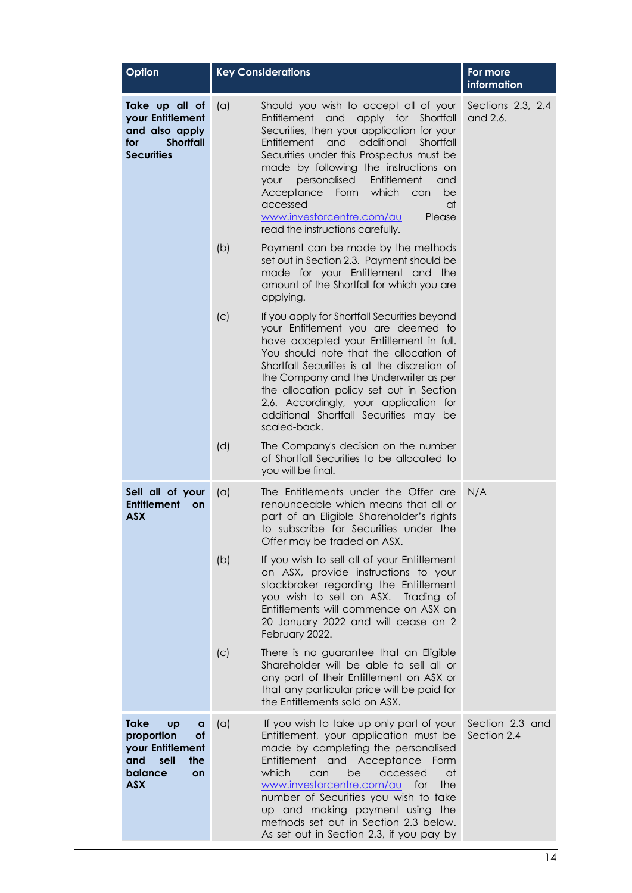| Option                                                                                                              |     | <b>Key Considerations</b>                                                                                                                                                                                                                                                                                                                                                                                                                               | For more<br>information        |
|---------------------------------------------------------------------------------------------------------------------|-----|---------------------------------------------------------------------------------------------------------------------------------------------------------------------------------------------------------------------------------------------------------------------------------------------------------------------------------------------------------------------------------------------------------------------------------------------------------|--------------------------------|
| Take up all of<br>your Entitlement<br>and also apply<br><b>Shortfall</b><br>for<br><b>Securities</b>                | (a) | Should you wish to accept all of your<br>Entitlement and<br>apply for Shortfall<br>Securities, then your application for your<br>Entitlement<br>and<br>additional<br>Shortfall<br>Securities under this Prospectus must be<br>made by following the instructions on<br>personalised<br>Entitlement<br>your<br>and<br>Form which<br>Acceptance<br>be<br>can<br>accessed<br>at<br>www.investorcentre.com/au<br>Please<br>read the instructions carefully. | Sections 2.3, 2.4<br>and 2.6.  |
|                                                                                                                     | (b) | Payment can be made by the methods<br>set out in Section 2.3. Payment should be<br>made for your Entitlement and the<br>amount of the Shortfall for which you are<br>applying.                                                                                                                                                                                                                                                                          |                                |
|                                                                                                                     | (c) | If you apply for Shortfall Securities beyond<br>your Entitlement you are deemed to<br>have accepted your Entitlement in full.<br>You should note that the allocation of<br>Shortfall Securities is at the discretion of<br>the Company and the Underwriter as per<br>the allocation policy set out in Section<br>2.6. Accordingly, your application for<br>additional Shortfall Securities may be<br>scaled-back.                                       |                                |
|                                                                                                                     | (d) | The Company's decision on the number<br>of Shortfall Securities to be allocated to<br>you will be final.                                                                                                                                                                                                                                                                                                                                                |                                |
| Sell all of your<br><b>Entitlement</b><br>on<br><b>ASX</b>                                                          | (a) | The Entitlements under the Offer are<br>renounceable which means that all or<br>part of an Eligible Shareholder's rights<br>to subscribe for Securities under the<br>Offer may be traded on ASX.                                                                                                                                                                                                                                                        | N/A                            |
|                                                                                                                     | (b) | If you wish to sell all of your Entitlement<br>on ASX, provide instructions to your<br>stockbroker regarding the Entitlement<br>you wish to sell on ASX.<br>Trading of<br>Entitlements will commence on ASX on<br>20 January 2022 and will cease on 2<br>February 2022.                                                                                                                                                                                 |                                |
|                                                                                                                     | (C) | There is no guarantee that an Eligible<br>Shareholder will be able to sell all or<br>any part of their Entitlement on ASX or<br>that any particular price will be paid for<br>the Entitlements sold on ASX.                                                                                                                                                                                                                                             |                                |
| Take<br><b>Up</b><br>a<br>proportion<br>of<br>your Entitlement<br>sell<br>the<br>and<br>balance<br>on<br><b>ASX</b> | (a) | If you wish to take up only part of your<br>Entitlement, your application must be<br>made by completing the personalised<br>Entitlement and Acceptance<br>Form<br>which<br>can<br>be<br>accessed<br>at<br>www.investorcentre.com/au for<br>the<br>number of Securities you wish to take<br>up and making payment using the<br>methods set out in Section 2.3 below.<br>As set out in Section 2.3, if you pay by                                         | Section 2.3 and<br>Section 2.4 |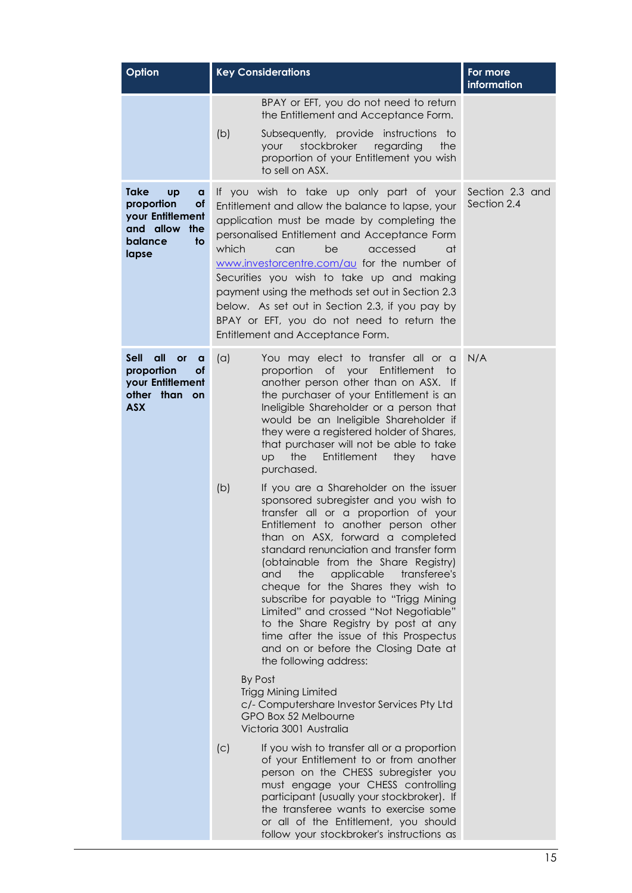| Option                                                                                                                     | <b>Key Considerations</b>                                                                                                                                                                                                                                                                                                                                                                                                                                                                                                                                                                                              | For more<br>information        |
|----------------------------------------------------------------------------------------------------------------------------|------------------------------------------------------------------------------------------------------------------------------------------------------------------------------------------------------------------------------------------------------------------------------------------------------------------------------------------------------------------------------------------------------------------------------------------------------------------------------------------------------------------------------------------------------------------------------------------------------------------------|--------------------------------|
|                                                                                                                            | BPAY or EFT, you do not need to return<br>the Entitlement and Acceptance Form.<br>(b)<br>Subsequently, provide instructions<br>to t<br>stockbroker<br>regarding<br><b>your</b><br>the                                                                                                                                                                                                                                                                                                                                                                                                                                  |                                |
|                                                                                                                            | proportion of your Entitlement you wish<br>to sell on ASX.                                                                                                                                                                                                                                                                                                                                                                                                                                                                                                                                                             |                                |
| <b>Take</b><br><b>Up</b><br>a<br>proportion<br><b>of</b><br>your Entitlement<br>and allow<br>the<br>balance<br>to<br>lapse | If you wish to take up only part of your<br>Entitlement and allow the balance to lapse, your<br>application must be made by completing the<br>personalised Entitlement and Acceptance Form<br>which<br>be<br>accessed<br>at<br>can<br>www.investorcentre.com/au for the number of<br>Securities you wish to take up and making<br>payment using the methods set out in Section 2.3<br>below. As set out in Section 2.3, if you pay by<br>BPAY or EFT, you do not need to return the<br>Entitlement and Acceptance Form.                                                                                                | Section 2.3 and<br>Section 2.4 |
| Sell<br>all<br><b>or</b><br>a<br>proportion<br>оf<br>your Entitlement<br>other than on<br><b>ASX</b>                       | You may elect to transfer all or a<br>(a)<br>proportion of your Entitlement<br>to<br>another person other than on ASX. If<br>the purchaser of your Entitlement is an<br>Ineligible Shareholder or a person that<br>would be an Ineligible Shareholder if<br>they were a registered holder of Shares,<br>that purchaser will not be able to take<br>the<br>Entitlement<br>UD<br>they<br>have<br>purchased.                                                                                                                                                                                                              | N/A                            |
|                                                                                                                            | (b)<br>If you are a Shareholder on the issuer<br>sponsored subregister and you wish to<br>transfer all or a proportion of your<br>Entitlement to another person other<br>than on ASX, forward a completed<br>standard renunciation and transfer form<br>(obtainable from the Share Registry)<br>applicable<br>transferee's<br>and<br>the<br>cheque for the Shares they wish to<br>subscribe for payable to "Trigg Mining<br>Limited" and crossed "Not Negotiable"<br>to the Share Registry by post at any<br>time after the issue of this Prospectus<br>and on or before the Closing Date at<br>the following address: |                                |
|                                                                                                                            | By Post<br><b>Trigg Mining Limited</b><br>c/- Computershare Investor Services Pty Ltd<br>GPO Box 52 Melbourne<br>Victoria 3001 Australia                                                                                                                                                                                                                                                                                                                                                                                                                                                                               |                                |
|                                                                                                                            | (c)<br>If you wish to transfer all or a proportion<br>of your Entitlement to or from another<br>person on the CHESS subregister you<br>must engage your CHESS controlling<br>participant (usually your stockbroker). If<br>the transferee wants to exercise some<br>or all of the Entitlement, you should<br>follow your stockbroker's instructions as                                                                                                                                                                                                                                                                 |                                |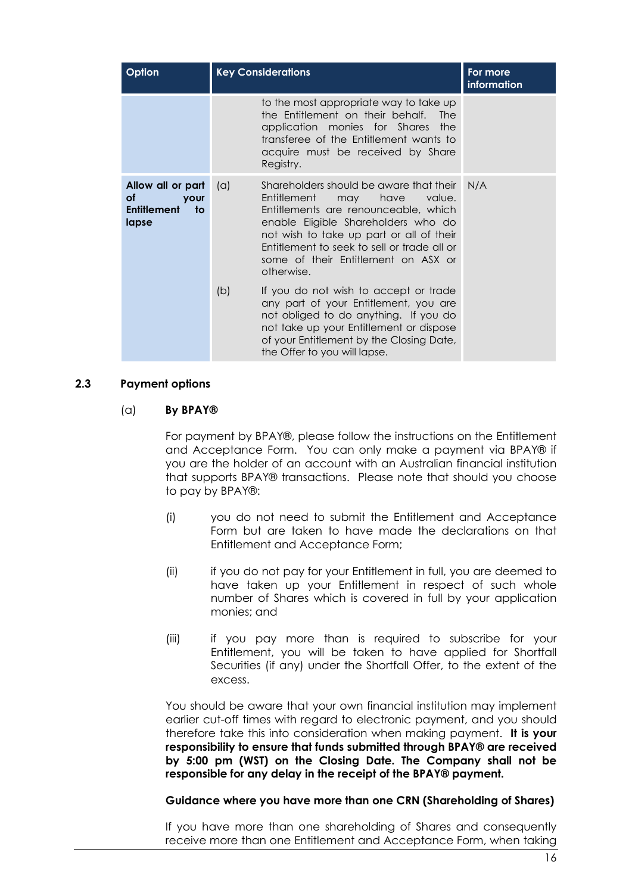| Option                                                                       | <b>Key Considerations</b> |                                                                                                                                                                                                                                                                                                                | For more<br>information |
|------------------------------------------------------------------------------|---------------------------|----------------------------------------------------------------------------------------------------------------------------------------------------------------------------------------------------------------------------------------------------------------------------------------------------------------|-------------------------|
|                                                                              |                           | to the most appropriate way to take up<br>the Entitlement on their behalf.<br><b>The</b><br>application monies for Shares the<br>transferee of the Entitlement wants to<br>acquire must be received by Share<br>Registry.                                                                                      |                         |
| Allow all or part<br>οf<br><b>your</b><br><b>Entitlement</b><br>to:<br>lapse | (a)                       | Shareholders should be aware that their<br>Entitlement<br>have<br>value.<br>may<br>Entitlements are renounceable, which<br>enable Eligible Shareholders who do<br>not wish to take up part or all of their<br>Entitlement to seek to sell or trade all or<br>some of their Entitlement on ASX or<br>otherwise. | N/A                     |
|                                                                              | (b)                       | If you do not wish to accept or trade<br>any part of your Entitlement, you are<br>not obliged to do anything. If you do<br>not take up your Entitlement or dispose<br>of your Entitlement by the Closing Date,<br>the Offer to you will lapse.                                                                 |                         |

#### <span id="page-16-0"></span>**2.3 Payment options**

#### (a) **By BPAY®**

For payment by BPAY®, please follow the instructions on the Entitlement and Acceptance Form. You can only make a payment via BPAY® if you are the holder of an account with an Australian financial institution that supports BPAY® transactions. Please note that should you choose to pay by BPAY®:

- (i) you do not need to submit the Entitlement and Acceptance Form but are taken to have made the declarations on that Entitlement and Acceptance Form;
- (ii) if you do not pay for your Entitlement in full, you are deemed to have taken up your Entitlement in respect of such whole number of Shares which is covered in full by your application monies; and
- (iii) if you pay more than is required to subscribe for your Entitlement, you will be taken to have applied for Shortfall Securities (if any) under the Shortfall Offer, to the extent of the excess.

You should be aware that your own financial institution may implement earlier cut-off times with regard to electronic payment, and you should therefore take this into consideration when making payment. **It is your responsibility to ensure that funds submitted through BPAY® are received by 5:00 pm (WST) on the Closing Date. The Company shall not be responsible for any delay in the receipt of the BPAY® payment.**

#### **Guidance where you have more than one CRN (Shareholding of Shares)**

If you have more than one shareholding of Shares and consequently receive more than one Entitlement and Acceptance Form, when taking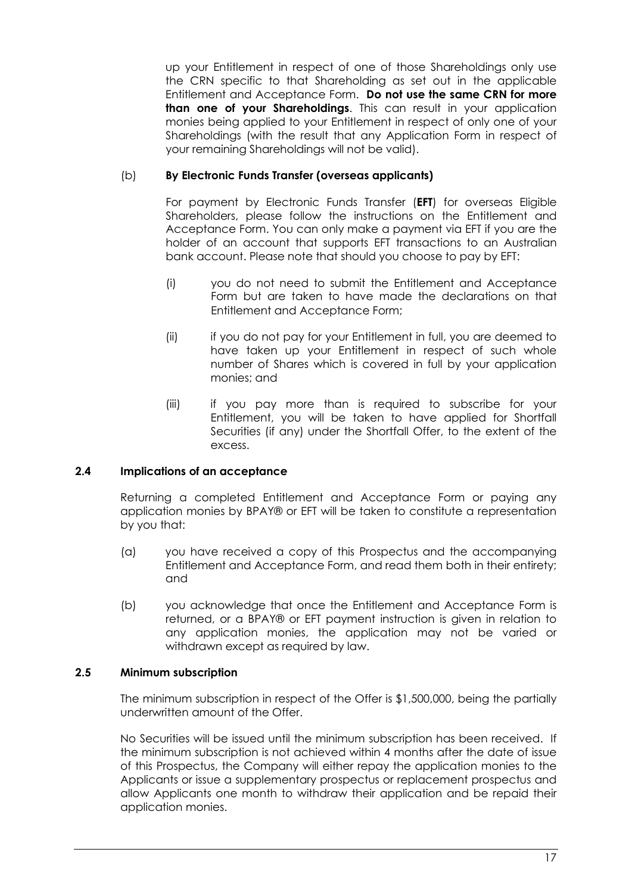up your Entitlement in respect of one of those Shareholdings only use the CRN specific to that Shareholding as set out in the applicable Entitlement and Acceptance Form. **Do not use the same CRN for more than one of your Shareholdings**. This can result in your application monies being applied to your Entitlement in respect of only one of your Shareholdings (with the result that any Application Form in respect of your remaining Shareholdings will not be valid).

## (b) **By Electronic Funds Transfer (overseas applicants)**

For payment by Electronic Funds Transfer (**EFT**) for overseas Eligible Shareholders, please follow the instructions on the Entitlement and Acceptance Form. You can only make a payment via EFT if you are the holder of an account that supports EFT transactions to an Australian bank account. Please note that should you choose to pay by EFT:

- (i) you do not need to submit the Entitlement and Acceptance Form but are taken to have made the declarations on that Entitlement and Acceptance Form;
- (ii) if you do not pay for your Entitlement in full, you are deemed to have taken up your Entitlement in respect of such whole number of Shares which is covered in full by your application monies; and
- (iii) if you pay more than is required to subscribe for your Entitlement, you will be taken to have applied for Shortfall Securities (if any) under the Shortfall Offer, to the extent of the excess.

## <span id="page-17-0"></span>**2.4 Implications of an acceptance**

Returning a completed Entitlement and Acceptance Form or paying any application monies by BPAY® or EFT will be taken to constitute a representation by you that:

- (a) you have received a copy of this Prospectus and the accompanying Entitlement and Acceptance Form, and read them both in their entirety; and
- (b) you acknowledge that once the Entitlement and Acceptance Form is returned, or a BPAY® or EFT payment instruction is given in relation to any application monies, the application may not be varied or withdrawn except as required by law.

#### **2.5 Minimum subscription**

The minimum subscription in respect of the Offer is \$1,500,000, being the partially underwritten amount of the Offer.

No Securities will be issued until the minimum subscription has been received. If the minimum subscription is not achieved within 4 months after the date of issue of this Prospectus, the Company will either repay the application monies to the Applicants or issue a supplementary prospectus or replacement prospectus and allow Applicants one month to withdraw their application and be repaid their application monies.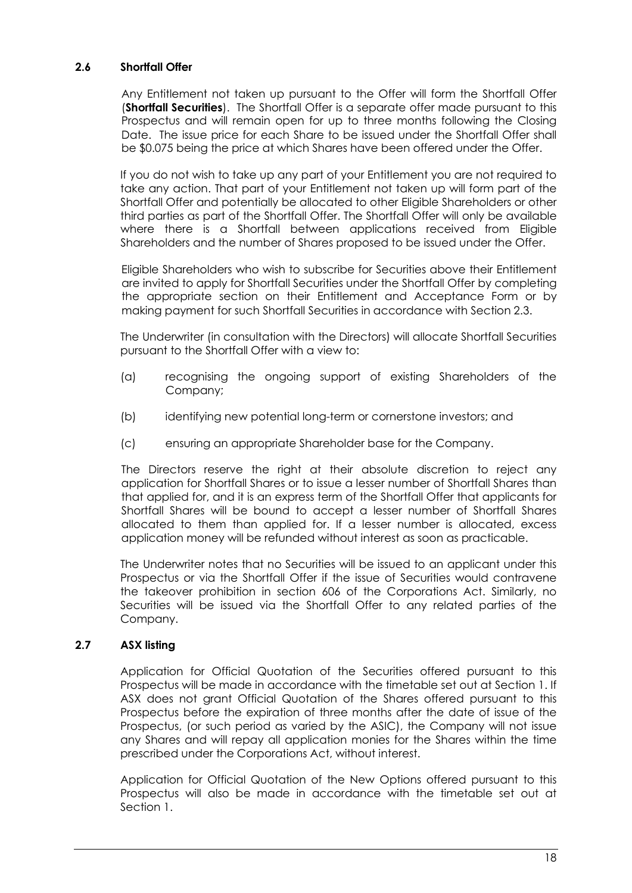#### <span id="page-18-0"></span>**2.6 Shortfall Offer**

Any Entitlement not taken up pursuant to the Offer will form the Shortfall Offer (**Shortfall Securities**). The Shortfall Offer is a separate offer made pursuant to this Prospectus and will remain open for up to three months following the Closing Date. The issue price for each Share to be issued under the Shortfall Offer shall be \$0.075 being the price at which Shares have been offered under the Offer.

If you do not wish to take up any part of your Entitlement you are not required to take any action. That part of your Entitlement not taken up will form part of the Shortfall Offer and potentially be allocated to other Eligible Shareholders or other third parties as part of the Shortfall Offer. The Shortfall Offer will only be available where there is a Shortfall between applications received from Eligible Shareholders and the number of Shares proposed to be issued under the Offer.

Eligible Shareholders who wish to subscribe for Securities above their Entitlement are invited to apply for Shortfall Securities under the Shortfall Offer by completing the appropriate section on their Entitlement and Acceptance Form or by making payment for such Shortfall Securities in accordance with Section [2.3.](#page-16-0)

The Underwriter (in consultation with the Directors) will allocate Shortfall Securities pursuant to the Shortfall Offer with a view to:

- (a) recognising the ongoing support of existing Shareholders of the Company;
- (b) identifying new potential long-term or cornerstone investors; and
- (c) ensuring an appropriate Shareholder base for the Company.

The Directors reserve the right at their absolute discretion to reject any application for Shortfall Shares or to issue a lesser number of Shortfall Shares than that applied for, and it is an express term of the Shortfall Offer that applicants for Shortfall Shares will be bound to accept a lesser number of Shortfall Shares allocated to them than applied for. If a lesser number is allocated, excess application money will be refunded without interest as soon as practicable.

The Underwriter notes that no Securities will be issued to an applicant under this Prospectus or via the Shortfall Offer if the issue of Securities would contravene the takeover prohibition in section 606 of the Corporations Act. Similarly, no Securities will be issued via the Shortfall Offer to any related parties of the Company.

#### **2.7 ASX listing**

Application for Official Quotation of the Securities offered pursuant to this Prospectus will be made in accordance with the timetable set out at Section 1. If ASX does not grant Official Quotation of the Shares offered pursuant to this Prospectus before the expiration of three months after the date of issue of the Prospectus, (or such period as varied by the ASIC), the Company will not issue any Shares and will repay all application monies for the Shares within the time prescribed under the Corporations Act, without interest.

Application for Official Quotation of the New Options offered pursuant to this Prospectus will also be made in accordance with the timetable set out at Section 1.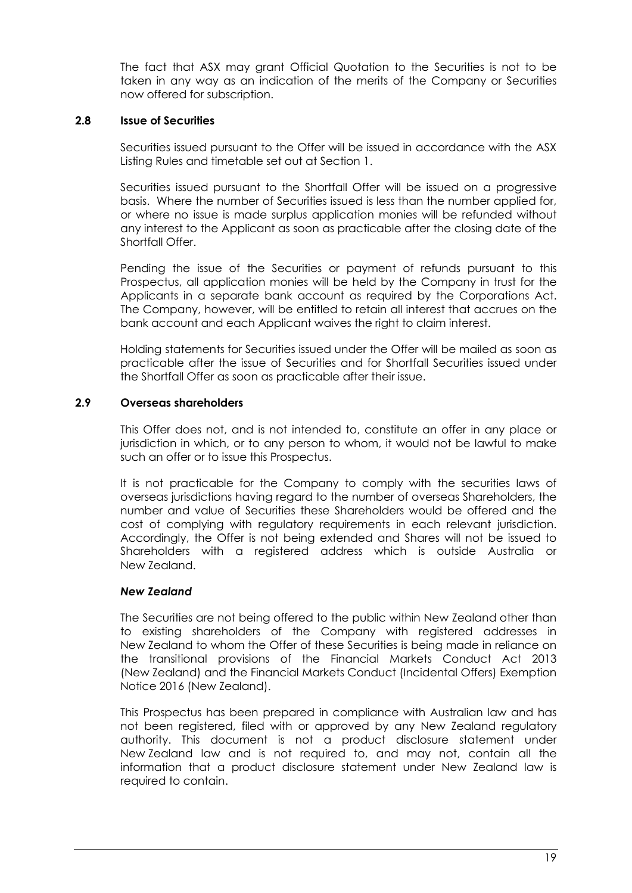The fact that ASX may grant Official Quotation to the Securities is not to be taken in any way as an indication of the merits of the Company or Securities now offered for subscription.

#### **2.8 Issue of Securities**

Securities issued pursuant to the Offer will be issued in accordance with the ASX Listing Rules and timetable set out at Section 1.

Securities issued pursuant to the Shortfall Offer will be issued on a progressive basis. Where the number of Securities issued is less than the number applied for, or where no issue is made surplus application monies will be refunded without any interest to the Applicant as soon as practicable after the closing date of the Shortfall Offer

Pending the issue of the Securities or payment of refunds pursuant to this Prospectus, all application monies will be held by the Company in trust for the Applicants in a separate bank account as required by the Corporations Act. The Company, however, will be entitled to retain all interest that accrues on the bank account and each Applicant waives the right to claim interest.

Holding statements for Securities issued under the Offer will be mailed as soon as practicable after the issue of Securities and for Shortfall Securities issued under the Shortfall Offer as soon as practicable after their issue.

#### <span id="page-19-0"></span>**2.9 Overseas shareholders**

This Offer does not, and is not intended to, constitute an offer in any place or jurisdiction in which, or to any person to whom, it would not be lawful to make such an offer or to issue this Prospectus.

It is not practicable for the Company to comply with the securities laws of overseas jurisdictions having regard to the number of overseas Shareholders, the number and value of Securities these Shareholders would be offered and the cost of complying with regulatory requirements in each relevant jurisdiction. Accordingly, the Offer is not being extended and Shares will not be issued to Shareholders with a registered address which is outside Australia or New Zealand.

#### *New Zealand*

The Securities are not being offered to the public within New Zealand other than to existing shareholders of the Company with registered addresses in New Zealand to whom the Offer of these Securities is being made in reliance on the transitional provisions of the Financial Markets Conduct Act 2013 (New Zealand) and the Financial Markets Conduct (Incidental Offers) Exemption Notice 2016 (New Zealand).

This Prospectus has been prepared in compliance with Australian law and has not been registered, filed with or approved by any New Zealand regulatory authority. This document is not a product disclosure statement under New Zealand law and is not required to, and may not, contain all the information that a product disclosure statement under New Zealand law is required to contain.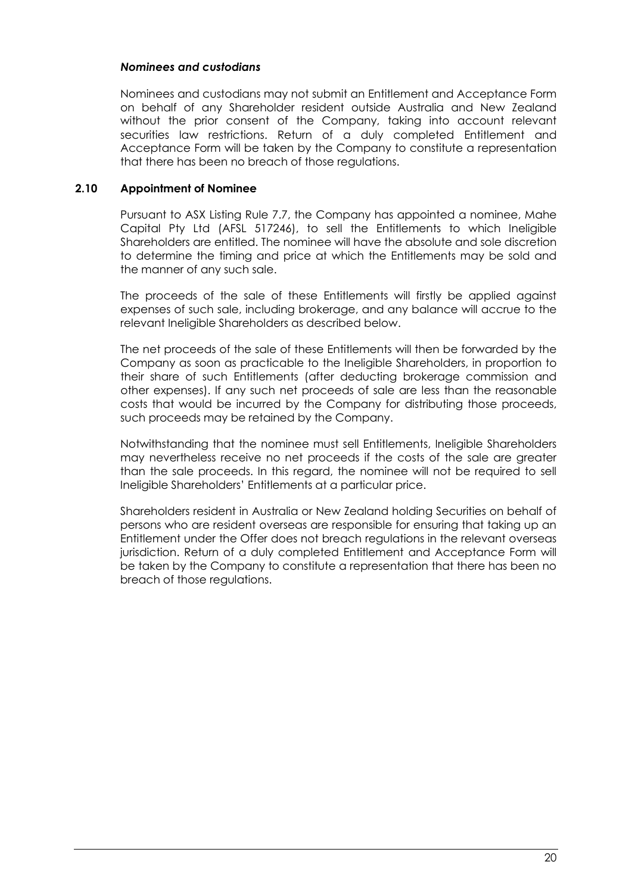#### *Nominees and custodians*

Nominees and custodians may not submit an Entitlement and Acceptance Form on behalf of any Shareholder resident outside Australia and New Zealand without the prior consent of the Company, taking into account relevant securities law restrictions. Return of a duly completed Entitlement and Acceptance Form will be taken by the Company to constitute a representation that there has been no breach of those regulations.

#### **2.10 Appointment of Nominee**

Pursuant to ASX Listing Rule 7.7, the Company has appointed a nominee, Mahe Capital Pty Ltd (AFSL 517246), to sell the Entitlements to which Ineligible Shareholders are entitled. The nominee will have the absolute and sole discretion to determine the timing and price at which the Entitlements may be sold and the manner of any such sale.

The proceeds of the sale of these Entitlements will firstly be applied against expenses of such sale, including brokerage, and any balance will accrue to the relevant Ineligible Shareholders as described below.

The net proceeds of the sale of these Entitlements will then be forwarded by the Company as soon as practicable to the Ineligible Shareholders, in proportion to their share of such Entitlements (after deducting brokerage commission and other expenses). If any such net proceeds of sale are less than the reasonable costs that would be incurred by the Company for distributing those proceeds, such proceeds may be retained by the Company.

Notwithstanding that the nominee must sell Entitlements, Ineligible Shareholders may nevertheless receive no net proceeds if the costs of the sale are greater than the sale proceeds. In this regard, the nominee will not be required to sell Ineligible Shareholders' Entitlements at a particular price.

Shareholders resident in Australia or New Zealand holding Securities on behalf of persons who are resident overseas are responsible for ensuring that taking up an Entitlement under the Offer does not breach regulations in the relevant overseas jurisdiction. Return of a duly completed Entitlement and Acceptance Form will be taken by the Company to constitute a representation that there has been no breach of those regulations.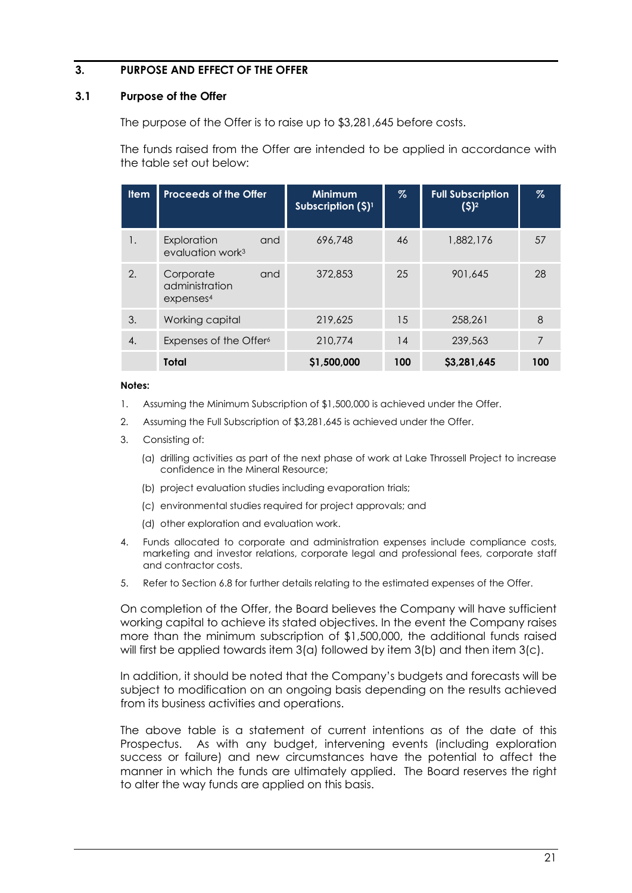#### <span id="page-21-0"></span>**3. PURPOSE AND EFFECT OF THE OFFER**

#### **3.1 Purpose of the Offer**

The purpose of the Offer is to raise up to \$3,281,645 before costs.

The funds raised from the Offer are intended to be applied in accordance with the table set out below:

| <b>Item</b> | <b>Proceeds of the Offer</b>                                | <b>Minimum</b><br>Subscription $(5)^1$ | %   | <b>Full Subscription</b><br>$(5)^2$ | $\%$ |
|-------------|-------------------------------------------------------------|----------------------------------------|-----|-------------------------------------|------|
| 1.          | Exploration<br>and<br>evaluation work <sup>3</sup>          | 696,748                                | 46  | 1,882,176                           | 57   |
| 2.          | Corporate<br>and<br>administration<br>expenses <sup>4</sup> | 372,853                                | 25  | 901,645                             | 28   |
| 3.          | Working capital                                             | 219,625                                | 15  | 258,261                             | 8    |
| 4.          | Expenses of the Offer <sup>6</sup>                          | 210,774                                | 14  | 239,563                             | 7    |
|             | Total                                                       | \$1,500,000                            | 100 | \$3,281,645                         | 100  |

#### **Notes:**

- 1. Assuming the Minimum Subscription of \$1,500,000 is achieved under the Offer.
- 2. Assuming the Full Subscription of \$3,281,645 is achieved under the Offer.
- 3. Consisting of:
	- (a) drilling activities as part of the next phase of work at Lake Throssell Project to increase confidence in the Mineral Resource;
	- (b) project evaluation studies including evaporation trials;
	- (c) environmental studies required for project approvals; and
	- (d) other exploration and evaluation work.
- 4. Funds allocated to corporate and administration expenses include compliance costs, marketing and investor relations, corporate legal and professional fees, corporate staff and contractor costs.
- 5. Refer to Section [6.8](#page-52-0) for further details relating to the estimated expenses of the Offer.

On completion of the Offer, the Board believes the Company will have sufficient working capital to achieve its stated objectives. In the event the Company raises more than the minimum subscription of \$1,500,000, the additional funds raised will first be applied towards item  $3(a)$  followed by item  $3(b)$  and then item  $3(c)$ .

In addition, it should be noted that the Company's budgets and forecasts will be subject to modification on an ongoing basis depending on the results achieved from its business activities and operations.

The above table is a statement of current intentions as of the date of this Prospectus. As with any budget, intervening events (including exploration success or failure) and new circumstances have the potential to affect the manner in which the funds are ultimately applied. The Board reserves the right to alter the way funds are applied on this basis.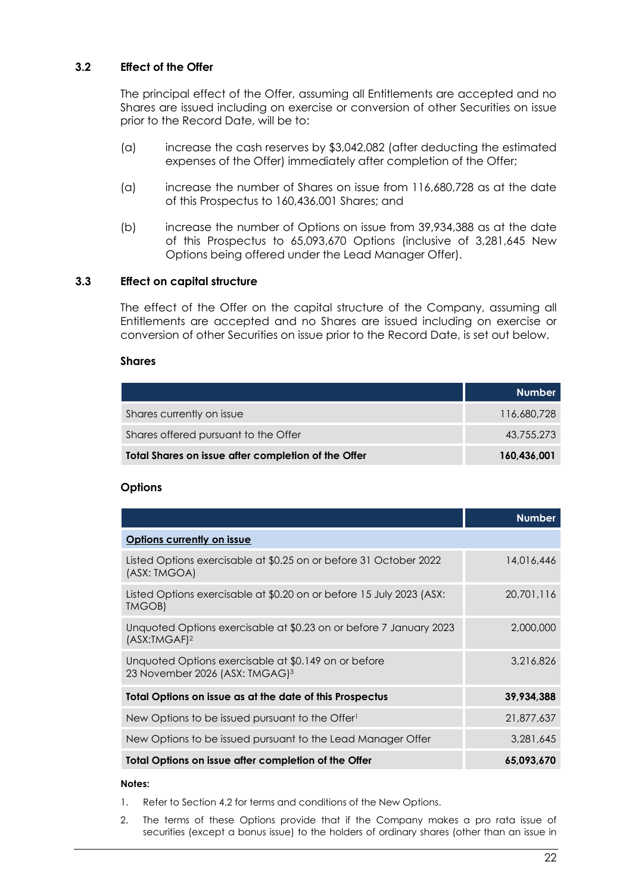#### **3.2 Effect of the Offer**

The principal effect of the Offer, assuming all Entitlements are accepted and no Shares are issued including on exercise or conversion of other Securities on issue prior to the Record Date, will be to:

- (a) increase the cash reserves by \$3,042,082 (after deducting the estimated expenses of the Offer) immediately after completion of the Offer;
- (a) increase the number of Shares on issue from 116,680,728 as at the date of this Prospectus to 160,436,001 Shares; and
- (b) increase the number of Options on issue from 39,934,388 as at the date of this Prospectus to 65,093,670 Options (inclusive of 3,281,645 New Options being offered under the Lead Manager Offer).

#### <span id="page-22-0"></span>**3.3 Effect on capital structure**

The effect of the Offer on the capital structure of the Company, assuming all Entitlements are accepted and no Shares are issued including on exercise or conversion of other Securities on issue prior to the Record Date, is set out below.

#### **Shares**

|                                                     | <b>Number</b> |
|-----------------------------------------------------|---------------|
| Shares currently on issue                           | 116,680,728   |
| Shares offered pursuant to the Offer                | 43,755,273    |
| Total Shares on issue after completion of the Offer | 160,436,001   |

#### **Options**

|                                                                                                    | <b>Number</b> |
|----------------------------------------------------------------------------------------------------|---------------|
| Options currently on issue                                                                         |               |
| Listed Options exercisable at \$0.25 on or before 31 October 2022<br>(ASX: TMGOA)                  | 14,016,446    |
| Listed Options exercisable at \$0.20 on or before 15 July 2023 (ASX:<br>TMGOB)                     | 20,701,116    |
| Unquoted Options exercisable at \$0.23 on or before 7 January 2023<br>(ASK:TMGAF) <sup>2</sup>     | 2,000,000     |
| Unquoted Options exercisable at \$0.149 on or before<br>23 November 2026 (ASX: TMGAG) <sup>3</sup> | 3.216.826     |
| Total Options on issue as at the date of this Prospectus                                           | 39,934,388    |
| New Options to be issued pursuant to the Offer                                                     | 21,877,637    |
| New Options to be issued pursuant to the Lead Manager Offer                                        | 3.281.645     |
| Total Options on issue after completion of the Offer                                               | 65.093.670    |

#### **Notes:**

- 1. Refer to Section [4.2](#page-27-0) for terms and conditions of the New Options.
- 2. The terms of these Options provide that if the Company makes a pro rata issue of securities (except a bonus issue) to the holders of ordinary shares (other than an issue in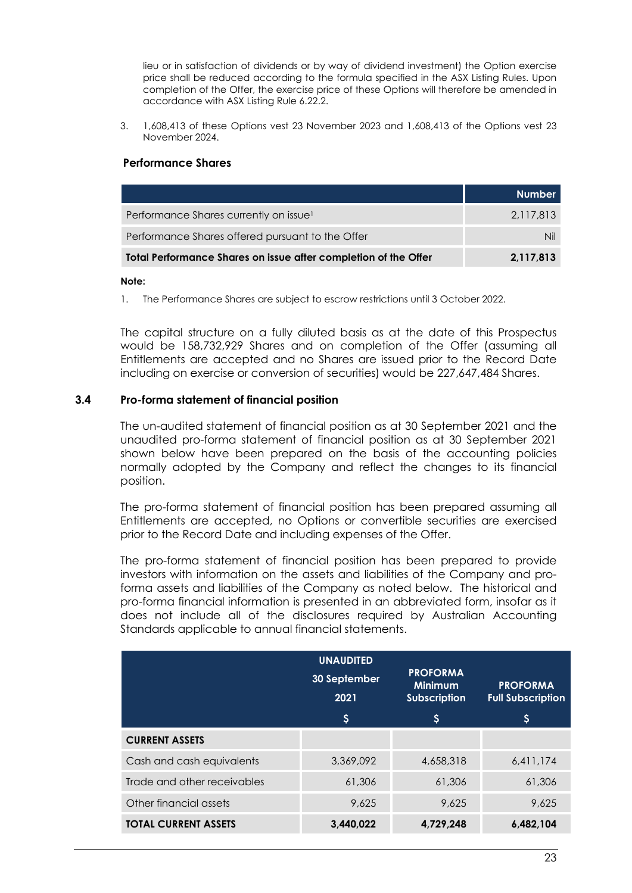lieu or in satisfaction of dividends or by way of dividend investment) the Option exercise price shall be reduced according to the formula specified in the ASX Listing Rules. Upon completion of the Offer, the exercise price of these Options will therefore be amended in accordance with ASX Listing Rule 6.22.2.

3. 1,608,413 of these Options vest 23 November 2023 and 1,608,413 of the Options vest 23 November 2024.

#### **Performance Shares**

|                                                                 | <b>Number</b> |
|-----------------------------------------------------------------|---------------|
| Performance Shares currently on issue <sup>1</sup>              | 2.117.813     |
| Performance Shares offered pursuant to the Offer                | NΙ            |
| Total Performance Shares on issue after completion of the Offer | 2.117.813     |

#### **Note:**

1. The Performance Shares are subject to escrow restrictions until 3 October 2022.

The capital structure on a fully diluted basis as at the date of this Prospectus would be 158,732,929 Shares and on completion of the Offer (assuming all Entitlements are accepted and no Shares are issued prior to the Record Date including on exercise or conversion of securities) would be 227,647,484 Shares.

#### **3.4 Pro-forma statement of financial position**

The un-audited statement of financial position as at 30 September 2021 and the unaudited pro-forma statement of financial position as at 30 September 2021 shown below have been prepared on the basis of the accounting policies normally adopted by the Company and reflect the changes to its financial position.

The pro-forma statement of financial position has been prepared assuming all Entitlements are accepted, no Options or convertible securities are exercised prior to the Record Date and including expenses of the Offer.

The pro-forma statement of financial position has been prepared to provide investors with information on the assets and liabilities of the Company and proforma assets and liabilities of the Company as noted below. The historical and pro-forma financial information is presented in an abbreviated form, insofar as it does not include all of the disclosures required by Australian Accounting Standards applicable to annual financial statements.

|                             | <b>UNAUDITED</b><br>30 September<br>2021<br>$\boldsymbol{\mathsf{S}}$ | <b>PROFORMA</b><br><b>Minimum</b><br><b>Subscription</b><br>S | <b>PROFORMA</b><br><b>Full Subscription</b><br>\$ |
|-----------------------------|-----------------------------------------------------------------------|---------------------------------------------------------------|---------------------------------------------------|
| <b>CURRENT ASSETS</b>       |                                                                       |                                                               |                                                   |
| Cash and cash equivalents   | 3,369,092                                                             | 4,658,318                                                     | 6,411,174                                         |
| Trade and other receivables | 61,306                                                                | 61,306                                                        | 61,306                                            |
| Other financial assets      | 9.625                                                                 | 9.625                                                         | 9.625                                             |
| <b>TOTAL CURRENT ASSETS</b> | 3,440,022                                                             | 4,729,248                                                     | 6,482,104                                         |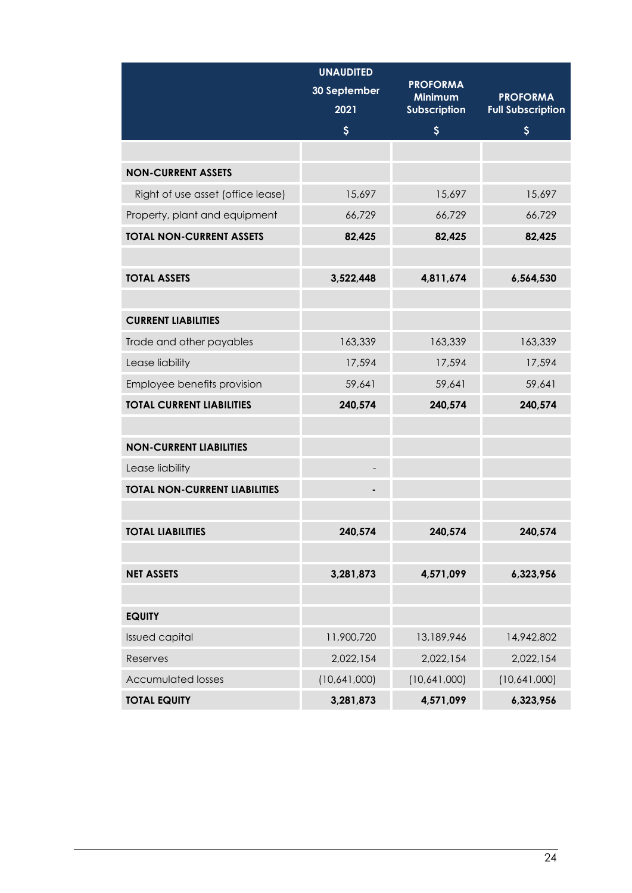|                                      | <b>UNAUDITED</b>         |                            |                          |
|--------------------------------------|--------------------------|----------------------------|--------------------------|
|                                      | 30 September             | <b>PROFORMA</b><br>Minimum | <b>PROFORMA</b>          |
|                                      | 2021                     | Subscription               | <b>Full Subscription</b> |
|                                      | $\boldsymbol{\varsigma}$ | $\boldsymbol{\varsigma}$   | \$                       |
|                                      |                          |                            |                          |
| <b>NON-CURRENT ASSETS</b>            |                          |                            |                          |
| Right of use asset (office lease)    | 15,697                   | 15,697                     | 15,697                   |
| Property, plant and equipment        | 66,729                   | 66,729                     | 66,729                   |
| <b>TOTAL NON-CURRENT ASSETS</b>      | 82,425                   | 82,425                     | 82,425                   |
|                                      |                          |                            |                          |
| <b>TOTAL ASSETS</b>                  | 3,522,448                | 4,811,674                  | 6,564,530                |
|                                      |                          |                            |                          |
| <b>CURRENT LIABILITIES</b>           |                          |                            |                          |
| Trade and other payables             | 163,339                  | 163,339                    | 163,339                  |
| Lease liability                      | 17,594                   | 17,594                     | 17,594                   |
| Employee benefits provision          | 59,641                   | 59,641                     | 59,641                   |
| <b>TOTAL CURRENT LIABILITIES</b>     | 240,574                  | 240,574                    | 240,574                  |
|                                      |                          |                            |                          |
| <b>NON-CURRENT LIABILITIES</b>       |                          |                            |                          |
| Lease liability                      |                          |                            |                          |
| <b>TOTAL NON-CURRENT LIABILITIES</b> |                          |                            |                          |
|                                      |                          |                            |                          |
| <b>TOTAL LIABILITIES</b>             | 240,574                  | 240,574                    | 240,574                  |
|                                      |                          |                            |                          |
| <b>NET ASSETS</b>                    | 3,281,873                | 4,571,099                  | 6,323,956                |
|                                      |                          |                            |                          |
| <b>EQUITY</b>                        |                          |                            |                          |
| <b>Issued capital</b>                | 11,900,720               | 13,189,946                 | 14,942,802               |
| Reserves                             | 2,022,154                | 2,022,154                  | 2,022,154                |
| <b>Accumulated losses</b>            | (10,641,000)             | (10,641,000)               | (10,641,000)             |
| <b>TOTAL EQUITY</b>                  | 3,281,873                | 4,571,099                  | 6,323,956                |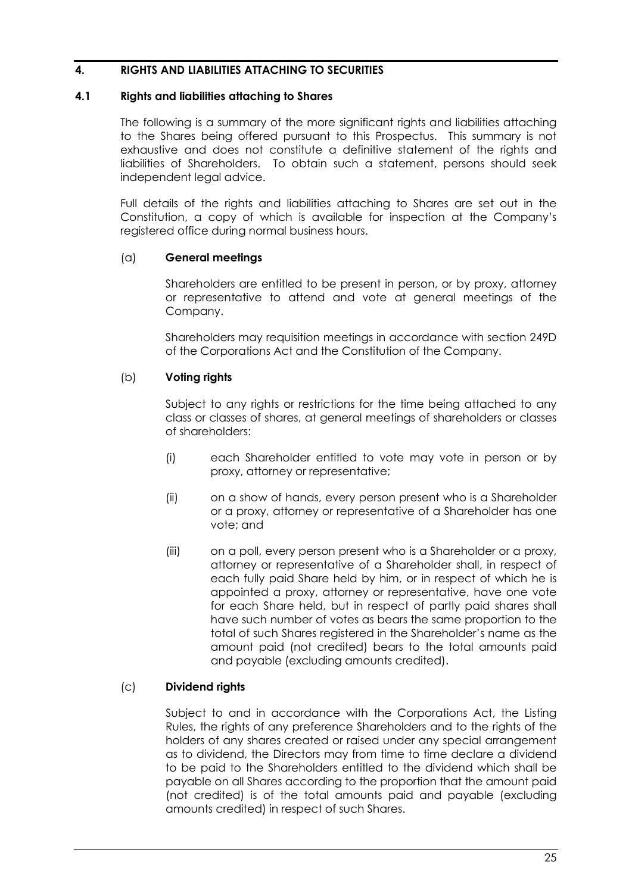#### <span id="page-25-0"></span>**4. RIGHTS AND LIABILITIES ATTACHING TO SECURITIES**

#### <span id="page-25-1"></span>**4.1 Rights and liabilities attaching to Shares**

The following is a summary of the more significant rights and liabilities attaching to the Shares being offered pursuant to this Prospectus. This summary is not exhaustive and does not constitute a definitive statement of the rights and liabilities of Shareholders. To obtain such a statement, persons should seek independent legal advice.

Full details of the rights and liabilities attaching to Shares are set out in the Constitution, a copy of which is available for inspection at the Company's registered office during normal business hours.

#### (a) **General meetings**

Shareholders are entitled to be present in person, or by proxy, attorney or representative to attend and vote at general meetings of the Company.

Shareholders may requisition meetings in accordance with section 249D of the Corporations Act and the Constitution of the Company.

#### (b) **Voting rights**

Subject to any rights or restrictions for the time being attached to any class or classes of shares, at general meetings of shareholders or classes of shareholders:

- (i) each Shareholder entitled to vote may vote in person or by proxy, attorney or representative;
- (ii) on a show of hands, every person present who is a Shareholder or a proxy, attorney or representative of a Shareholder has one vote; and
- (iii) on a poll, every person present who is a Shareholder or a proxy, attorney or representative of a Shareholder shall, in respect of each fully paid Share held by him, or in respect of which he is appointed a proxy, attorney or representative, have one vote for each Share held, but in respect of partly paid shares shall have such number of votes as bears the same proportion to the total of such Shares registered in the Shareholder's name as the amount paid (not credited) bears to the total amounts paid and payable (excluding amounts credited).

#### (c) **Dividend rights**

Subject to and in accordance with the Corporations Act, the Listing Rules, the rights of any preference Shareholders and to the rights of the holders of any shares created or raised under any special arrangement as to dividend, the Directors may from time to time declare a dividend to be paid to the Shareholders entitled to the dividend which shall be payable on all Shares according to the proportion that the amount paid (not credited) is of the total amounts paid and payable (excluding amounts credited) in respect of such Shares.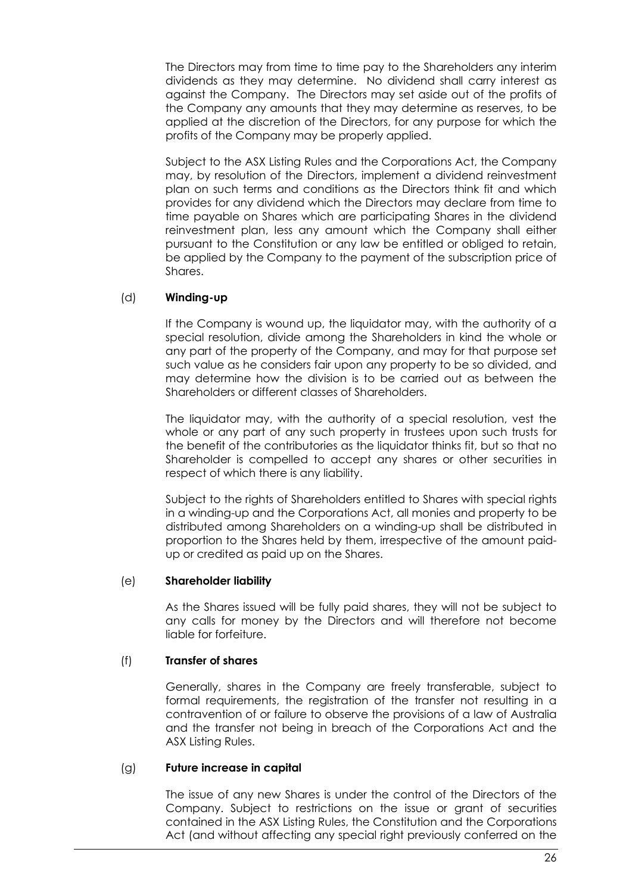The Directors may from time to time pay to the Shareholders any interim dividends as they may determine. No dividend shall carry interest as against the Company. The Directors may set aside out of the profits of the Company any amounts that they may determine as reserves, to be applied at the discretion of the Directors, for any purpose for which the profits of the Company may be properly applied.

Subject to the ASX Listing Rules and the Corporations Act, the Company may, by resolution of the Directors, implement a dividend reinvestment plan on such terms and conditions as the Directors think fit and which provides for any dividend which the Directors may declare from time to time payable on Shares which are participating Shares in the dividend reinvestment plan, less any amount which the Company shall either pursuant to the Constitution or any law be entitled or obliged to retain, be applied by the Company to the payment of the subscription price of Shares.

#### (d) **Winding-up**

If the Company is wound up, the liquidator may, with the authority of a special resolution, divide among the Shareholders in kind the whole or any part of the property of the Company, and may for that purpose set such value as he considers fair upon any property to be so divided, and may determine how the division is to be carried out as between the Shareholders or different classes of Shareholders.

The liquidator may, with the authority of a special resolution, vest the whole or any part of any such property in trustees upon such trusts for the benefit of the contributories as the liquidator thinks fit, but so that no Shareholder is compelled to accept any shares or other securities in respect of which there is any liability.

Subject to the rights of Shareholders entitled to Shares with special rights in a winding-up and the Corporations Act, all monies and property to be distributed among Shareholders on a winding-up shall be distributed in proportion to the Shares held by them, irrespective of the amount paidup or credited as paid up on the Shares.

#### (e) **Shareholder liability**

As the Shares issued will be fully paid shares, they will not be subject to any calls for money by the Directors and will therefore not become liable for forfeiture.

#### (f) **Transfer of shares**

Generally, shares in the Company are freely transferable, subject to formal requirements, the registration of the transfer not resulting in a contravention of or failure to observe the provisions of a law of Australia and the transfer not being in breach of the Corporations Act and the ASX Listing Rules.

#### (g) **Future increase in capital**

The issue of any new Shares is under the control of the Directors of the Company. Subject to restrictions on the issue or grant of securities contained in the ASX Listing Rules, the Constitution and the Corporations Act (and without affecting any special right previously conferred on the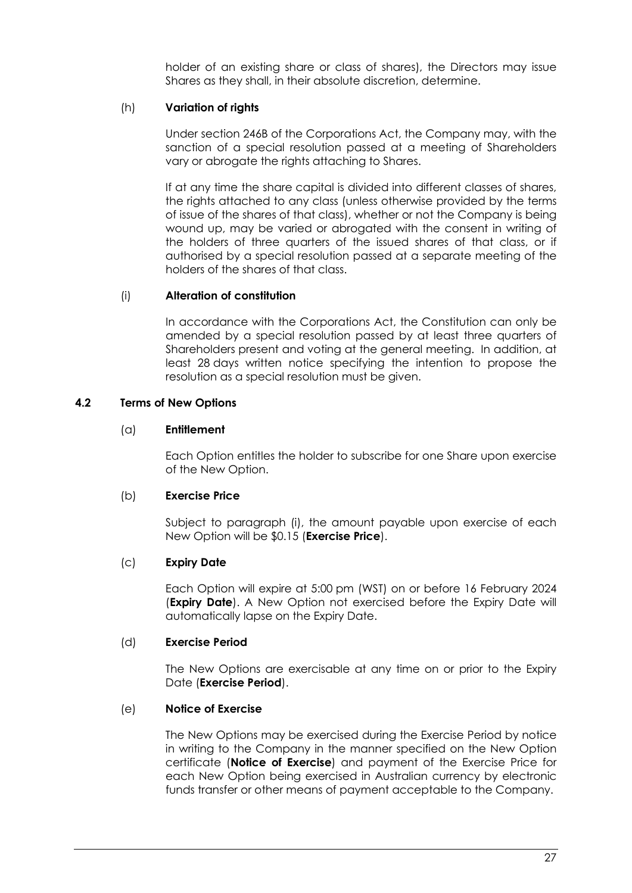holder of an existing share or class of shares), the Directors may issue Shares as they shall, in their absolute discretion, determine.

#### (h) **Variation of rights**

Under section 246B of the Corporations Act, the Company may, with the sanction of a special resolution passed at a meeting of Shareholders vary or abrogate the rights attaching to Shares.

If at any time the share capital is divided into different classes of shares, the rights attached to any class (unless otherwise provided by the terms of issue of the shares of that class), whether or not the Company is being wound up, may be varied or abroagted with the consent in writing of the holders of three quarters of the issued shares of that class, or if authorised by a special resolution passed at a separate meeting of the holders of the shares of that class.

#### (i) **Alteration of constitution**

In accordance with the Corporations Act, the Constitution can only be amended by a special resolution passed by at least three quarters of Shareholders present and voting at the general meeting. In addition, at least 28 days written notice specifying the intention to propose the resolution as a special resolution must be given.

#### <span id="page-27-0"></span>**4.2 Terms of New Options**

#### (a) **Entitlement**

Each Option entitles the holder to subscribe for one Share upon exercise of the New Option.

#### (b) **Exercise Price**

Subject to paragraph [\(i\),](#page-28-0) the amount payable upon exercise of each New Option will be \$0.15 (**Exercise Price**).

#### (c) **Expiry Date**

Each Option will expire at 5:00 pm (WST) on or before 16 February 2024 (**Expiry Date**). A New Option not exercised before the Expiry Date will automatically lapse on the Expiry Date.

#### (d) **Exercise Period**

The New Options are exercisable at any time on or prior to the Expiry Date (**Exercise Period**).

#### (e) **Notice of Exercise**

The New Options may be exercised during the Exercise Period by notice in writing to the Company in the manner specified on the New Option certificate (**Notice of Exercise**) and payment of the Exercise Price for each New Option being exercised in Australian currency by electronic funds transfer or other means of payment acceptable to the Company.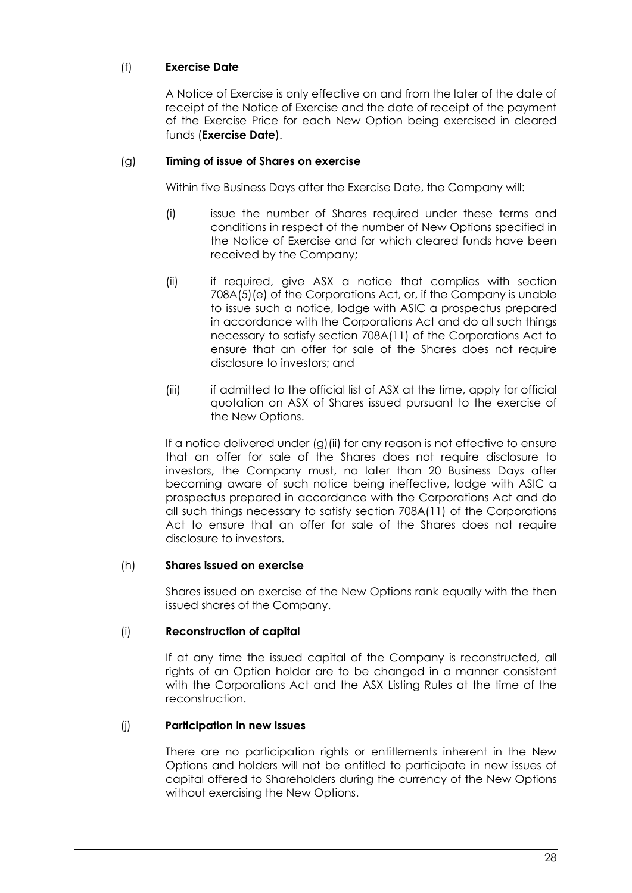## (f) **Exercise Date**

A Notice of Exercise is only effective on and from the later of the date of receipt of the Notice of Exercise and the date of receipt of the payment of the Exercise Price for each New Option being exercised in cleared funds (**Exercise Date**).

#### <span id="page-28-1"></span>(g) **Timing of issue of Shares on exercise**

Within five Business Days after the Exercise Date, the Company will:

- (i) issue the number of Shares required under these terms and conditions in respect of the number of New Options specified in the Notice of Exercise and for which cleared funds have been received by the Company;
- <span id="page-28-2"></span>(ii) if required, give ASX a notice that complies with section 708A(5)(e) of the Corporations Act, or, if the Company is unable to issue such a notice, lodge with ASIC a prospectus prepared in accordance with the Corporations Act and do all such things necessary to satisfy section 708A(11) of the Corporations Act to ensure that an offer for sale of the Shares does not require disclosure to investors; and
- (iii) if admitted to the official list of ASX at the time, apply for official quotation on ASX of Shares issued pursuant to the exercise of the New Options.

If a notice delivered under [\(g\)](#page-28-1)(iii) for any reason is not effective to ensure that an offer for sale of the Shares does not require disclosure to investors, the Company must, no later than 20 Business Days after becoming aware of such notice being ineffective, lodge with ASIC a prospectus prepared in accordance with the Corporations Act and do all such things necessary to satisfy section 708A(11) of the Corporations Act to ensure that an offer for sale of the Shares does not require disclosure to investors.

#### (h) **Shares issued on exercise**

Shares issued on exercise of the New Options rank equally with the then issued shares of the Company.

#### <span id="page-28-0"></span>(i) **Reconstruction of capital**

If at any time the issued capital of the Company is reconstructed, all rights of an Option holder are to be changed in a manner consistent with the Corporations Act and the ASX Listing Rules at the time of the reconstruction.

#### (j) **Participation in new issues**

There are no participation rights or entitlements inherent in the New Options and holders will not be entitled to participate in new issues of capital offered to Shareholders during the currency of the New Options without exercising the New Options.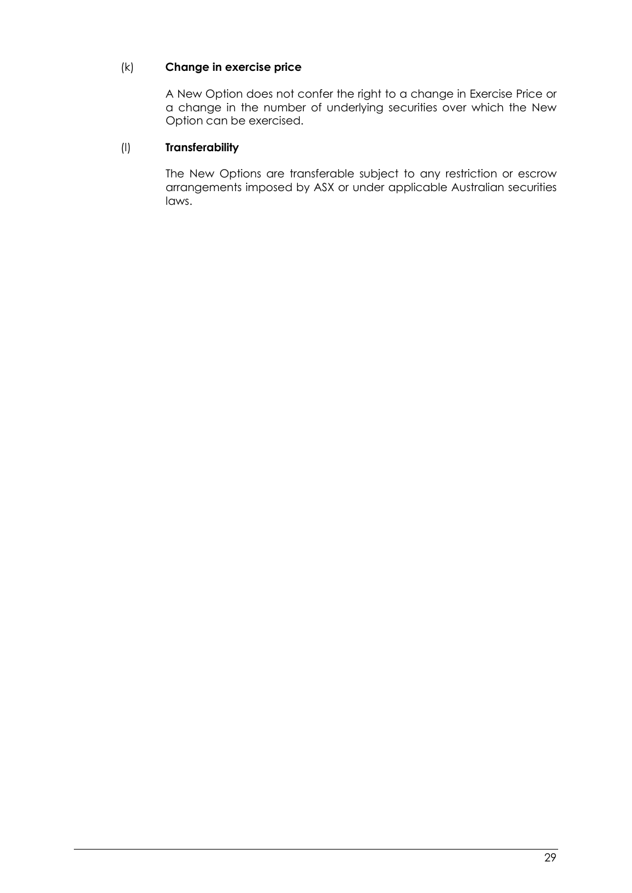## (k) **Change in exercise price**

A New Option does not confer the right to a change in Exercise Price or a change in the number of underlying securities over which the New Option can be exercised.

#### (l) **Transferability**

The New Options are transferable subject to any restriction or escrow arrangements imposed by ASX or under applicable Australian securities laws.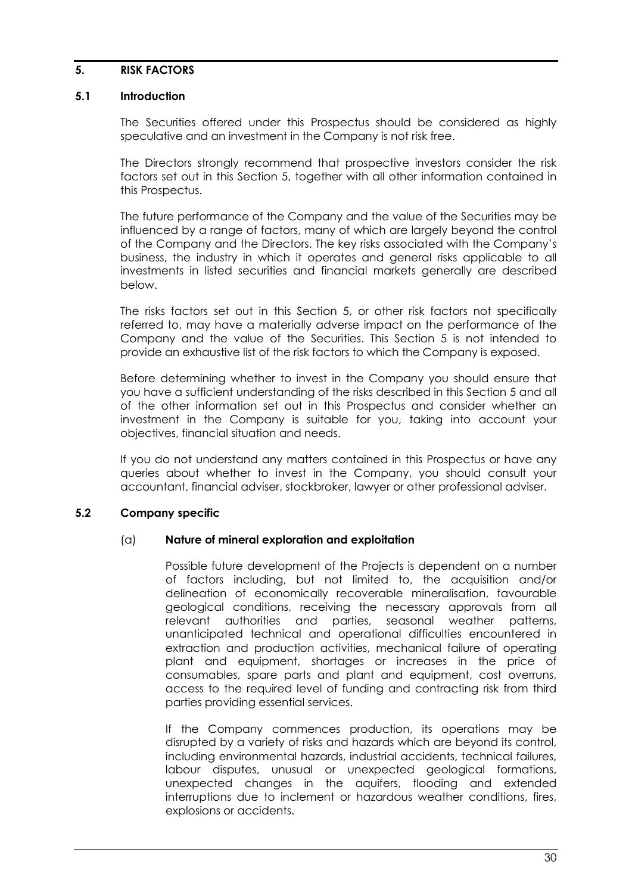#### <span id="page-30-0"></span>**5. RISK FACTORS**

#### **5.1 Introduction**

The Securities offered under this Prospectus should be considered as highly speculative and an investment in the Company is not risk free.

The Directors strongly recommend that prospective investors consider the risk factors set out in this Section 5, together with all other information contained in this Prospectus.

The future performance of the Company and the value of the Securities may be influenced by a range of factors, many of which are largely beyond the control of the Company and the Directors. The key risks associated with the Company's business, the industry in which it operates and general risks applicable to all investments in listed securities and financial markets generally are described below.

The risks factors set out in this Section 5, or other risk factors not specifically referred to, may have a materially adverse impact on the performance of the Company and the value of the Securities. This Section 5 is not intended to provide an exhaustive list of the risk factors to which the Company is exposed.

Before determining whether to invest in the Company you should ensure that you have a sufficient understanding of the risks described in this Section 5 and all of the other information set out in this Prospectus and consider whether an investment in the Company is suitable for you, taking into account your objectives, financial situation and needs.

If you do not understand any matters contained in this Prospectus or have any queries about whether to invest in the Company, you should consult your accountant, financial adviser, stockbroker, lawyer or other professional adviser.

## <span id="page-30-1"></span>**5.2 Company specific**

#### (a) **Nature of mineral exploration and exploitation**

Possible future development of the Projects is dependent on a number of factors including, but not limited to, the acquisition and/or delineation of economically recoverable mineralisation, favourable geological conditions, receiving the necessary approvals from all<br>relevant authorities and parties, seasonal weather patterns. relevant authorities and parties, seasonal weather patterns, unanticipated technical and operational difficulties encountered in extraction and production activities, mechanical failure of operating plant and equipment, shortages or increases in the price of consumables, spare parts and plant and equipment, cost overruns, access to the required level of funding and contracting risk from third parties providing essential services.

If the Company commences production, its operations may be disrupted by a variety of risks and hazards which are beyond its control, including environmental hazards, industrial accidents, technical failures, labour disputes, unusual or unexpected geological formations, unexpected changes in the aquifers, flooding and extended interruptions due to inclement or hazardous weather conditions, fires, explosions or accidents.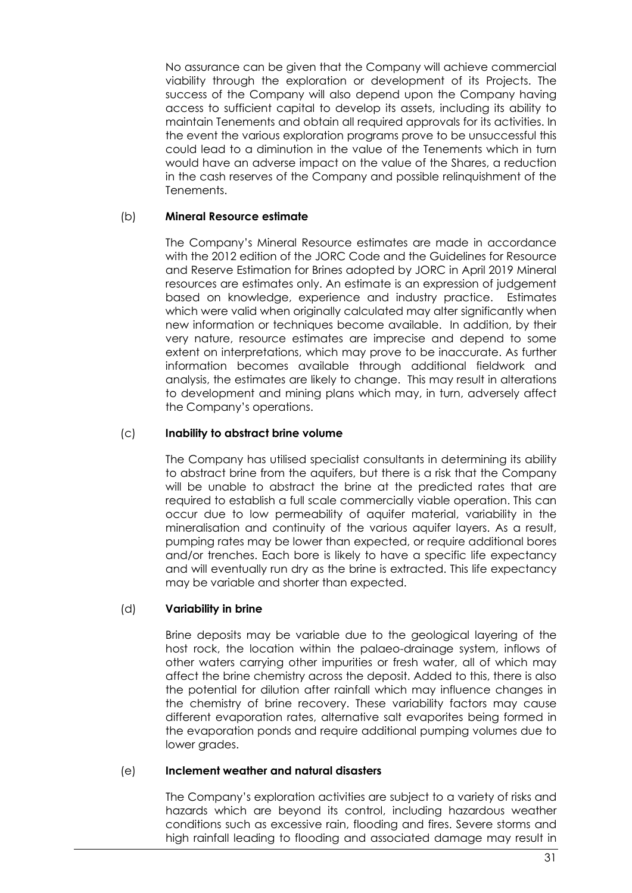No assurance can be given that the Company will achieve commercial viability through the exploration or development of its Projects. The success of the Company will also depend upon the Company having access to sufficient capital to develop its assets, including its ability to maintain Tenements and obtain all required approvals for its activities. In the event the various exploration programs prove to be unsuccessful this could lead to a diminution in the value of the Tenements which in turn would have an adverse impact on the value of the Shares, a reduction in the cash reserves of the Company and possible relinquishment of the Tenements.

#### <span id="page-31-0"></span>(b) **Mineral Resource estimate**

The Company's Mineral Resource estimates are made in accordance with the 2012 edition of the JORC Code and the Guidelines for Resource and Reserve Estimation for Brines adopted by JORC in April 2019 Mineral resources are estimates only. An estimate is an expression of judgement based on knowledge, experience and industry practice. Estimates which were valid when originally calculated may alter significantly when new information or techniques become available. In addition, by their very nature, resource estimates are imprecise and depend to some extent on interpretations, which may prove to be inaccurate. As further information becomes available through additional fieldwork and analysis, the estimates are likely to change. This may result in alterations to development and mining plans which may, in turn, adversely affect the Company's operations.

#### <span id="page-31-1"></span>(c) **Inability to abstract brine volume**

The Company has utilised specialist consultants in determining its ability to abstract brine from the aquifers, but there is a risk that the Company will be unable to abstract the brine at the predicted rates that are required to establish a full scale commercially viable operation. This can occur due to low permeability of aquifer material, variability in the mineralisation and continuity of the various aquifer layers. As a result, pumping rates may be lower than expected, or require additional bores and/or trenches. Each bore is likely to have a specific life expectancy and will eventually run dry as the brine is extracted. This life expectancy may be variable and shorter than expected.

#### <span id="page-31-2"></span>(d) **Variability in brine**

Brine deposits may be variable due to the geological layering of the host rock, the location within the palaeo-drainage system, inflows of other waters carrying other impurities or fresh water, all of which may affect the brine chemistry across the deposit. Added to this, there is also the potential for dilution after rainfall which may influence changes in the chemistry of brine recovery. These variability factors may cause different evaporation rates, alternative salt evaporites being formed in the evaporation ponds and require additional pumping volumes due to lower arades.

#### <span id="page-31-3"></span>(e) **Inclement weather and natural disasters**

The Company's exploration activities are subject to a variety of risks and hazards which are beyond its control, including hazardous weather conditions such as excessive rain, flooding and fires. Severe storms and high rainfall leading to flooding and associated damage may result in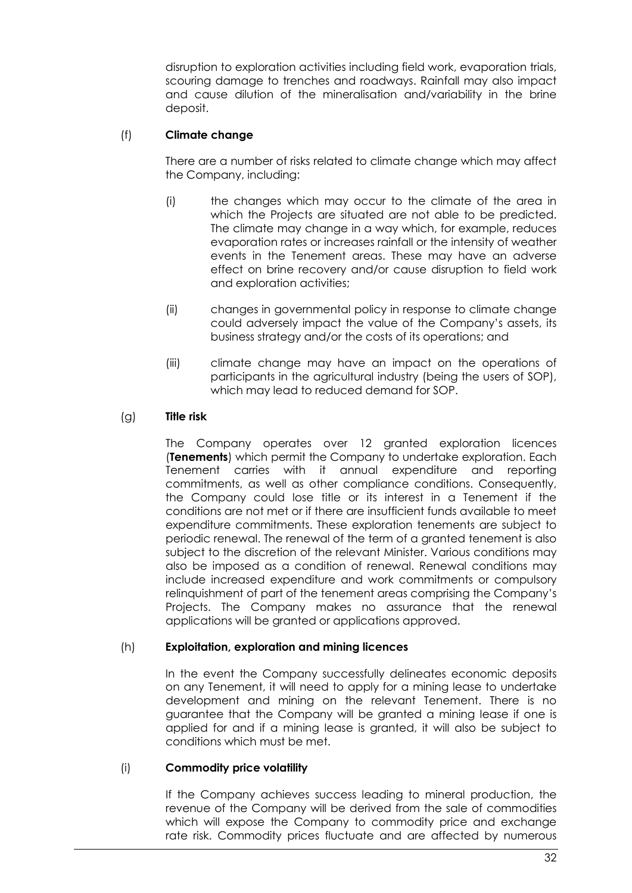disruption to exploration activities including field work, evaporation trials, scouring damage to trenches and roadways. Rainfall may also impact and cause dilution of the mineralisation and/variability in the brine deposit.

## <span id="page-32-0"></span>(f) **Climate change**

There are a number of risks related to climate change which may affect the Company, including:

- (i) the changes which may occur to the climate of the area in which the Projects are situated are not able to be predicted. The climate may change in a way which, for example, reduces evaporation rates or increases rainfall or the intensity of weather events in the Tenement areas. These may have an adverse effect on brine recovery and/or cause disruption to field work and exploration activities;
- (ii) changes in governmental policy in response to climate change could adversely impact the value of the Company's assets, its business strategy and/or the costs of its operations; and
- (iii) climate change may have an impact on the operations of participants in the agricultural industry (being the users of SOP), which may lead to reduced demand for SOP.

#### (g) **Title risk**

The Company operates over 12 granted exploration licences (**Tenements**) which permit the Company to undertake exploration. Each Tenement carries with it annual expenditure and reporting commitments, as well as other compliance conditions. Consequently, the Company could lose title or its interest in a Tenement if the conditions are not met or if there are insufficient funds available to meet expenditure commitments. These exploration tenements are subject to periodic renewal. The renewal of the term of a granted tenement is also subject to the discretion of the relevant Minister. Various conditions may also be imposed as a condition of renewal. Renewal conditions may include increased expenditure and work commitments or compulsory relinquishment of part of the tenement areas comprising the Company's Projects. The Company makes no assurance that the renewal applications will be granted or applications approved.

#### (h) **Exploitation, exploration and mining licences**

In the event the Company successfully delineates economic deposits on any Tenement, it will need to apply for a mining lease to undertake development and mining on the relevant Tenement. There is no guarantee that the Company will be granted a mining lease if one is applied for and if a mining lease is granted, it will also be subject to conditions which must be met.

#### <span id="page-32-1"></span>(i) **Commodity price volatility**

If the Company achieves success leading to mineral production, the revenue of the Company will be derived from the sale of commodities which will expose the Company to commodity price and exchange rate risk. Commodity prices fluctuate and are affected by numerous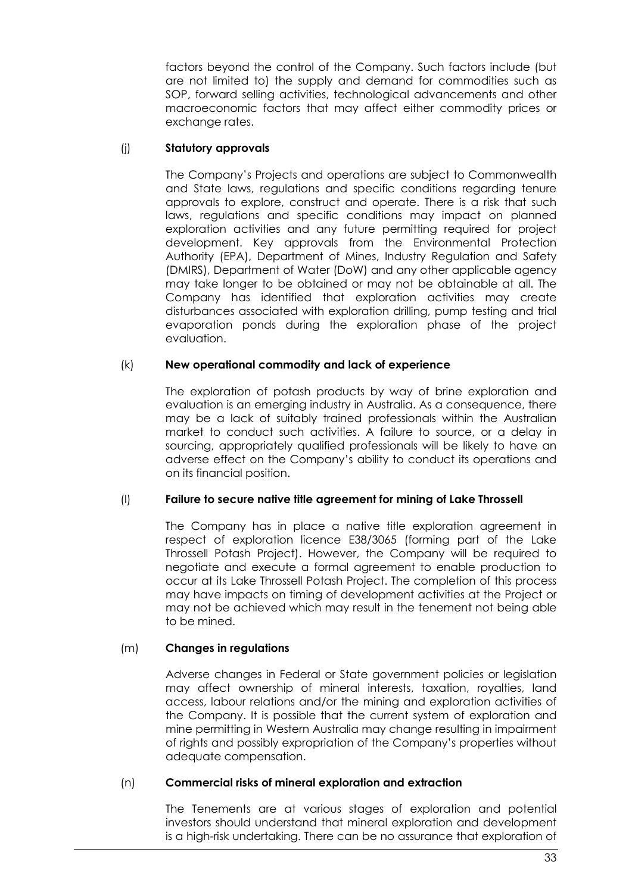factors beyond the control of the Company. Such factors include (but are not limited to) the supply and demand for commodities such as SOP, forward selling activities, technological advancements and other macroeconomic factors that may affect either commodity prices or exchange rates.

#### (j) **Statutory approvals**

The Company's Projects and operations are subject to Commonwealth and State laws, regulations and specific conditions regarding tenure approvals to explore, construct and operate. There is a risk that such laws, regulations and specific conditions may impact on planned exploration activities and any future permitting required for project development. Key approvals from the Environmental Protection Authority (EPA), Department of Mines, Industry Regulation and Safety (DMIRS), Department of Water (DoW) and any other applicable agency may take longer to be obtained or may not be obtainable at all. The Company has identified that exploration activities may create disturbances associated with exploration drilling, pump testing and trial evaporation ponds during the exploration phase of the project evaluation.

#### <span id="page-33-0"></span>(k) **New operational commodity and lack of experience**

The exploration of potash products by way of brine exploration and evaluation is an emerging industry in Australia. As a consequence, there may be a lack of suitably trained professionals within the Australian market to conduct such activities. A failure to source, or a delay in sourcing, appropriately qualified professionals will be likely to have an adverse effect on the Company's ability to conduct its operations and on its financial position.

#### (l) **Failure to secure native title agreement for mining of Lake Throssell**

The Company has in place a native title exploration agreement in respect of exploration licence E38/3065 (forming part of the Lake Throssell Potash Project). However, the Company will be required to negotiate and execute a formal agreement to enable production to occur at its Lake Throssell Potash Project. The completion of this process may have impacts on timing of development activities at the Project or may not be achieved which may result in the tenement not being able to be mined.

## (m) **Changes in regulations**

Adverse changes in Federal or State government policies or legislation may affect ownership of mineral interests, taxation, royalties, land access, labour relations and/or the mining and exploration activities of the Company. It is possible that the current system of exploration and mine permitting in Western Australia may change resulting in impairment of rights and possibly expropriation of the Company's properties without adequate compensation.

#### (n) **Commercial risks of mineral exploration and extraction**

The Tenements are at various stages of exploration and potential investors should understand that mineral exploration and development is a high-risk undertaking. There can be no assurance that exploration of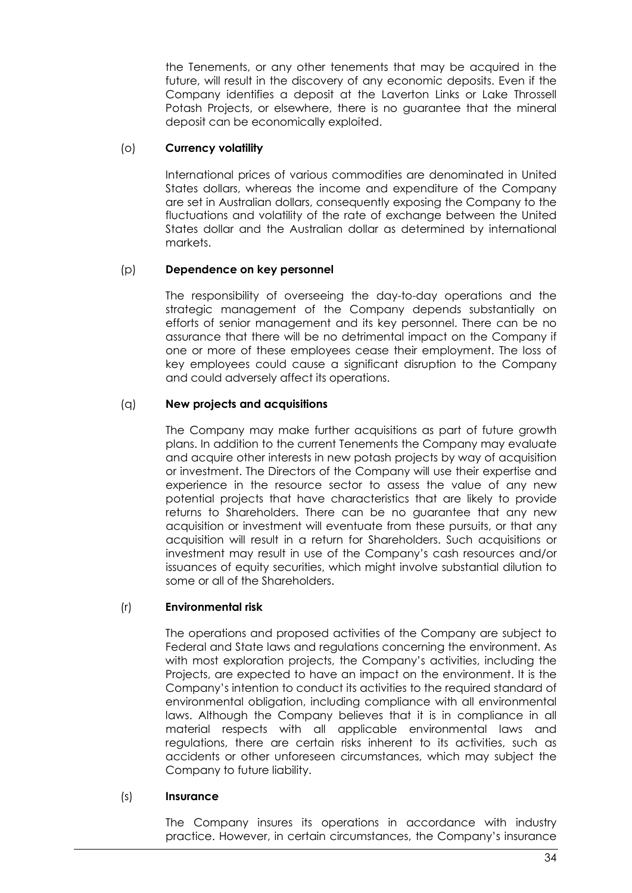the Tenements, or any other tenements that may be acquired in the future, will result in the discovery of any economic deposits. Even if the Company identifies a deposit at the Laverton Links or Lake Throssell Potash Projects, or elsewhere, there is no guarantee that the mineral deposit can be economically exploited.

#### (o) **Currency volatility**

International prices of various commodities are denominated in United States dollars, whereas the income and expenditure of the Company are set in Australian dollars, consequently exposing the Company to the fluctuations and volatility of the rate of exchange between the United States dollar and the Australian dollar as determined by international markets.

#### (p) **Dependence on key personnel**

The responsibility of overseeing the day-to-day operations and the strategic management of the Company depends substantially on efforts of senior management and its key personnel. There can be no assurance that there will be no detrimental impact on the Company if one or more of these employees cease their employment. The loss of key employees could cause a significant disruption to the Company and could adversely affect its operations.

## (q) **New projects and acquisitions**

The Company may make further acquisitions as part of future growth plans. In addition to the current Tenements the Company may evaluate and acquire other interests in new potash projects by way of acquisition or investment. The Directors of the Company will use their expertise and experience in the resource sector to assess the value of any new potential projects that have characteristics that are likely to provide returns to Shareholders. There can be no guarantee that any new acquisition or investment will eventuate from these pursuits, or that any acquisition will result in a return for Shareholders. Such acquisitions or investment may result in use of the Company's cash resources and/or issuances of equity securities, which might involve substantial dilution to some or all of the Shareholders.

## (r) **Environmental risk**

The operations and proposed activities of the Company are subject to Federal and State laws and regulations concerning the environment. As with most exploration projects, the Company's activities, including the Projects, are expected to have an impact on the environment. It is the Company's intention to conduct its activities to the required standard of environmental obligation, including compliance with all environmental laws. Although the Company believes that it is in compliance in all material respects with all applicable environmental laws and regulations, there are certain risks inherent to its activities, such as accidents or other unforeseen circumstances, which may subject the Company to future liability.

#### (s) **Insurance**

The Company insures its operations in accordance with industry practice. However, in certain circumstances, the Company's insurance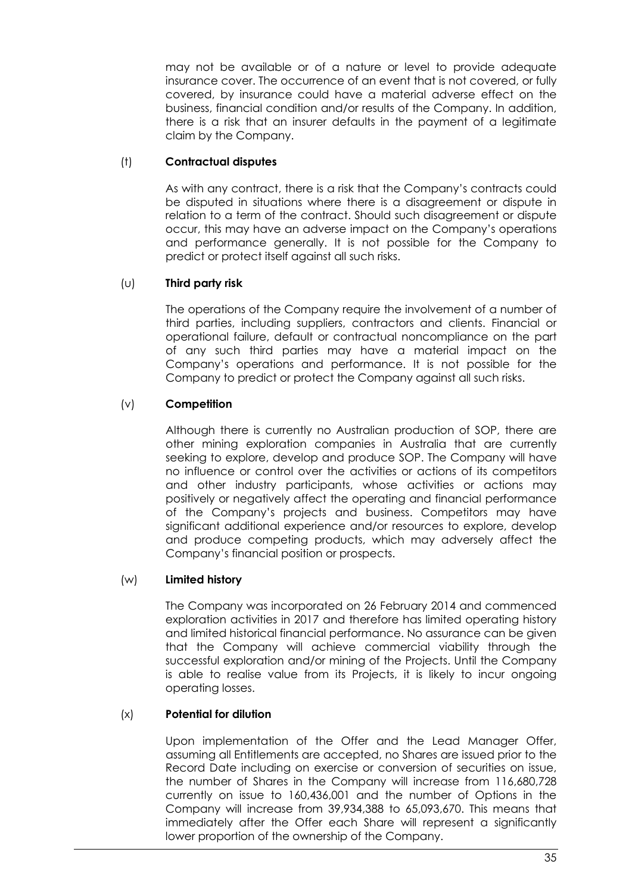may not be available or of a nature or level to provide adequate insurance cover. The occurrence of an event that is not covered, or fully covered, by insurance could have a material adverse effect on the business, financial condition and/or results of the Company. In addition, there is a risk that an insurer defaults in the payment of a legitimate claim by the Company.

#### (t) **Contractual disputes**

As with any contract, there is a risk that the Company's contracts could be disputed in situations where there is a disagreement or dispute in relation to a term of the contract. Should such disagreement or dispute occur, this may have an adverse impact on the Company's operations and performance generally. It is not possible for the Company to predict or protect itself against all such risks.

## (u) **Third party risk**

The operations of the Company require the involvement of a number of third parties, including suppliers, contractors and clients. Financial or operational failure, default or contractual noncompliance on the part of any such third parties may have a material impact on the Company's operations and performance. It is not possible for the Company to predict or protect the Company against all such risks.

## (v) **Competition**

Although there is currently no Australian production of SOP, there are other mining exploration companies in Australia that are currently seeking to explore, develop and produce SOP. The Company will have no influence or control over the activities or actions of its competitors and other industry participants, whose activities or actions may positively or negatively affect the operating and financial performance of the Company's projects and business. Competitors may have significant additional experience and/or resources to explore, develop and produce competing products, which may adversely affect the Company's financial position or prospects.

#### (w) **Limited history**

The Company was incorporated on 26 February 2014 and commenced exploration activities in 2017 and therefore has limited operating history and limited historical financial performance. No assurance can be given that the Company will achieve commercial viability through the successful exploration and/or mining of the Projects. Until the Company is able to realise value from its Projects, it is likely to incur ongoing operating losses.

#### (x) **Potential for dilution**

Upon implementation of the Offer and the Lead Manager Offer, assuming all Entitlements are accepted, no Shares are issued prior to the Record Date including on exercise or conversion of securities on issue, the number of Shares in the Company will increase from 116,680,728 currently on issue to 160,436,001 and the number of Options in the Company will increase from 39,934,388 to 65,093,670. This means that immediately after the Offer each Share will represent a significantly lower proportion of the ownership of the Company.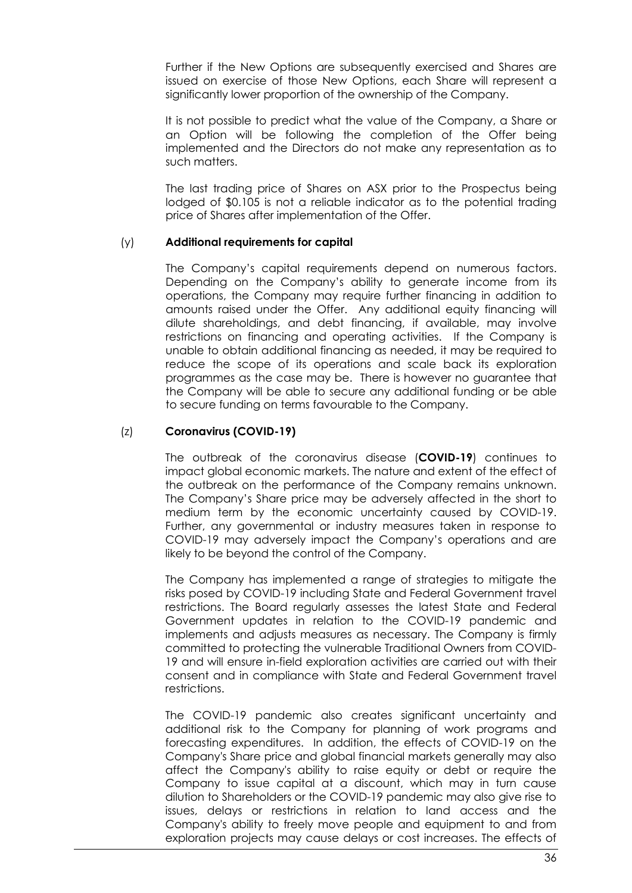Further if the New Options are subsequently exercised and Shares are issued on exercise of those New Options, each Share will represent a significantly lower proportion of the ownership of the Company.

It is not possible to predict what the value of the Company, a Share or an Option will be following the completion of the Offer being implemented and the Directors do not make any representation as to such matters.

The last trading price of Shares on ASX prior to the Prospectus being lodged of \$0.105 is not a reliable indicator as to the potential trading price of Shares after implementation of the Offer.

#### <span id="page-36-0"></span>(y) **Additional requirements for capital**

The Company's capital requirements depend on numerous factors. Depending on the Company's ability to generate income from its operations, the Company may require further financing in addition to amounts raised under the Offer. Any additional equity financing will dilute shareholdings, and debt financing, if available, may involve restrictions on financing and operating activities. If the Company is unable to obtain additional financing as needed, it may be required to reduce the scope of its operations and scale back its exploration programmes as the case may be. There is however no guarantee that the Company will be able to secure any additional funding or be able to secure funding on terms favourable to the Company.

#### <span id="page-36-1"></span>(z) **Coronavirus (COVID-19)**

The outbreak of the coronavirus disease (**COVID-19**) continues to impact global economic markets. The nature and extent of the effect of the outbreak on the performance of the Company remains unknown. The Company's Share price may be adversely affected in the short to medium term by the economic uncertainty caused by COVID-19. Further, any governmental or industry measures taken in response to COVID-19 may adversely impact the Company's operations and are likely to be beyond the control of the Company.

The Company has implemented a range of strategies to mitigate the risks posed by COVID-19 including State and Federal Government travel restrictions. The Board regularly assesses the latest State and Federal Government updates in relation to the COVID-19 pandemic and implements and adjusts measures as necessary. The Company is firmly committed to protecting the vulnerable Traditional Owners from COVID-19 and will ensure in-field exploration activities are carried out with their consent and in compliance with State and Federal Government travel restrictions.

The COVID-19 pandemic also creates significant uncertainty and additional risk to the Company for planning of work programs and forecasting expenditures. In addition, the effects of COVID-19 on the Company's Share price and global financial markets generally may also affect the Company's ability to raise equity or debt or require the Company to issue capital at a discount, which may in turn cause dilution to Shareholders or the COVID-19 pandemic may also give rise to issues, delays or restrictions in relation to land access and the Company's ability to freely move people and equipment to and from exploration projects may cause delays or cost increases. The effects of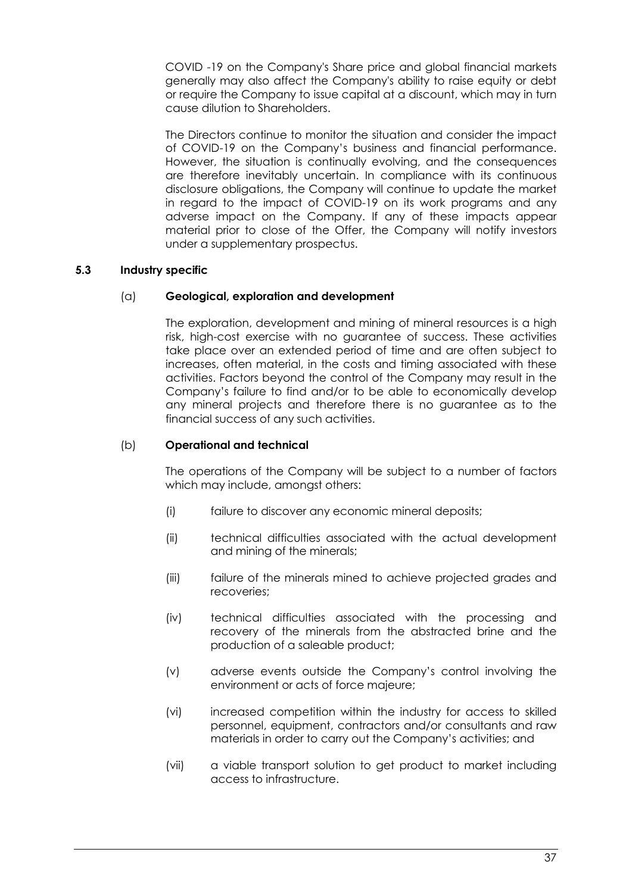COVID -19 on the Company's Share price and global financial markets generally may also affect the Company's ability to raise equity or debt or require the Company to issue capital at a discount, which may in turn cause dilution to Shareholders.

The Directors continue to monitor the situation and consider the impact of COVID-19 on the Company's business and financial performance. However, the situation is continually evolving, and the consequences are therefore inevitably uncertain. In compliance with its continuous disclosure obligations, the Company will continue to update the market in regard to the impact of COVID-19 on its work programs and any adverse impact on the Company. If any of these impacts appear material prior to close of the Offer, the Company will notify investors under a supplementary prospectus.

## **5.3 Industry specific**

## (a) **Geological, exploration and development**

The exploration, development and mining of mineral resources is a high risk, high-cost exercise with no guarantee of success. These activities take place over an extended period of time and are often subject to increases, often material, in the costs and timing associated with these activities. Factors beyond the control of the Company may result in the Company's failure to find and/or to be able to economically develop any mineral projects and therefore there is no guarantee as to the financial success of any such activities.

## <span id="page-37-0"></span>(b) **Operational and technical**

The operations of the Company will be subject to a number of factors which may include, amongst others:

- (i) failure to discover any economic mineral deposits;
- (ii) technical difficulties associated with the actual development and mining of the minerals;
- (iii) failure of the minerals mined to achieve projected grades and recoveries;
- (iv) technical difficulties associated with the processing and recovery of the minerals from the abstracted brine and the production of a saleable product;
- (v) adverse events outside the Company's control involving the environment or acts of force majeure;
- (vi) increased competition within the industry for access to skilled personnel, equipment, contractors and/or consultants and raw materials in order to carry out the Company's activities; and
- (vii) a viable transport solution to get product to market including access to infrastructure.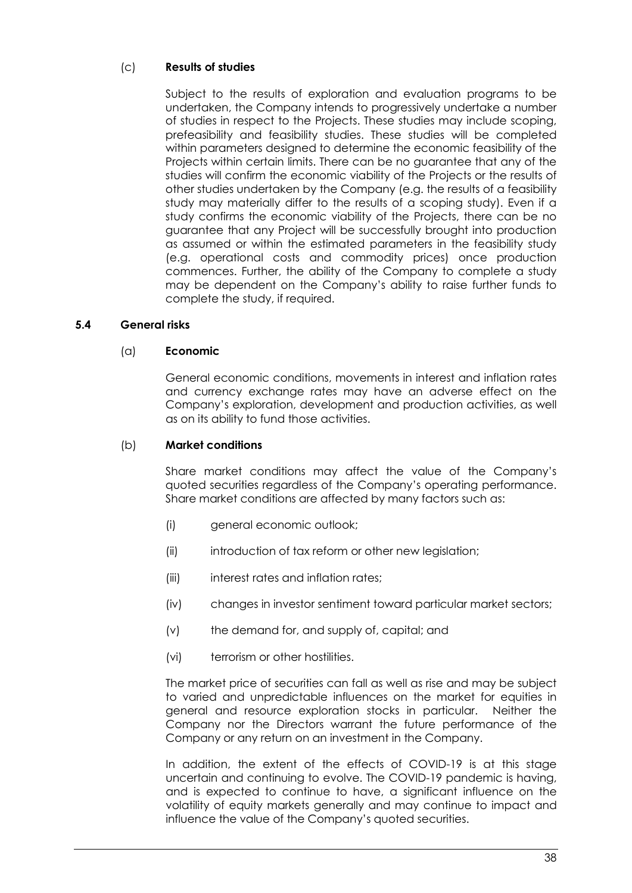## <span id="page-38-0"></span>(c) **Results of studies**

Subject to the results of exploration and evaluation programs to be undertaken, the Company intends to progressively undertake a number of studies in respect to the Projects. These studies may include scoping, prefeasibility and feasibility studies. These studies will be completed within parameters designed to determine the economic feasibility of the Projects within certain limits. There can be no guarantee that any of the studies will confirm the economic viability of the Projects or the results of other studies undertaken by the Company (e.g. the results of a feasibility study may materially differ to the results of a scoping study). Even if a study confirms the economic viability of the Projects, there can be no guarantee that any Project will be successfully brought into production as assumed or within the estimated parameters in the feasibility study (e.g. operational costs and commodity prices) once production commences. Further, the ability of the Company to complete a study may be dependent on the Company's ability to raise further funds to complete the study, if required.

#### **5.4 General risks**

#### (a) **Economic**

General economic conditions, movements in interest and inflation rates and currency exchange rates may have an adverse effect on the Company's exploration, development and production activities, as well as on its ability to fund those activities.

#### (b) **Market conditions**

Share market conditions may affect the value of the Company's quoted securities regardless of the Company's operating performance. Share market conditions are affected by many factors such as:

- (i) general economic outlook;
- (ii) introduction of tax reform or other new legislation;
- (iii) interest rates and inflation rates;
- (iv) changes in investor sentiment toward particular market sectors;
- (v) the demand for, and supply of, capital; and
- (vi) terrorism or other hostilities.

The market price of securities can fall as well as rise and may be subject to varied and unpredictable influences on the market for equities in general and resource exploration stocks in particular. Neither the Company nor the Directors warrant the future performance of the Company or any return on an investment in the Company.

In addition, the extent of the effects of COVID-19 is at this stage uncertain and continuing to evolve. The COVID-19 pandemic is having, and is expected to continue to have, a significant influence on the volatility of equity markets generally and may continue to impact and influence the value of the Company's quoted securities.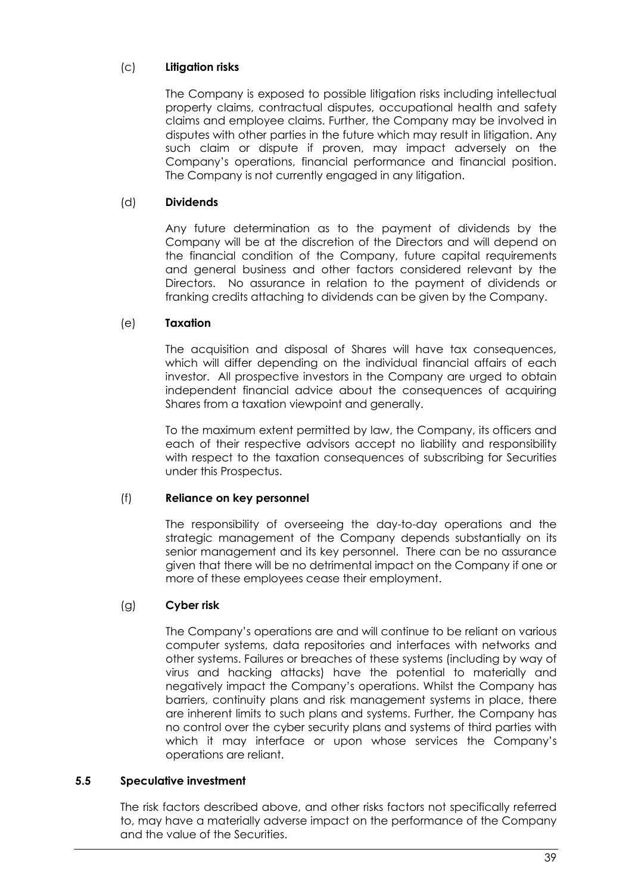## (c) **Litigation risks**

The Company is exposed to possible litigation risks including intellectual property claims, contractual disputes, occupational health and safety claims and employee claims. Further, the Company may be involved in disputes with other parties in the future which may result in litigation. Any such claim or dispute if proven, may impact adversely on the Company's operations, financial performance and financial position. The Company is not currently engaged in any litigation.

## (d) **Dividends**

Any future determination as to the payment of dividends by the Company will be at the discretion of the Directors and will depend on the financial condition of the Company, future capital requirements and general business and other factors considered relevant by the Directors. No assurance in relation to the payment of dividends or franking credits attaching to dividends can be given by the Company.

#### (e) **Taxation**

The acquisition and disposal of Shares will have tax consequences, which will differ depending on the individual financial affairs of each investor. All prospective investors in the Company are urged to obtain independent financial advice about the consequences of acquiring Shares from a taxation viewpoint and generally.

To the maximum extent permitted by law, the Company, its officers and each of their respective advisors accept no liability and responsibility with respect to the taxation consequences of subscribing for Securities under this Prospectus.

#### (f) **Reliance on key personnel**

The responsibility of overseeing the day-to-day operations and the strategic management of the Company depends substantially on its senior management and its key personnel. There can be no assurance given that there will be no detrimental impact on the Company if one or more of these employees cease their employment.

## (g) **Cyber risk**

The Company's operations are and will continue to be reliant on various computer systems, data repositories and interfaces with networks and other systems. Failures or breaches of these systems (including by way of virus and hacking attacks) have the potential to materially and negatively impact the Company's operations. Whilst the Company has barriers, continuity plans and risk management systems in place, there are inherent limits to such plans and systems. Further, the Company has no control over the cyber security plans and systems of third parties with which it may interface or upon whose services the Company's operations are reliant.

#### **5.5 Speculative investment**

The risk factors described above, and other risks factors not specifically referred to, may have a materially adverse impact on the performance of the Company and the value of the Securities.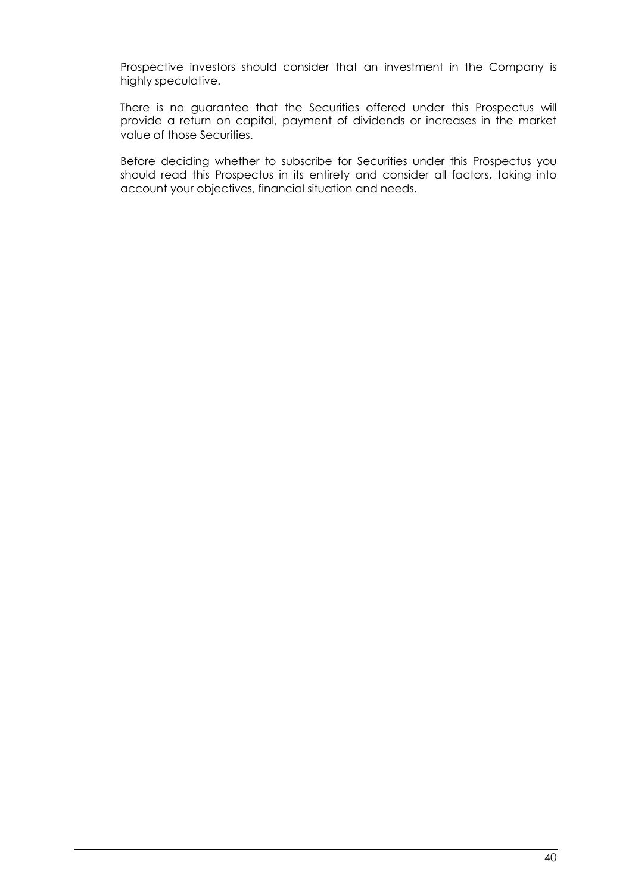Prospective investors should consider that an investment in the Company is highly speculative.

There is no guarantee that the Securities offered under this Prospectus will provide a return on capital, payment of dividends or increases in the market value of those Securities.

Before deciding whether to subscribe for Securities under this Prospectus you should read this Prospectus in its entirety and consider all factors, taking into account your objectives, financial situation and needs.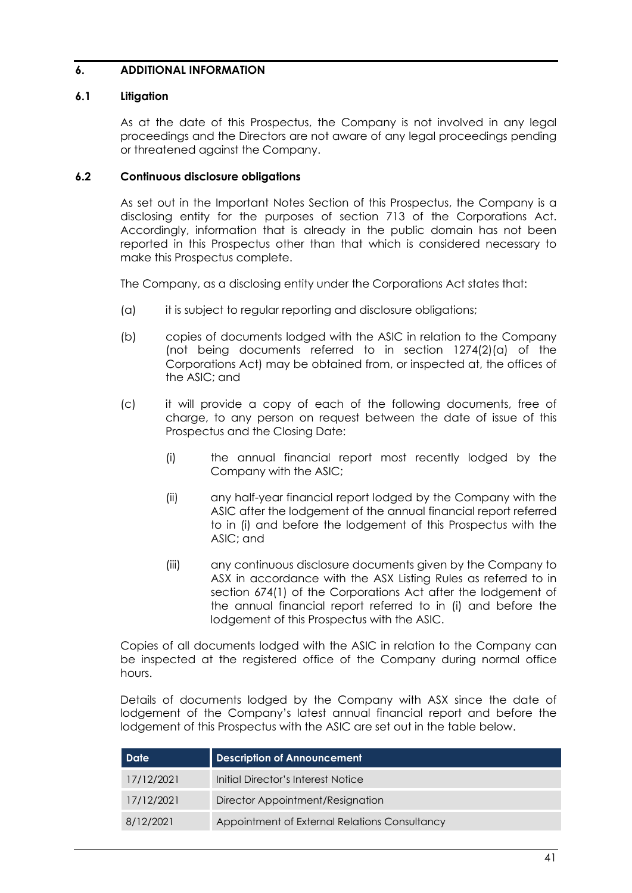#### <span id="page-41-1"></span>**6. ADDITIONAL INFORMATION**

#### **6.1 Litigation**

As at the date of this Prospectus, the Company is not involved in any legal proceedings and the Directors are not aware of any legal proceedings pending or threatened against the Company.

#### <span id="page-41-0"></span>**6.2 Continuous disclosure obligations**

As set out in the Important Notes Section of this Prospectus, the Company is a disclosing entity for the purposes of section 713 of the Corporations Act. Accordingly, information that is already in the public domain has not been reported in this Prospectus other than that which is considered necessary to make this Prospectus complete.

The Company, as a disclosing entity under the Corporations Act states that:

- (a) it is subject to regular reporting and disclosure obligations;
- (b) copies of documents lodged with the ASIC in relation to the Company (not being documents referred to in section 1274(2)(a) of the Corporations Act) may be obtained from, or inspected at, the offices of the ASIC; and
- (c) it will provide a copy of each of the following documents, free of charge, to any person on request between the date of issue of this Prospectus and the Closing Date:
	- (i) the annual financial report most recently lodged by the Company with the ASIC;
	- (ii) any half-year financial report lodged by the Company with the ASIC after the lodgement of the annual financial report referred to in (i) and before the lodgement of this Prospectus with the ASIC; and
	- (iii) any continuous disclosure documents given by the Company to ASX in accordance with the ASX Listing Rules as referred to in section 674(1) of the Corporations Act after the lodgement of the annual financial report referred to in (i) and before the lodgement of this Prospectus with the ASIC.

Copies of all documents lodged with the ASIC in relation to the Company can be inspected at the registered office of the Company during normal office hours.

Details of documents lodged by the Company with ASX since the date of lodgement of the Company's latest annual financial report and before the lodgement of this Prospectus with the ASIC are set out in the table below.

| <b>Date</b> | <b>Description of Announcement</b>            |
|-------------|-----------------------------------------------|
| 17/12/2021  | Initial Director's Interest Notice            |
| 17/12/2021  | Director Appointment/Resignation              |
| 8/12/2021   | Appointment of External Relations Consultancy |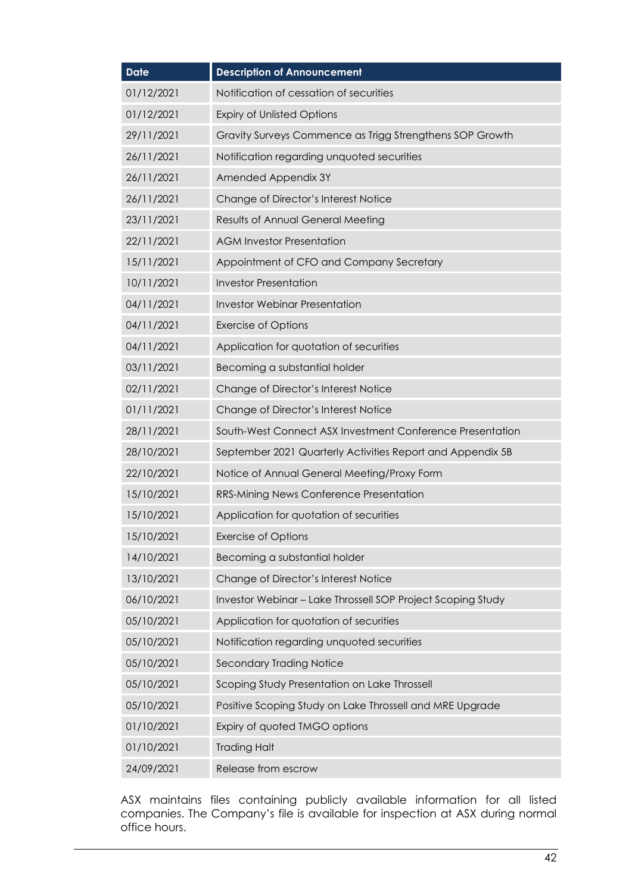| <b>Date</b> | <b>Description of Announcement</b>                          |
|-------------|-------------------------------------------------------------|
| 01/12/2021  | Notification of cessation of securities                     |
| 01/12/2021  | <b>Expiry of Unlisted Options</b>                           |
| 29/11/2021  | Gravity Surveys Commence as Trigg Strengthens SOP Growth    |
| 26/11/2021  | Notification regarding unquoted securities                  |
| 26/11/2021  | Amended Appendix 3Y                                         |
| 26/11/2021  | Change of Director's Interest Notice                        |
| 23/11/2021  | Results of Annual General Meeting                           |
| 22/11/2021  | <b>AGM Investor Presentation</b>                            |
| 15/11/2021  | Appointment of CFO and Company Secretary                    |
| 10/11/2021  | <b>Investor Presentation</b>                                |
| 04/11/2021  | <b>Investor Webinar Presentation</b>                        |
| 04/11/2021  | <b>Exercise of Options</b>                                  |
| 04/11/2021  | Application for quotation of securities                     |
| 03/11/2021  | Becoming a substantial holder                               |
| 02/11/2021  | Change of Director's Interest Notice                        |
| 01/11/2021  | Change of Director's Interest Notice                        |
| 28/11/2021  | South-West Connect ASX Investment Conference Presentation   |
| 28/10/2021  | September 2021 Quarterly Activities Report and Appendix 5B  |
| 22/10/2021  | Notice of Annual General Meeting/Proxy Form                 |
| 15/10/2021  | RRS-Mining News Conference Presentation                     |
| 15/10/2021  | Application for quotation of securities                     |
| 15/10/2021  | <b>Exercise of Options</b>                                  |
| 14/10/2021  | Becoming a substantial holder                               |
| 13/10/2021  | Change of Director's Interest Notice                        |
| 06/10/2021  | Investor Webinar - Lake Throssell SOP Project Scoping Study |
| 05/10/2021  | Application for quotation of securities                     |
| 05/10/2021  | Notification regarding unquoted securities                  |
| 05/10/2021  | <b>Secondary Trading Notice</b>                             |
| 05/10/2021  | Scoping Study Presentation on Lake Throssell                |
| 05/10/2021  | Positive Scoping Study on Lake Throssell and MRE Upgrade    |
| 01/10/2021  | Expiry of quoted TMGO options                               |
| 01/10/2021  | <b>Trading Halt</b>                                         |
| 24/09/2021  | Release from escrow                                         |

ASX maintains files containing publicly available information for all listed companies. The Company's file is available for inspection at ASX during normal office hours.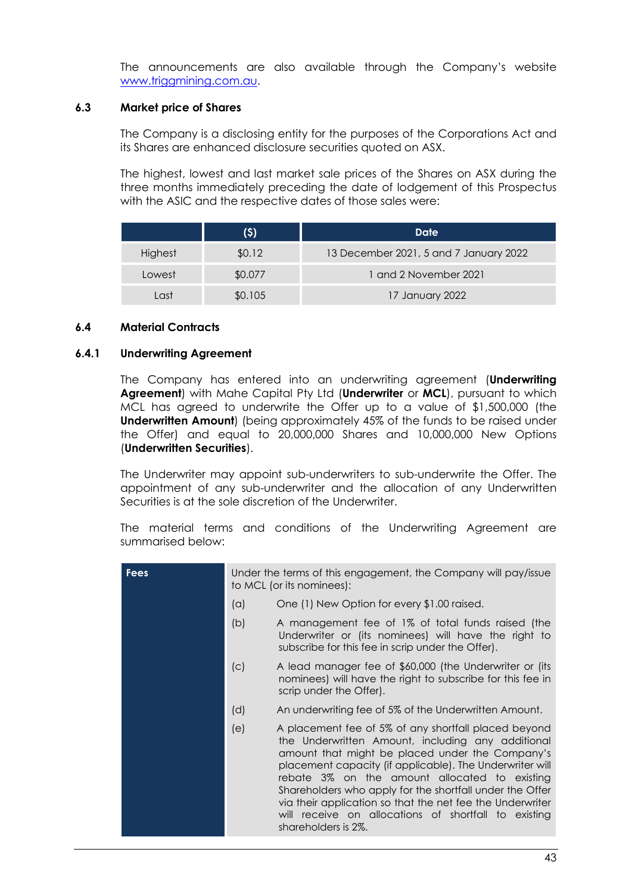The announcements are also available through the Company's website www.triggmining.com.au.

#### **6.3 Market price of Shares**

The Company is a disclosing entity for the purposes of the Corporations Act and its Shares are enhanced disclosure securities quoted on ASX.

The highest, lowest and last market sale prices of the Shares on ASX during the three months immediately preceding the date of lodgement of this Prospectus with the ASIC and the respective dates of those sales were:

|         | (\$)    | Date                                   |  |  |
|---------|---------|----------------------------------------|--|--|
| Highest | \$0.12  | 13 December 2021, 5 and 7 January 2022 |  |  |
| Lowest  | \$0.077 | 1 and 2 November 2021                  |  |  |
| l ast   | \$0.105 | 17 January 2022                        |  |  |

#### **6.4 Material Contracts**

#### <span id="page-43-0"></span>**6.4.1 Underwriting Agreement**

The Company has entered into an underwriting agreement (**Underwriting Agreement**) with Mahe Capital Pty Ltd (**Underwriter** or **MCL**), pursuant to which MCL has agreed to underwrite the Offer up to a value of \$1,500,000 (the **Underwritten Amount**) (being approximately 45% of the funds to be raised under the Offer) and equal to 20,000,000 Shares and 10,000,000 New Options (**Underwritten Securities**).

The Underwriter may appoint sub-underwriters to sub-underwrite the Offer. The appointment of any sub-underwriter and the allocation of any Underwritten Securities is at the sole discretion of the Underwriter.

The material terms and conditions of the Underwriting Agreement are summarised below:

| <b>Fees</b> | Under the terms of this engagement, the Company will pay/issue<br>to MCL (or its nominees): |                                                                                                                                                                                                                                                                                                                                                                                                                                                                                   |  |  |
|-------------|---------------------------------------------------------------------------------------------|-----------------------------------------------------------------------------------------------------------------------------------------------------------------------------------------------------------------------------------------------------------------------------------------------------------------------------------------------------------------------------------------------------------------------------------------------------------------------------------|--|--|
|             | (a)                                                                                         | One (1) New Option for every \$1.00 raised.                                                                                                                                                                                                                                                                                                                                                                                                                                       |  |  |
|             | (b)                                                                                         | A management fee of 1% of total funds raised (the<br>Underwriter or (its nominees) will have the right to<br>subscribe for this fee in scrip under the Offer).                                                                                                                                                                                                                                                                                                                    |  |  |
|             | (C)                                                                                         | A lead manager fee of \$60,000 (the Underwriter or (its<br>nominees) will have the right to subscribe for this fee in<br>scrip under the Offer).                                                                                                                                                                                                                                                                                                                                  |  |  |
|             | (d)                                                                                         | An underwriting fee of 5% of the Underwritten Amount.                                                                                                                                                                                                                                                                                                                                                                                                                             |  |  |
|             | (e)                                                                                         | A placement fee of 5% of any shortfall placed beyond<br>the Underwritten Amount, including any additional<br>amount that might be placed under the Company's<br>placement capacity (if applicable). The Underwriter will<br>rebate 3% on the amount allocated to existing<br>Shareholders who apply for the shortfall under the Offer<br>via their application so that the net fee the Underwriter<br>will receive on allocations of shortfall to existing<br>shareholders is 2%. |  |  |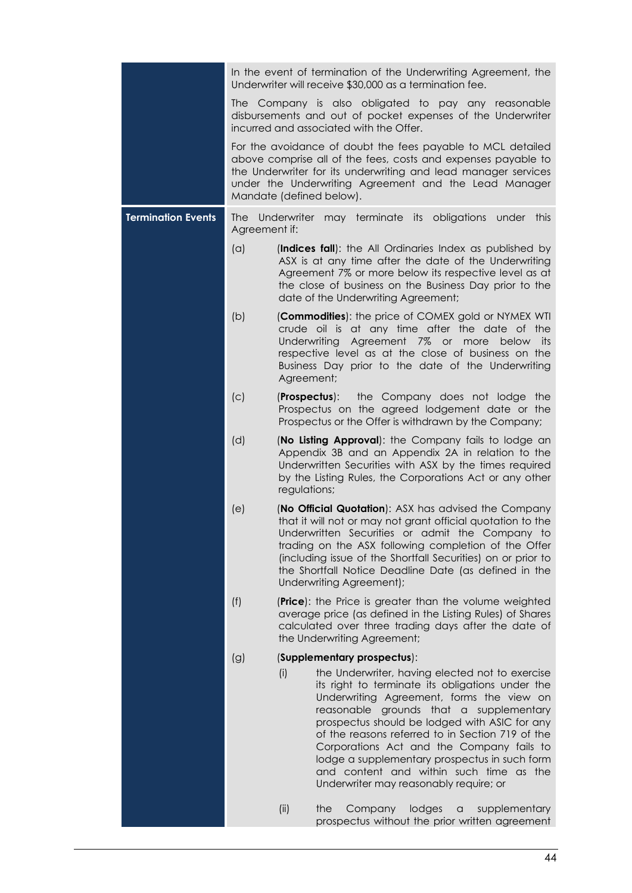|                           | In the event of termination of the Underwriting Agreement, the<br>Underwriter will receive \$30,000 as a termination fee.                                                                                                                                                           |                                                                                                                                                                                                                                                                                                                                                                                                                                                                                                                                                                                                                                       |                                                                                                                                                                                                                                                                                                                                                                                                                                                                                     |  |
|---------------------------|-------------------------------------------------------------------------------------------------------------------------------------------------------------------------------------------------------------------------------------------------------------------------------------|---------------------------------------------------------------------------------------------------------------------------------------------------------------------------------------------------------------------------------------------------------------------------------------------------------------------------------------------------------------------------------------------------------------------------------------------------------------------------------------------------------------------------------------------------------------------------------------------------------------------------------------|-------------------------------------------------------------------------------------------------------------------------------------------------------------------------------------------------------------------------------------------------------------------------------------------------------------------------------------------------------------------------------------------------------------------------------------------------------------------------------------|--|
|                           |                                                                                                                                                                                                                                                                                     |                                                                                                                                                                                                                                                                                                                                                                                                                                                                                                                                                                                                                                       | The Company is also obligated to pay any reasonable<br>disbursements and out of pocket expenses of the Underwriter<br>incurred and associated with the Offer.                                                                                                                                                                                                                                                                                                                       |  |
|                           | For the avoidance of doubt the fees payable to MCL detailed<br>above comprise all of the fees, costs and expenses payable to<br>the Underwriter for its underwriting and lead manager services<br>under the Underwriting Agreement and the Lead Manager<br>Mandate (defined below). |                                                                                                                                                                                                                                                                                                                                                                                                                                                                                                                                                                                                                                       |                                                                                                                                                                                                                                                                                                                                                                                                                                                                                     |  |
| <b>Termination Events</b> | may terminate its obligations<br>Underwriter<br>under<br><b>The</b><br>this<br>Agreement if:                                                                                                                                                                                        |                                                                                                                                                                                                                                                                                                                                                                                                                                                                                                                                                                                                                                       |                                                                                                                                                                                                                                                                                                                                                                                                                                                                                     |  |
|                           | (a)                                                                                                                                                                                                                                                                                 |                                                                                                                                                                                                                                                                                                                                                                                                                                                                                                                                                                                                                                       | (Indices fall): the All Ordinaries Index as published by<br>ASX is at any time after the date of the Underwriting<br>Agreement 7% or more below its respective level as at<br>the close of business on the Business Day prior to the<br>date of the Underwriting Agreement;                                                                                                                                                                                                         |  |
|                           | (b)                                                                                                                                                                                                                                                                                 | Agreement;                                                                                                                                                                                                                                                                                                                                                                                                                                                                                                                                                                                                                            | (Commodities): the price of COMEX gold or NYMEX WTI<br>crude oil is at any time after the date of the<br>Underwriting Agreement 7% or<br>more<br>below its<br>respective level as at the close of business on the<br>Business Day prior to the date of the Underwriting                                                                                                                                                                                                             |  |
|                           | (c)                                                                                                                                                                                                                                                                                 |                                                                                                                                                                                                                                                                                                                                                                                                                                                                                                                                                                                                                                       | the Company does not lodge the<br>(Prospectus):<br>Prospectus on the agreed lodgement date or the<br>Prospectus or the Offer is withdrawn by the Company;                                                                                                                                                                                                                                                                                                                           |  |
|                           | (d)                                                                                                                                                                                                                                                                                 | (No Listing Approval): the Company fails to lodge an<br>Appendix 3B and an Appendix 2A in relation to the<br>Underwritten Securities with ASX by the times required<br>by the Listing Rules, the Corporations Act or any other<br>regulations;<br>(No Official Quotation): ASX has advised the Company<br>that it will not or may not grant official quotation to the<br>Underwritten Securities or admit the Company to<br>trading on the ASX following completion of the Offer<br>(including issue of the Shortfall Securities) on or prior to<br>the Shortfall Notice Deadline Date (as defined in the<br>Underwriting Agreement); |                                                                                                                                                                                                                                                                                                                                                                                                                                                                                     |  |
|                           | (e)                                                                                                                                                                                                                                                                                 |                                                                                                                                                                                                                                                                                                                                                                                                                                                                                                                                                                                                                                       |                                                                                                                                                                                                                                                                                                                                                                                                                                                                                     |  |
|                           | (f)                                                                                                                                                                                                                                                                                 | <b>(Price):</b> the Price is greater than the volume weighted<br>average price (as defined in the Listing Rules) of Shares<br>calculated over three trading days after the date of<br>the Underwriting Agreement;                                                                                                                                                                                                                                                                                                                                                                                                                     |                                                                                                                                                                                                                                                                                                                                                                                                                                                                                     |  |
|                           | (g)                                                                                                                                                                                                                                                                                 |                                                                                                                                                                                                                                                                                                                                                                                                                                                                                                                                                                                                                                       | (Supplementary prospectus):                                                                                                                                                                                                                                                                                                                                                                                                                                                         |  |
|                           |                                                                                                                                                                                                                                                                                     | (i)                                                                                                                                                                                                                                                                                                                                                                                                                                                                                                                                                                                                                                   | the Underwriter, having elected not to exercise<br>its right to terminate its obligations under the<br>Underwriting Agreement, forms the view on<br>reasonable grounds that a supplementary<br>prospectus should be lodged with ASIC for any<br>of the reasons referred to in Section 719 of the<br>Corporations Act and the Company fails to<br>lodge a supplementary prospectus in such form<br>and content and within such time as the<br>Underwriter may reasonably require; or |  |
|                           |                                                                                                                                                                                                                                                                                     | (ii)                                                                                                                                                                                                                                                                                                                                                                                                                                                                                                                                                                                                                                  | the<br>Company<br>lodges<br>supplementary<br>$\alpha$<br>prospectus without the prior written agreement                                                                                                                                                                                                                                                                                                                                                                             |  |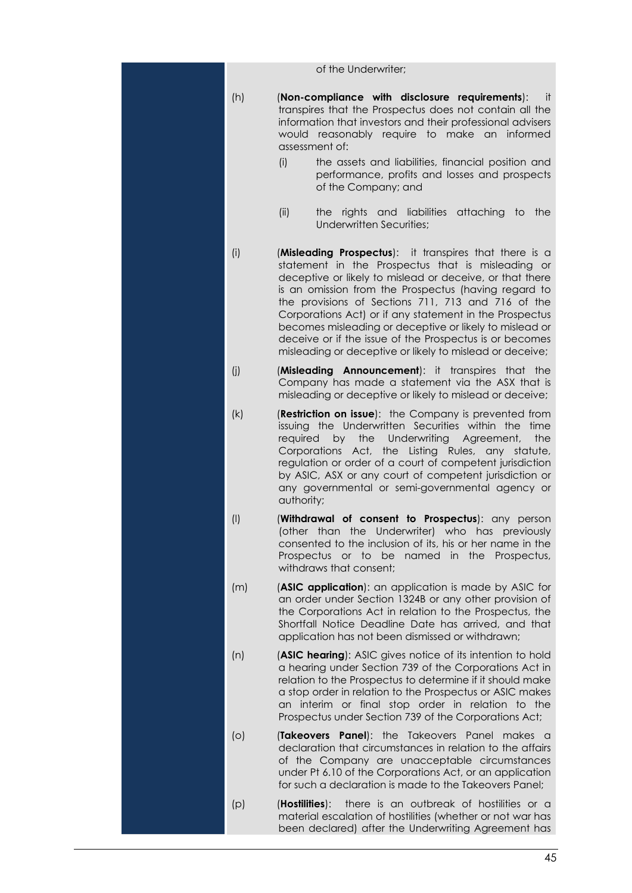|           | of the Underwriter;                                                                                                                                                                                                                                                                                                                                                                                                                                                                                                                |
|-----------|------------------------------------------------------------------------------------------------------------------------------------------------------------------------------------------------------------------------------------------------------------------------------------------------------------------------------------------------------------------------------------------------------------------------------------------------------------------------------------------------------------------------------------|
| (h)       | (Non-compliance with disclosure requirements):<br>-it<br>transpires that the Prospectus does not contain all the<br>information that investors and their professional advisers<br>would reasonably require to make an informed<br>assessment of:<br>(i)<br>the assets and liabilities, financial position and<br>performance, profits and losses and prospects<br>of the Company; and                                                                                                                                              |
|           | (ii)<br>the rights and liabilities attaching to the<br>Underwritten Securities;                                                                                                                                                                                                                                                                                                                                                                                                                                                    |
| (i)       | (Misleading Prospectus): it transpires that there is a<br>statement in the Prospectus that is misleading or<br>deceptive or likely to mislead or deceive, or that there<br>is an omission from the Prospectus (having regard to<br>the provisions of Sections 711, 713 and 716 of the<br>Corporations Act) or if any statement in the Prospectus<br>becomes misleading or deceptive or likely to mislead or<br>deceive or if the issue of the Prospectus is or becomes<br>misleading or deceptive or likely to mislead or deceive; |
| (i)       | (Misleading Announcement): it transpires that the<br>Company has made a statement via the ASX that is<br>misleading or deceptive or likely to mislead or deceive;                                                                                                                                                                                                                                                                                                                                                                  |
| (k)       | (Restriction on issue): the Company is prevented from<br>issuing the Underwritten Securities within the<br>time<br>required<br>the<br>Underwriting Agreement,<br>the<br>by<br>Corporations Act, the Listing Rules, any statute,<br>regulation or order of a court of competent jurisdiction<br>by ASIC, ASX or any court of competent jurisdiction or<br>any governmental or semi-governmental agency or<br>authority;                                                                                                             |
| $($ l $)$ | (Withdrawal of consent to Prospectus): any person<br>(other than the Underwriter) who has previously<br>consented to the inclusion of its, his or her name in the<br>Prospectus or to be named in the Prospectus,<br>withdraws that consent;                                                                                                                                                                                                                                                                                       |
| (m)       | (ASIC application): an application is made by ASIC for<br>an order under Section 1324B or any other provision of<br>the Corporations Act in relation to the Prospectus, the<br>Shortfall Notice Deadline Date has arrived, and that<br>application has not been dismissed or withdrawn;                                                                                                                                                                                                                                            |
| (n)       | (ASIC hearing): ASIC gives notice of its intention to hold<br>a hearing under Section 739 of the Corporations Act in<br>relation to the Prospectus to determine if it should make<br>a stop order in relation to the Prospectus or ASIC makes<br>an interim or final stop order in relation to the<br>Prospectus under Section 739 of the Corporations Act;                                                                                                                                                                        |
| $\circ$   | <b>(Takeovers Panel):</b> the Takeovers Panel makes a<br>declaration that circumstances in relation to the affairs<br>of the Company are unacceptable circumstances<br>under Pt 6.10 of the Corporations Act, or an application<br>for such a declaration is made to the Takeovers Panel;                                                                                                                                                                                                                                          |
| (p)       | there is an outbreak of hostilities or a<br>(Hostilities):<br>material escalation of hostilities (whether or not war has<br>been declared) after the Underwriting Agreement has                                                                                                                                                                                                                                                                                                                                                    |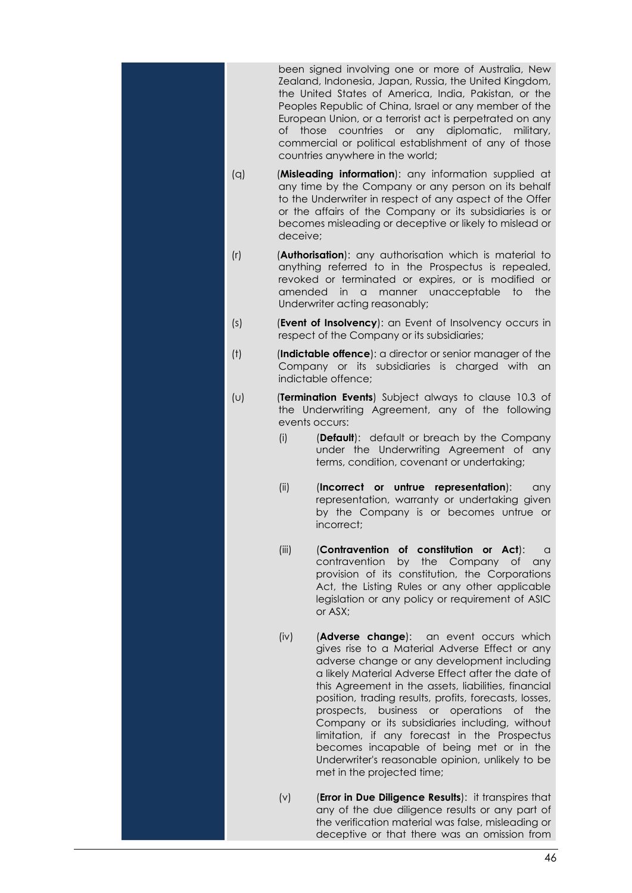been signed involving one or more of Australia, New Zealand, Indonesia, Japan, Russia, the United Kingdom, the United States of America, India, Pakistan, or the Peoples Republic of China, Israel or any member of the European Union, or a terrorist act is perpetrated on any of those countries or any diplomatic, military, commercial or political establishment of any of those countries anywhere in the world;

- (q) (**Misleading information**): any information supplied at any time by the Company or any person on its behalf to the Underwriter in respect of any aspect of the Offer or the affairs of the Company or its subsidiaries is or becomes misleading or deceptive or likely to mislead or deceive;
- (r) (**Authorisation**): any authorisation which is material to anything referred to in the Prospectus is repealed, revoked or terminated or expires, or is modified or amended in a manner unacceptable to the Underwriter acting reasonably;
- (s) (**Event of Insolvency**): an Event of Insolvency occurs in respect of the Company or its subsidiaries;
- (t) (**Indictable offence**): a director or senior manager of the Company or its subsidiaries is charged with an indictable offence;
- (u) (**Termination Events**) Subject always to clause 10.3 of the Underwriting Agreement, any of the following events occurs:
	- (i) (**Default**): default or breach by the Company under the Underwriting Agreement of any terms, condition, covenant or undertaking;
	- (ii) (**Incorrect or untrue representation**): any representation, warranty or undertaking given by the Company is or becomes untrue or incorrect;
	- (iii) (**Contravention of constitution or Act**): a contravention by the Company of any provision of its constitution, the Corporations Act, the Listing Rules or any other applicable legislation or any policy or requirement of ASIC or  $\overline{ASX}$ ;
	- (iv) (**Adverse change**): an event occurs which gives rise to a Material Adverse Effect or any adverse change or any development including a likely Material Adverse Effect after the date of this Agreement in the assets, liabilities, financial position, trading results, profits, forecasts, losses, prospects, business or operations of the Company or its subsidiaries including, without limitation, if any forecast in the Prospectus becomes incapable of being met or in the Underwriter's reasonable opinion, unlikely to be met in the projected time;
	- (v) (**Error in Due Diligence Results**): it transpires that any of the due diligence results or any part of the verification material was false, misleading or deceptive or that there was an omission from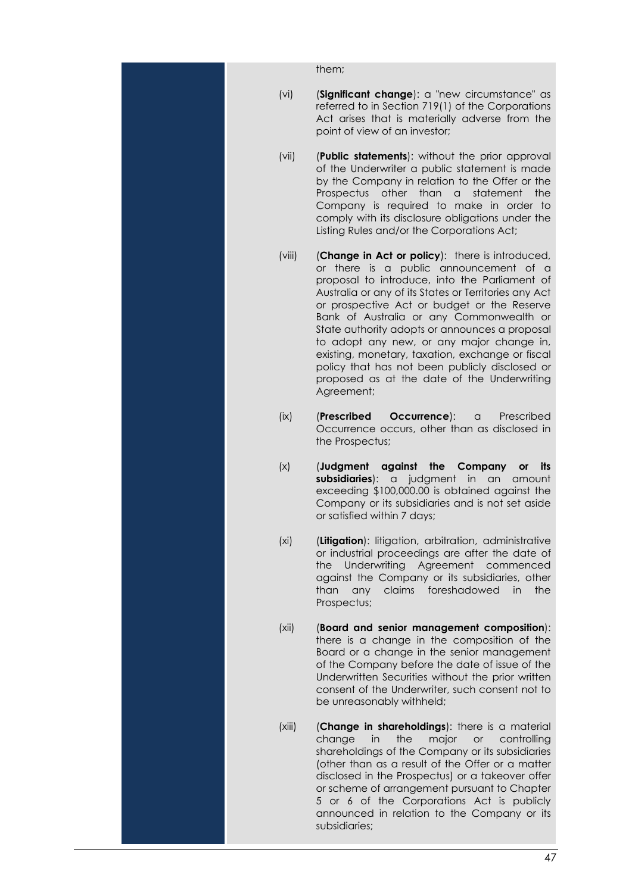them;

- (vi) (**Significant change**): a "new circumstance" as referred to in Section 719(1) of the Corporations Act arises that is materially adverse from the point of view of an investor;
- (vii) (**Public statements**): without the prior approval of the Underwriter a public statement is made by the Company in relation to the Offer or the Prospectus other than a statement the Company is required to make in order to comply with its disclosure obligations under the Listing Rules and/or the Corporations Act;
- (viii) (**Change in Act or policy**): there is introduced, or there is a public announcement of a proposal to introduce, into the Parliament of Australia or any of its States or Territories any Act or prospective Act or budget or the Reserve Bank of Australia or any Commonwealth or State authority adopts or announces a proposal to adopt any new, or any major change in, existing, monetary, taxation, exchange or fiscal policy that has not been publicly disclosed or proposed as at the date of the Underwriting Agreement;
- (ix) (**Prescribed Occurrence**): a Prescribed Occurrence occurs, other than as disclosed in the Prospectus;
- (x) (**Judgment against the Company or its subsidiaries**): a judgment in an amount exceeding \$100,000.00 is obtained against the Company or its subsidiaries and is not set aside or satisfied within 7 days;
- (xi) (**Litigation**): litigation, arbitration, administrative or industrial proceedings are after the date of the Underwriting Agreement commenced against the Company or its subsidiaries, other than any claims foreshadowed in the Prospectus;
- (xii) (**Board and senior management composition**): there is a change in the composition of the Board or a change in the senior management of the Company before the date of issue of the Underwritten Securities without the prior written consent of the Underwriter, such consent not to be unreasonably withheld;
- (xiii) (**Change in shareholdings**): there is a material change in the major or controlling shareholdings of the Company or its subsidiaries (other than as a result of the Offer or a matter disclosed in the Prospectus) or a takeover offer or scheme of arrangement pursuant to Chapter 5 or 6 of the Corporations Act is publicly announced in relation to the Company or its subsidiaries;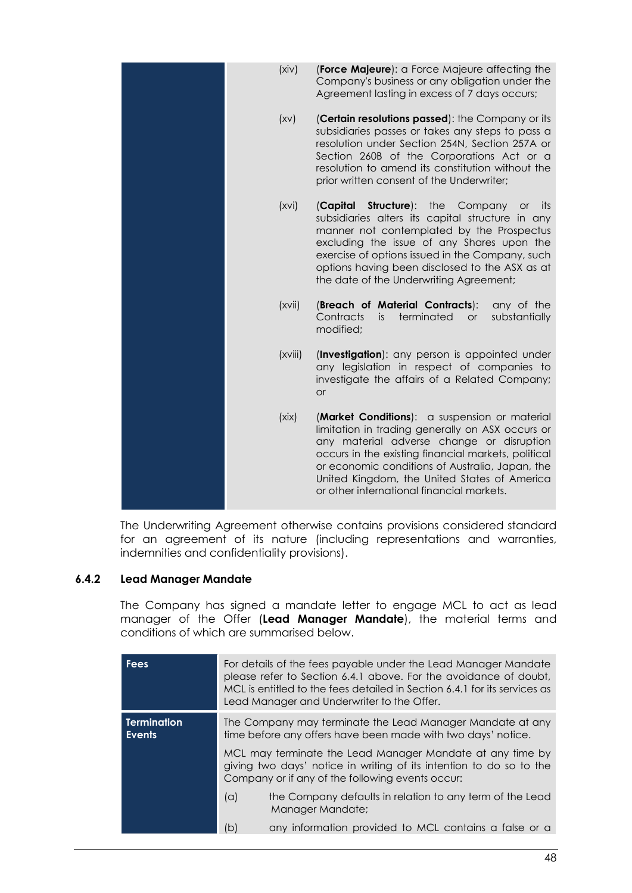| (xiv)   | (Force Majeure): a Force Majeure affecting the<br>Company's business or any obligation under the                                                                                                                                                                                                                                                          |
|---------|-----------------------------------------------------------------------------------------------------------------------------------------------------------------------------------------------------------------------------------------------------------------------------------------------------------------------------------------------------------|
|         | Agreement lasting in excess of 7 days occurs;                                                                                                                                                                                                                                                                                                             |
| (xv)    | (Certain resolutions passed): the Company or its<br>subsidiaries passes or takes any steps to pass a<br>resolution under Section 254N, Section 257A or<br>Section 260B of the Corporations Act or a<br>resolution to amend its constitution without the<br>prior written consent of the Underwriter;                                                      |
| (xvi)   | Structure): the<br>(Capital<br>Company<br><b>or</b><br>its<br>subsidiaries alters its capital structure in any<br>manner not contemplated by the Prospectus<br>excluding the issue of any Shares upon the<br>exercise of options issued in the Company, such<br>options having been disclosed to the ASX as at<br>the date of the Underwriting Agreement; |
| (xvii)  | (Breach of Material Contracts):<br>any of the<br>Contracts<br>terminated<br>substantially<br>is.<br>or<br>modified;                                                                                                                                                                                                                                       |
| (xviii) | (Investigation): any person is appointed under<br>any legislation in respect of companies to<br>investigate the affairs of a Related Company;<br><b>or</b>                                                                                                                                                                                                |
| (xix)   | (Market Conditions): a suspension or material<br>limitation in trading generally on ASX occurs or<br>any material adverse change or disruption<br>occurs in the existing financial markets, political<br>or economic conditions of Australia, Japan, the<br>United Kingdom, the United States of America<br>or other international financial markets.     |

The Underwriting Agreement otherwise contains provisions considered standard for an agreement of its nature (including representations and warranties, indemnities and confidentiality provisions).

## <span id="page-48-0"></span>**6.4.2 Lead Manager Mandate**

The Company has signed a mandate letter to engage MCL to act as lead manager of the Offer (**Lead Manager Mandate**), the material terms and conditions of which are summarised below.

| <b>Fees</b>                         |                                                                                                                                                                                                                                                                                                                   | For details of the fees payable under the Lead Manager Mandate<br>please refer to Section 6.4.1 above. For the avoidance of doubt,<br>MCL is entitled to the fees detailed in Section 6.4.1 for its services as<br>Lead Manager and Underwriter to the Offer. |  |
|-------------------------------------|-------------------------------------------------------------------------------------------------------------------------------------------------------------------------------------------------------------------------------------------------------------------------------------------------------------------|---------------------------------------------------------------------------------------------------------------------------------------------------------------------------------------------------------------------------------------------------------------|--|
| <b>Termination</b><br><b>Events</b> | The Company may terminate the Lead Manager Mandate at any<br>time before any offers have been made with two days' notice.<br>MCL may terminate the Lead Manager Mandate at any time by<br>giving two days' notice in writing of its intention to do so to the<br>Company or if any of the following events occur: |                                                                                                                                                                                                                                                               |  |
|                                     |                                                                                                                                                                                                                                                                                                                   |                                                                                                                                                                                                                                                               |  |
|                                     | (a)                                                                                                                                                                                                                                                                                                               | the Company defaults in relation to any term of the Lead<br>Manager Mandate;                                                                                                                                                                                  |  |
|                                     | (b)                                                                                                                                                                                                                                                                                                               | any information provided to MCL contains a false or a                                                                                                                                                                                                         |  |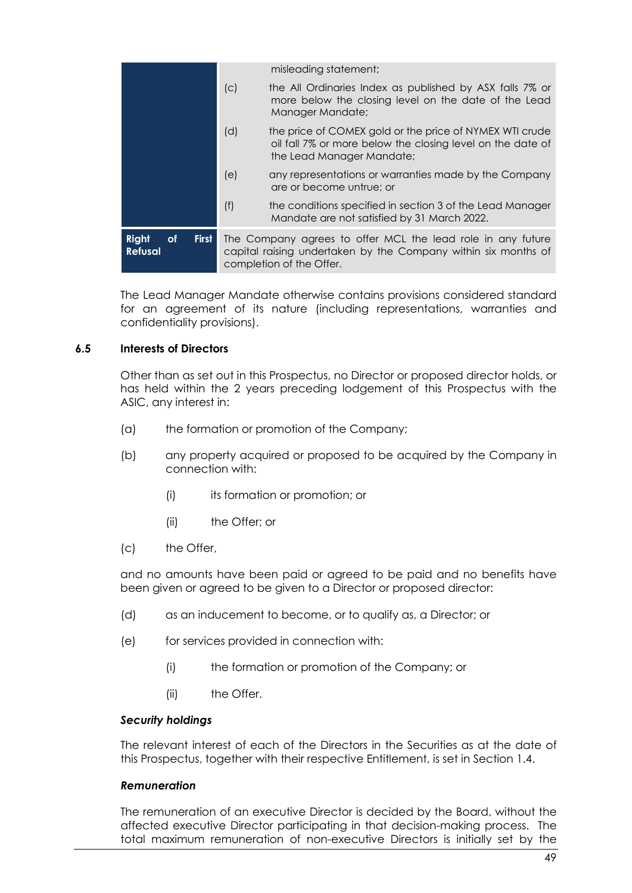|                                                      |                                                                                                                                                           | misleading statement;                                                                                                                              |  |
|------------------------------------------------------|-----------------------------------------------------------------------------------------------------------------------------------------------------------|----------------------------------------------------------------------------------------------------------------------------------------------------|--|
|                                                      | (c)                                                                                                                                                       | the All Ordinaries Index as published by ASX falls 7% or<br>more below the closing level on the date of the Lead<br>Manager Mandate;               |  |
|                                                      | (d)                                                                                                                                                       | the price of COMEX gold or the price of NYMEX WTI crude<br>oil fall 7% or more below the closing level on the date of<br>the Lead Manager Mandate; |  |
|                                                      | (e)                                                                                                                                                       | any representations or warranties made by the Company<br>are or become untrue; or                                                                  |  |
|                                                      | (f)                                                                                                                                                       | the conditions specified in section 3 of the Lead Manager<br>Mandate are not satisfied by 31 March 2022.                                           |  |
| Right<br><b>of</b><br><b>First</b><br><b>Refusal</b> | The Company agrees to offer MCL the lead role in any future<br>capital raising undertaken by the Company within six months of<br>completion of the Offer. |                                                                                                                                                    |  |

The Lead Manager Mandate otherwise contains provisions considered standard for an agreement of its nature (including representations, warranties and confidentiality provisions).

#### **6.5 Interests of Directors**

Other than as set out in this Prospectus, no Director or proposed director holds, or has held within the 2 years preceding lodgement of this Prospectus with the ASIC, any interest in:

- (a) the formation or promotion of the Company;
- (b) any property acquired or proposed to be acquired by the Company in connection with:
	- (i) its formation or promotion; or
	- (ii) the Offer; or
- (c) the Offer,

and no amounts have been paid or agreed to be paid and no benefits have been given or agreed to be given to a Director or proposed director:

- (d) as an inducement to become, or to qualify as, a Director; or
- (e) for services provided in connection with:
	- (i) the formation or promotion of the Company; or
	- (ii) the Offer.

#### *Security holdings*

The relevant interest of each of the Directors in the Securities as at the date of this Prospectus, together with their respective Entitlement, is set in Section [1.4.](#page-9-0)

#### *Remuneration*

The remuneration of an executive Director is decided by the Board, without the affected executive Director participating in that decision-making process. The total maximum remuneration of non-executive Directors is initially set by the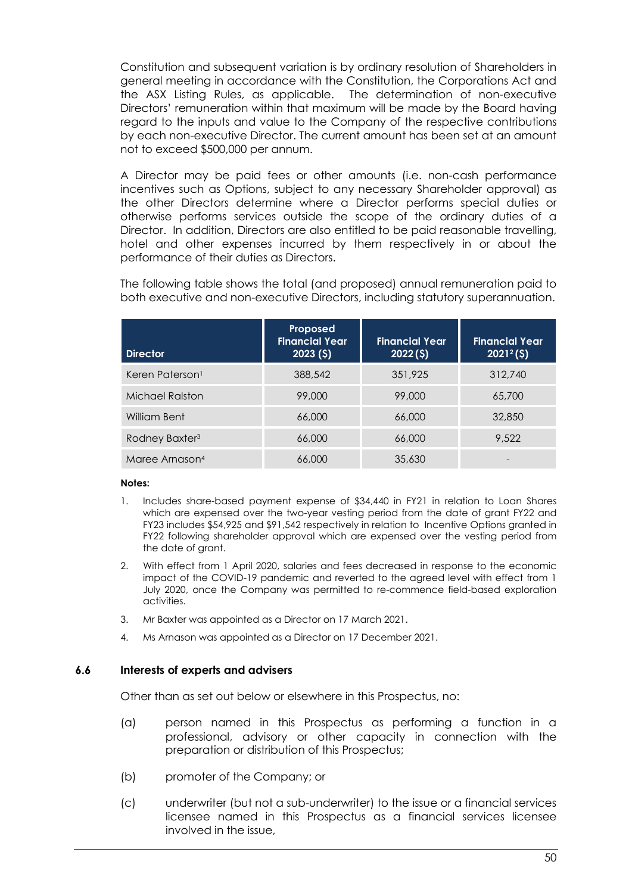Constitution and subsequent variation is by ordinary resolution of Shareholders in general meeting in accordance with the Constitution, the Corporations Act and the ASX Listing Rules, as applicable. The determination of non-executive Directors' remuneration within that maximum will be made by the Board having regard to the inputs and value to the Company of the respective contributions by each non-executive Director. The current amount has been set at an amount not to exceed \$500,000 per annum.

A Director may be paid fees or other amounts (i.e. non-cash performance incentives such as Options, subject to any necessary Shareholder approval) as the other Directors determine where a Director performs special duties or otherwise performs services outside the scope of the ordinary duties of a Director. In addition, Directors are also entitled to be paid reasonable travelling, hotel and other expenses incurred by them respectively in or about the performance of their duties as Directors.

The following table shows the total (and proposed) annual remuneration paid to both executive and non-executive Directors, including statutory superannuation.

| <b>Director</b>             | Proposed<br><b>Financial Year</b><br>2023(5) | <b>Financial Year</b><br>2022(5) | <b>Financial Year</b><br>$2021^2$ (\$) |
|-----------------------------|----------------------------------------------|----------------------------------|----------------------------------------|
| Keren Paterson <sup>1</sup> | 388,542                                      | 351,925                          | 312,740                                |
| Michael Ralston             | 99,000                                       | 99.000                           | 65,700                                 |
| William Bent                | 66,000                                       | 66,000                           | 32,850                                 |
| Rodney Baxter <sup>3</sup>  | 66,000                                       | 66,000                           | 9.522                                  |
| Maree Arnason <sup>4</sup>  | 66,000                                       | 35,630                           |                                        |

#### **Notes:**

- 1. Includes share-based payment expense of \$34,440 in FY21 in relation to Loan Shares which are expensed over the two-year vesting period from the date of grant FY22 and FY23 includes \$54,925 and \$91,542 respectively in relation to Incentive Options granted in FY22 following shareholder approval which are expensed over the vesting period from the date of grant.
- 2. With effect from 1 April 2020, salaries and fees decreased in response to the economic impact of the COVID-19 pandemic and reverted to the agreed level with effect from 1 July 2020, once the Company was permitted to re-commence field-based exploration activities.
- 3. Mr Baxter was appointed as a Director on 17 March 2021.
- 4. Ms Arnason was appointed as a Director on 17 December 2021.

#### **6.6 Interests of experts and advisers**

Other than as set out below or elsewhere in this Prospectus, no:

- (a) person named in this Prospectus as performing a function in a professional, advisory or other capacity in connection with the preparation or distribution of this Prospectus;
- (b) promoter of the Company; or
- (c) underwriter (but not a sub-underwriter) to the issue or a financial services licensee named in this Prospectus as a financial services licensee involved in the issue,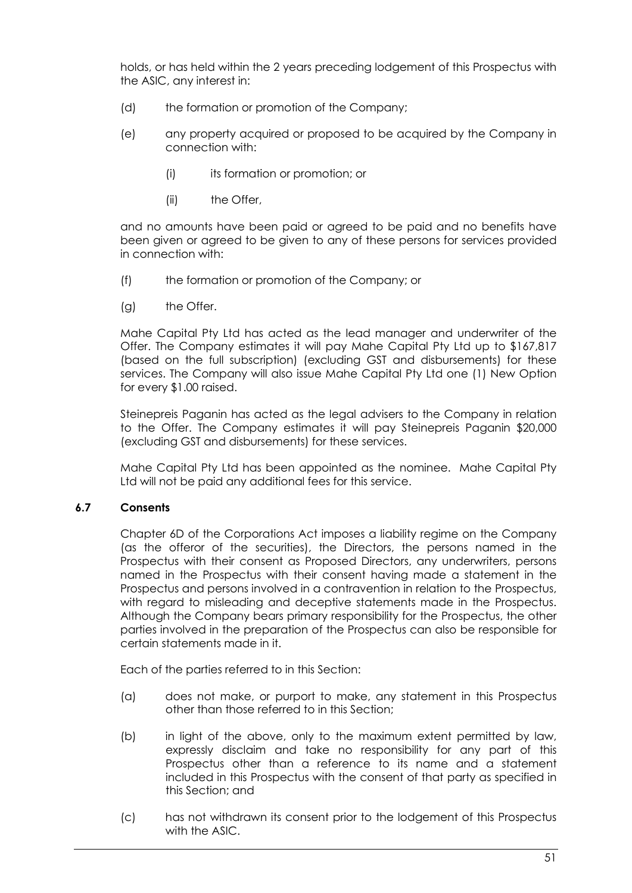holds, or has held within the 2 years preceding lodgement of this Prospectus with the ASIC, any interest in:

- (d) the formation or promotion of the Company;
- (e) any property acquired or proposed to be acquired by the Company in connection with:
	- (i) its formation or promotion; or
	- (ii) the Offer,

and no amounts have been paid or agreed to be paid and no benefits have been given or agreed to be given to any of these persons for services provided in connection with:

- (f) the formation or promotion of the Company; or
- (g) the Offer.

Mahe Capital Pty Ltd has acted as the lead manager and underwriter of the Offer. The Company estimates it will pay Mahe Capital Pty Ltd up to \$167,817 (based on the full subscription) (excluding GST and disbursements) for these services. The Company will also issue Mahe Capital Pty Ltd one (1) New Option for every \$1.00 raised.

Steinepreis Paganin has acted as the legal advisers to the Company in relation to the Offer. The Company estimates it will pay Steinepreis Paganin \$20,000 (excluding GST and disbursements) for these services.

Mahe Capital Pty Ltd has been appointed as the nominee. Mahe Capital Pty Ltd will not be paid any additional fees for this service.

#### **6.7 Consents**

Chapter 6D of the Corporations Act imposes a liability regime on the Company (as the offeror of the securities), the Directors, the persons named in the Prospectus with their consent as Proposed Directors, any underwriters, persons named in the Prospectus with their consent having made a statement in the Prospectus and persons involved in a contravention in relation to the Prospectus, with regard to misleading and deceptive statements made in the Prospectus. Although the Company bears primary responsibility for the Prospectus, the other parties involved in the preparation of the Prospectus can also be responsible for certain statements made in it.

Each of the parties referred to in this Section:

- (a) does not make, or purport to make, any statement in this Prospectus other than those referred to in this Section;
- (b) in light of the above, only to the maximum extent permitted by law, expressly disclaim and take no responsibility for any part of this Prospectus other than a reference to its name and a statement included in this Prospectus with the consent of that party as specified in this Section; and
- (c) has not withdrawn its consent prior to the lodgement of this Prospectus with the ASIC.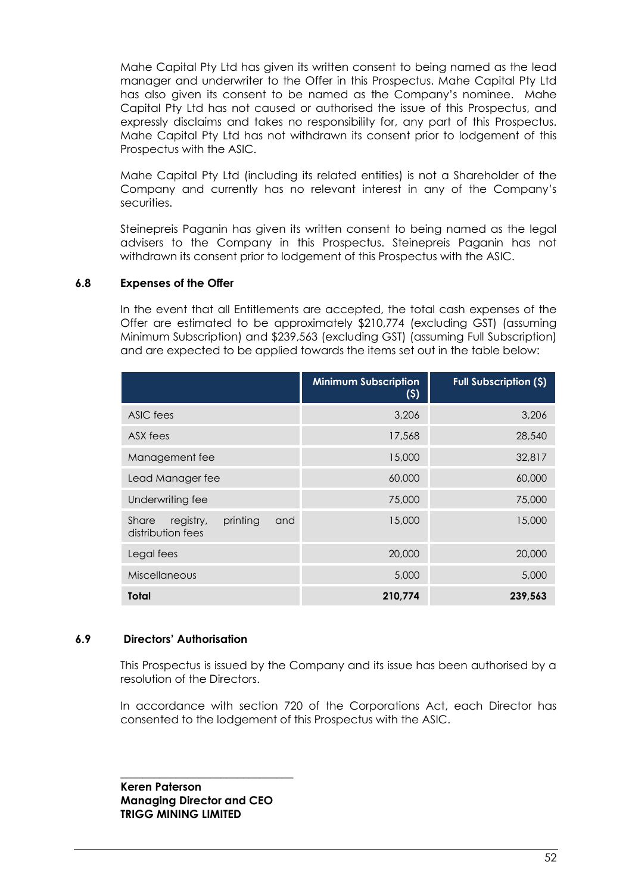Mahe Capital Pty Ltd has given its written consent to being named as the lead manager and underwriter to the Offer in this Prospectus. Mahe Capital Pty Ltd has also given its consent to be named as the Company's nominee. Mahe Capital Pty Ltd has not caused or authorised the issue of this Prospectus, and expressly disclaims and takes no responsibility for, any part of this Prospectus. Mahe Capital Pty Ltd has not withdrawn its consent prior to lodgement of this Prospectus with the ASIC.

Mahe Capital Pty Ltd (including its related entities) is not a Shareholder of the Company and currently has no relevant interest in any of the Company's securities.

Steinepreis Paganin has given its written consent to being named as the legal advisers to the Company in this Prospectus. Steinepreis Paganin has not withdrawn its consent prior to lodgement of this Prospectus with the ASIC.

#### <span id="page-52-0"></span>**6.8 Expenses of the Offer**

In the event that all Entitlements are accepted, the total cash expenses of the Offer are estimated to be approximately \$210,774 (excluding GST) (assuming Minimum Subscription) and \$239,563 (excluding GST) (assuming Full Subscription) and are expected to be applied towards the items set out in the table below:

|                                                            | <b>Minimum Subscription</b><br>(5) | <b>Full Subscription (\$)</b> |
|------------------------------------------------------------|------------------------------------|-------------------------------|
| ASIC fees                                                  | 3,206                              | 3,206                         |
| ASX fees                                                   | 17,568                             | 28,540                        |
| Management fee                                             | 15,000                             | 32,817                        |
| Lead Manager fee                                           | 60,000                             | 60,000                        |
| Underwriting fee                                           | 75,000                             | 75,000                        |
| printing<br>Share<br>registry,<br>and<br>distribution fees | 15,000                             | 15,000                        |
| Legal fees                                                 | 20,000                             | 20,000                        |
| <b>Miscellaneous</b>                                       | 5,000                              | 5,000                         |
| Total                                                      | 210,774                            | 239,563                       |

#### **6.9 Directors' Authorisation**

This Prospectus is issued by the Company and its issue has been authorised by a resolution of the Directors.

In accordance with section 720 of the Corporations Act, each Director has consented to the lodgement of this Prospectus with the ASIC.

\_\_\_\_\_\_\_\_\_\_\_\_\_\_\_\_\_\_\_\_\_\_\_\_\_\_\_\_\_\_\_ **Keren Paterson Managing Director and CEO TRIGG MINING LIMITED**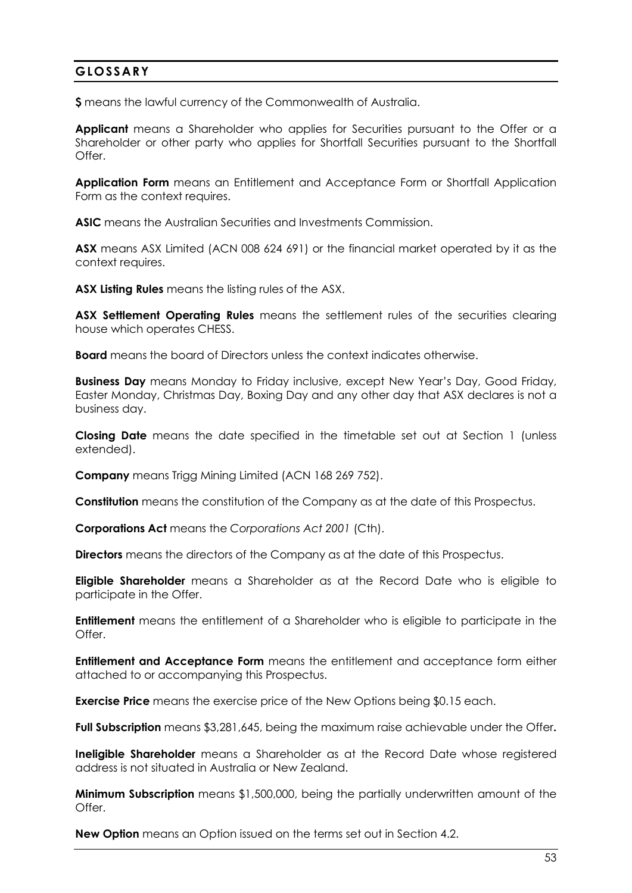## <span id="page-53-0"></span>**GLOSSARY**

**\$** means the lawful currency of the Commonwealth of Australia.

**Applicant** means a Shareholder who applies for Securities pursuant to the Offer or a Shareholder or other party who applies for Shortfall Securities pursuant to the Shortfall Offer.

**Application Form** means an Entitlement and Acceptance Form or Shortfall Application Form as the context requires.

**ASIC** means the Australian Securities and Investments Commission.

**ASX** means ASX Limited (ACN 008 624 691) or the financial market operated by it as the context requires.

**ASX Listing Rules** means the listing rules of the ASX.

**ASX Settlement Operating Rules** means the settlement rules of the securities clearing house which operates CHESS.

**Board** means the board of Directors unless the context indicates otherwise.

**Business Day** means Monday to Friday inclusive, except New Year's Day, Good Friday, Easter Monday, Christmas Day, Boxing Day and any other day that ASX declares is not a business day.

**Closing Date** means the date specified in the timetable set out at Section 1 (unless extended).

**Company** means Trigg Mining Limited (ACN 168 269 752).

**Constitution** means the constitution of the Company as at the date of this Prospectus.

**Corporations Act** means the *Corporations Act 2001* (Cth).

**Directors** means the directors of the Company as at the date of this Prospectus.

**Eligible Shareholder** means a Shareholder as at the Record Date who is eligible to participate in the Offer.

**Entitlement** means the entitlement of a Shareholder who is eligible to participate in the Offer.

**Entitlement and Acceptance Form** means the entitlement and acceptance form either attached to or accompanying this Prospectus.

**Exercise Price** means the exercise price of the New Options being \$0.15 each.

**Full Subscription** means \$3,281,645, being the maximum raise achievable under the Offer**.**

**Ineligible Shareholder** means a Shareholder as at the Record Date whose registered address is not situated in Australia or New Zealand.

**Minimum Subscription** means \$1,500,000, being the partially underwritten amount of the Offer.

**New Option** means an Option issued on the terms set out in Section [4.2.](#page-27-0)